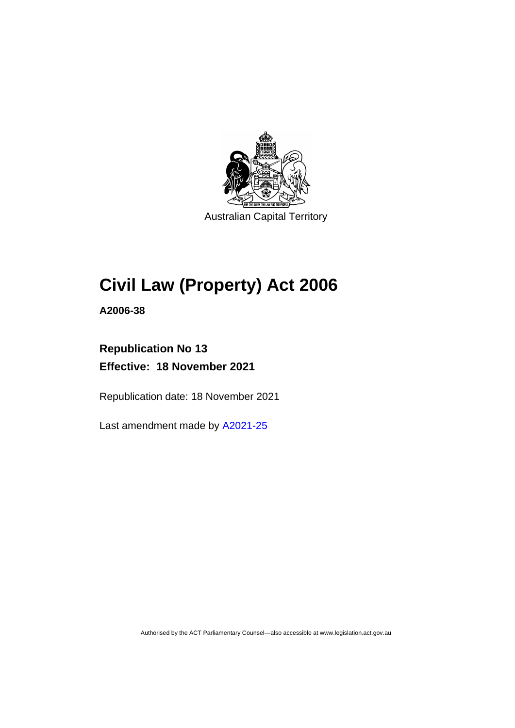

Australian Capital Territory

# **Civil Law (Property) Act 2006**

**A2006-38**

## **Republication No 13 Effective: 18 November 2021**

Republication date: 18 November 2021

Last amendment made by [A2021-25](http://www.legislation.act.gov.au/a/2021-25/)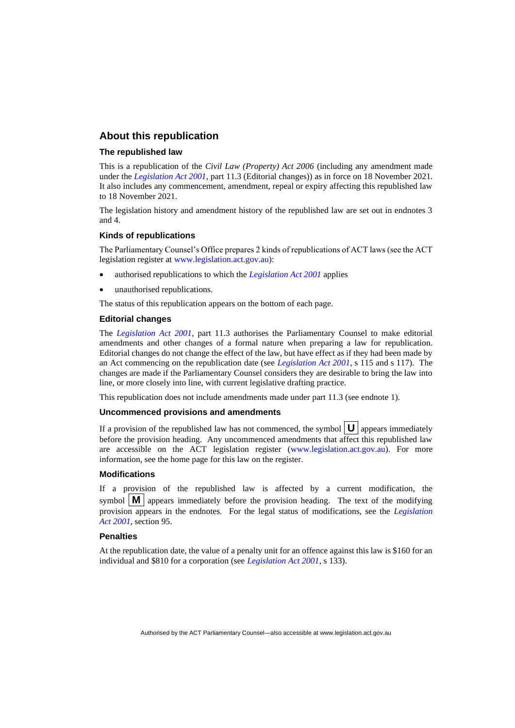#### **About this republication**

#### **The republished law**

This is a republication of the *Civil Law (Property) Act 2006* (including any amendment made under the *[Legislation Act 2001](http://www.legislation.act.gov.au/a/2001-14)*, part 11.3 (Editorial changes)) as in force on 18 November 2021*.*  It also includes any commencement, amendment, repeal or expiry affecting this republished law to 18 November 2021.

The legislation history and amendment history of the republished law are set out in endnotes 3 and 4.

#### **Kinds of republications**

The Parliamentary Counsel's Office prepares 2 kinds of republications of ACT laws (see the ACT legislation register at [www.legislation.act.gov.au\)](http://www.legislation.act.gov.au/):

- authorised republications to which the *[Legislation Act 2001](http://www.legislation.act.gov.au/a/2001-14)* applies
- unauthorised republications.

The status of this republication appears on the bottom of each page.

#### **Editorial changes**

The *[Legislation Act 2001](http://www.legislation.act.gov.au/a/2001-14)*, part 11.3 authorises the Parliamentary Counsel to make editorial amendments and other changes of a formal nature when preparing a law for republication. Editorial changes do not change the effect of the law, but have effect as if they had been made by an Act commencing on the republication date (see *[Legislation Act 2001](http://www.legislation.act.gov.au/a/2001-14)*, s 115 and s 117). The changes are made if the Parliamentary Counsel considers they are desirable to bring the law into line, or more closely into line, with current legislative drafting practice.

This republication does not include amendments made under part 11.3 (see endnote 1).

#### **Uncommenced provisions and amendments**

If a provision of the republished law has not commenced, the symbol  $\mathbf{U}$  appears immediately before the provision heading. Any uncommenced amendments that affect this republished law are accessible on the ACT legislation register [\(www.legislation.act.gov.au\)](http://www.legislation.act.gov.au/). For more information, see the home page for this law on the register.

#### **Modifications**

If a provision of the republished law is affected by a current modification, the symbol  $\mathbf{M}$  appears immediately before the provision heading. The text of the modifying provision appears in the endnotes. For the legal status of modifications, see the *[Legislation](http://www.legislation.act.gov.au/a/2001-14)  Act [2001](http://www.legislation.act.gov.au/a/2001-14)*, section 95.

#### **Penalties**

At the republication date, the value of a penalty unit for an offence against this law is \$160 for an individual and \$810 for a corporation (see *[Legislation Act 2001](http://www.legislation.act.gov.au/a/2001-14)*, s 133).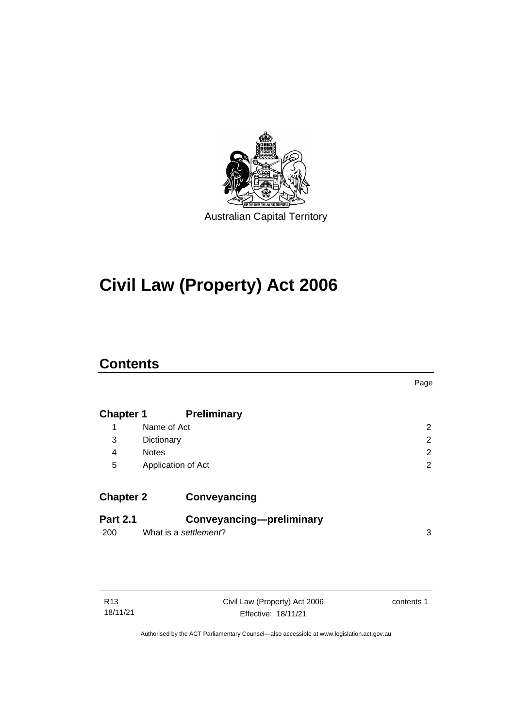

# **Civil Law (Property) Act 2006**

## **Contents**

|                  |                          | Page           |
|------------------|--------------------------|----------------|
| <b>Chapter 1</b> | <b>Preliminary</b>       |                |
| 1                | Name of Act              | 2              |
| 3                | Dictionary               | $\overline{2}$ |
| 4                | <b>Notes</b>             | 2              |
| 5                | Application of Act       | $\overline{2}$ |
| <b>Chapter 2</b> | Conveyancing             |                |
| <b>Part 2.1</b>  | Conveyancing-preliminary |                |
| 200              | What is a settlement?    | 3              |
|                  |                          |                |

| R13 |          |
|-----|----------|
|     | 18/11/21 |

Civil Law (Property) Act 2006 Effective: 18/11/21

contents 1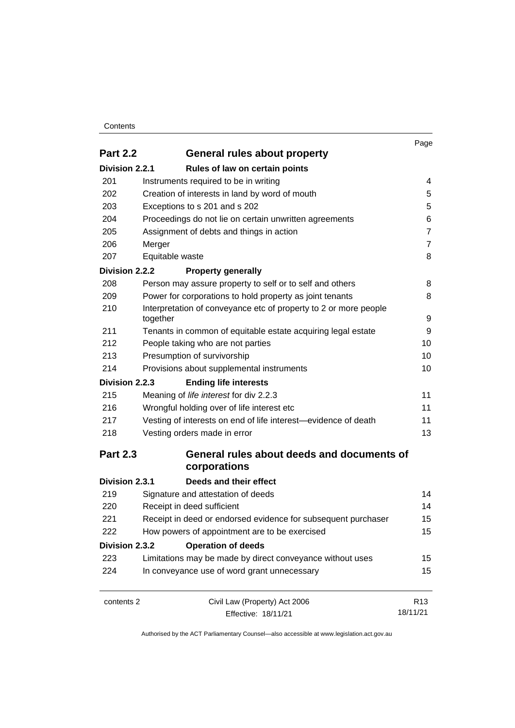#### **Contents**

|                 |                                                                              | Page            |
|-----------------|------------------------------------------------------------------------------|-----------------|
| <b>Part 2.2</b> | General rules about property                                                 |                 |
| Division 2.2.1  | Rules of law on certain points                                               |                 |
| 201             | Instruments required to be in writing                                        | 4               |
| 202             | Creation of interests in land by word of mouth                               | 5<br>5          |
| 203             | Exceptions to s 201 and s 202                                                |                 |
| 204             | Proceedings do not lie on certain unwritten agreements                       | 6               |
| 205             | Assignment of debts and things in action                                     | $\overline{7}$  |
| 206             | Merger                                                                       | $\overline{7}$  |
| 207             | Equitable waste                                                              | 8               |
| Division 2.2.2  | <b>Property generally</b>                                                    |                 |
| 208             | Person may assure property to self or to self and others                     | 8               |
| 209             | Power for corporations to hold property as joint tenants                     | 8               |
| 210             | Interpretation of conveyance etc of property to 2 or more people<br>together | 9               |
| 211             | Tenants in common of equitable estate acquiring legal estate                 | 9               |
| 212             | People taking who are not parties                                            | 10              |
| 213             | Presumption of survivorship                                                  | 10              |
| 214             | Provisions about supplemental instruments                                    | 10              |
| Division 2.2.3  | <b>Ending life interests</b>                                                 |                 |
| 215             | Meaning of life interest for div 2.2.3                                       | 11              |
| 216             | Wrongful holding over of life interest etc                                   | 11              |
| 217             | Vesting of interests on end of life interest-evidence of death               | 11              |
| 218             | Vesting orders made in error                                                 | 13              |
| <b>Part 2.3</b> | General rules about deeds and documents of<br>corporations                   |                 |
| Division 2.3.1  | Deeds and their effect                                                       |                 |
| 219             | Signature and attestation of deeds                                           | 14              |
| 220             | Receipt in deed sufficient                                                   | 14              |
| 221             | Receipt in deed or endorsed evidence for subsequent purchaser                | 15              |
| 222             | How powers of appointment are to be exercised                                | 15              |
| Division 2.3.2  | <b>Operation of deeds</b>                                                    |                 |
| 223             | Limitations may be made by direct conveyance without uses                    | 15              |
| 224             | In conveyance use of word grant unnecessary                                  | 15              |
| contents 2      | Civil Law (Property) Act 2006                                                | R <sub>13</sub> |
|                 | Effective: 18/11/21                                                          | 18/11/21        |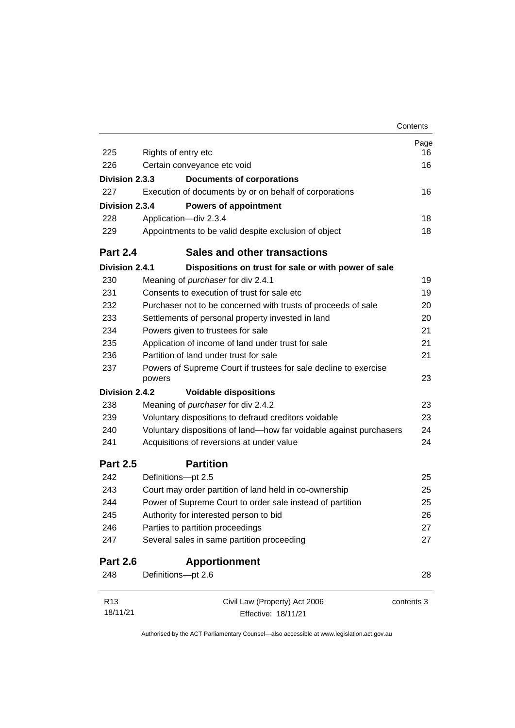|                 |                                                                            | Contents   |
|-----------------|----------------------------------------------------------------------------|------------|
|                 |                                                                            | Page       |
| 225             | Rights of entry etc                                                        | 16         |
| 226             | Certain conveyance etc void                                                | 16         |
| Division 2.3.3  | <b>Documents of corporations</b>                                           |            |
| 227             | Execution of documents by or on behalf of corporations                     | 16         |
| Division 2.3.4  | <b>Powers of appointment</b>                                               |            |
| 228             | Application-div 2.3.4                                                      | 18         |
| 229             | Appointments to be valid despite exclusion of object                       | 18         |
| <b>Part 2.4</b> | <b>Sales and other transactions</b>                                        |            |
| Division 2.4.1  | Dispositions on trust for sale or with power of sale                       |            |
| 230             | Meaning of purchaser for div 2.4.1                                         | 19         |
| 231             | Consents to execution of trust for sale etc                                | 19         |
| 232             | Purchaser not to be concerned with trusts of proceeds of sale              | 20         |
| 233             | Settlements of personal property invested in land                          | 20         |
| 234             | Powers given to trustees for sale                                          | 21         |
| 235             | Application of income of land under trust for sale                         | 21         |
| 236             | Partition of land under trust for sale                                     | 21         |
| 237             | Powers of Supreme Court if trustees for sale decline to exercise<br>powers | 23         |
| Division 2.4.2  | <b>Voidable dispositions</b>                                               |            |
| 238             | Meaning of <i>purchaser</i> for div 2.4.2                                  | 23         |
| 239             | Voluntary dispositions to defraud creditors voidable                       | 23         |
| 240             | Voluntary dispositions of land-how far voidable against purchasers         | 24         |
| 241             | Acquisitions of reversions at under value                                  | 24         |
| <b>Part 2.5</b> | <b>Partition</b>                                                           |            |
| 242             | Definitions-pt 2.5                                                         | 25         |
| 243             | Court may order partition of land held in co-ownership                     | 25         |
| 244             | Power of Supreme Court to order sale instead of partition                  | 25         |
| 245             | Authority for interested person to bid                                     | 26         |
| 246             | Parties to partition proceedings                                           | 27         |
| 247             | Several sales in same partition proceeding                                 | 27         |
| <b>Part 2.6</b> | <b>Apportionment</b>                                                       |            |
| 248             | Definitions-pt 2.6                                                         | 28         |
| R <sub>13</sub> | Civil Law (Property) Act 2006                                              | contents 3 |
| 18/11/21        | Effective: 18/11/21                                                        |            |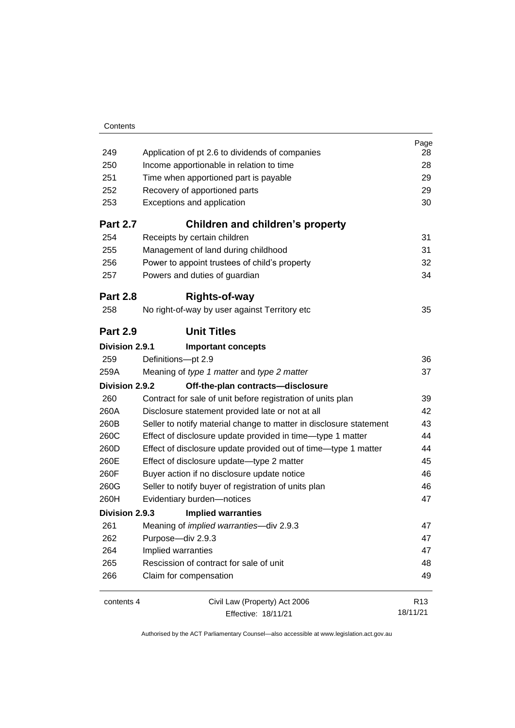|                 |                                                                    | Page            |
|-----------------|--------------------------------------------------------------------|-----------------|
| 249             | Application of pt 2.6 to dividends of companies                    | 28              |
| 250             | Income apportionable in relation to time                           | 28              |
| 251             | Time when apportioned part is payable                              | 29              |
| 252             | Recovery of apportioned parts                                      | 29              |
| 253             | Exceptions and application                                         | 30              |
| <b>Part 2.7</b> | Children and children's property                                   |                 |
| 254             | Receipts by certain children                                       | 31              |
| 255             | Management of land during childhood                                | 31              |
| 256             | Power to appoint trustees of child's property                      | 32              |
| 257             | Powers and duties of guardian                                      | 34              |
| <b>Part 2.8</b> | <b>Rights-of-way</b>                                               |                 |
| 258             | No right-of-way by user against Territory etc                      | 35              |
| <b>Part 2.9</b> | <b>Unit Titles</b>                                                 |                 |
| Division 2.9.1  | <b>Important concepts</b>                                          |                 |
| 259             | Definitions-pt 2.9                                                 | 36              |
| 259A            | Meaning of type 1 matter and type 2 matter                         | 37              |
| Division 2.9.2  | Off-the-plan contracts-disclosure                                  |                 |
| 260             | Contract for sale of unit before registration of units plan        | 39              |
| 260A            | Disclosure statement provided late or not at all                   | 42              |
| 260B            | Seller to notify material change to matter in disclosure statement | 43              |
| 260C            | Effect of disclosure update provided in time-type 1 matter         | 44              |
| 260D            | Effect of disclosure update provided out of time—type 1 matter     | 44              |
| 260E            | Effect of disclosure update-type 2 matter                          | 45              |
| 260F            | Buyer action if no disclosure update notice                        | 46              |
| 260G            | Seller to notify buyer of registration of units plan               | 46              |
| 260H            | Evidentiary burden-notices                                         | 47              |
| Division 2.9.3  | <b>Implied warranties</b>                                          |                 |
| 261             | Meaning of implied warranties-div 2.9.3                            | 47              |
| 262             | Purpose-div 2.9.3                                                  | 47              |
| 264             | Implied warranties                                                 | 47              |
| 265             | Rescission of contract for sale of unit                            | 48              |
| 266             | Claim for compensation                                             | 49              |
| contents 4      | Civil Law (Property) Act 2006                                      | R <sub>13</sub> |
|                 | Effective: 18/11/21                                                | 18/11/21        |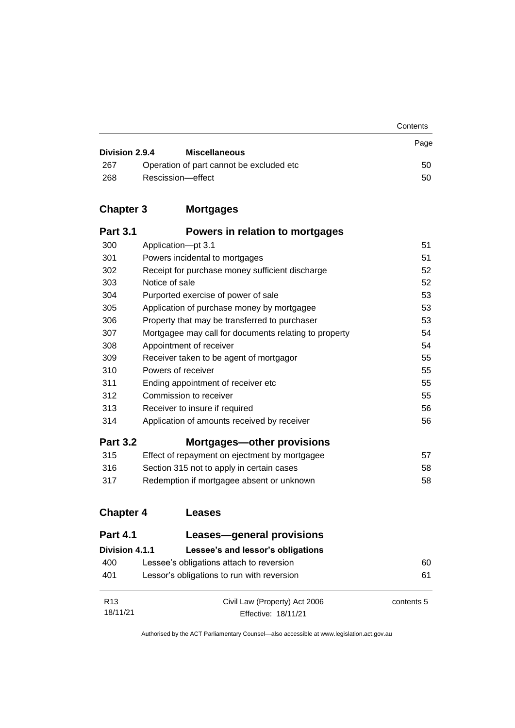|                |                                           | Contents |
|----------------|-------------------------------------------|----------|
| Division 2.9.4 | <b>Miscellaneous</b>                      | Page     |
| 267            | Operation of part cannot be excluded etc. | 50       |
| 268            | Rescission-effect                         | 50       |

## **Chapter 3 [Mortgages](#page-60-0)**

| <b>Part 3.1</b> | Powers in relation to mortgages                       |    |
|-----------------|-------------------------------------------------------|----|
| 300             | Application-pt 3.1                                    | 51 |
| 301             | Powers incidental to mortgages                        | 51 |
| 302             | Receipt for purchase money sufficient discharge       | 52 |
| 303             | Notice of sale                                        | 52 |
| 304             | Purported exercise of power of sale                   | 53 |
| 305             | Application of purchase money by mortgagee            | 53 |
| 306             | Property that may be transferred to purchaser         | 53 |
| 307             | Mortgagee may call for documents relating to property | 54 |
| 308             | Appointment of receiver                               | 54 |
| 309             | Receiver taken to be agent of mortgagor               | 55 |
| 310             | Powers of receiver                                    | 55 |
| 311             | Ending appointment of receiver etc                    | 55 |
| 312             | Commission to receiver                                | 55 |
| 313             | Receiver to insure if required                        | 56 |
| 314             | Application of amounts received by receiver           | 56 |
| <b>Part 3.2</b> | Mortgages—other provisions                            |    |
| 315             | Effect of repayment on ejectment by mortgagee         | 57 |
| 316             | Section 315 not to apply in certain cases             | 58 |
| 317             | Redemption if mortgagee absent or unknown             | 58 |

## **[Chapter 4](#page-69-0) Leases**

| <b>Part 4.1</b> | Leases-general provisions                  |            |
|-----------------|--------------------------------------------|------------|
| Division 4.1.1  | Lessee's and lessor's obligations          |            |
| 400             | Lessee's obligations attach to reversion   | 60         |
| 401             | Lessor's obligations to run with reversion | 61         |
| R <sub>13</sub> | Civil Law (Property) Act 2006              | contents 5 |
| 18/11/21        | Effective: 18/11/21                        |            |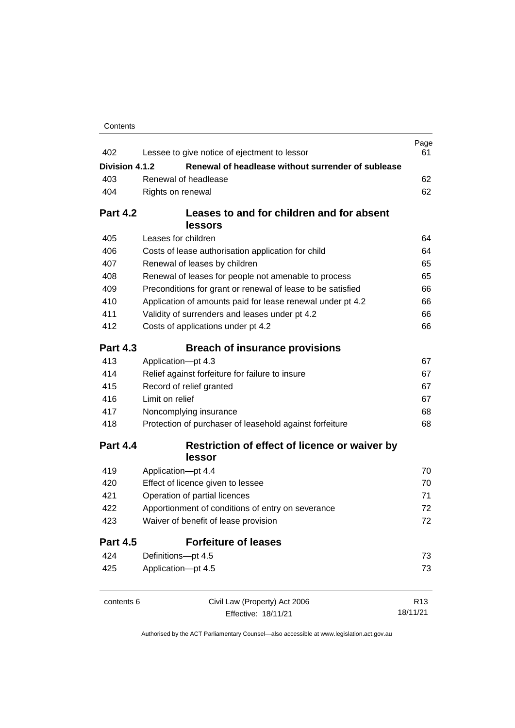| Contents |
|----------|
|----------|

| 402             | Lessee to give notice of ejectment to lessor                                              | Page<br>61      |
|-----------------|-------------------------------------------------------------------------------------------|-----------------|
| Division 4.1.2  | Renewal of headlease without surrender of sublease                                        |                 |
| 403             | Renewal of headlease                                                                      | 62              |
| 404             | Rights on renewal                                                                         | 62              |
|                 |                                                                                           |                 |
| <b>Part 4.2</b> | Leases to and for children and for absent                                                 |                 |
|                 | lessors                                                                                   |                 |
| 405             | Leases for children                                                                       | 64              |
| 406             | Costs of lease authorisation application for child                                        | 64              |
| 407             | Renewal of leases by children                                                             | 65              |
| 408             | Renewal of leases for people not amenable to process                                      | 65              |
| 409             | Preconditions for grant or renewal of lease to be satisfied                               | 66              |
| 410             | Application of amounts paid for lease renewal under pt 4.2                                | 66              |
| 411             | Validity of surrenders and leases under pt 4.2                                            | 66              |
| 412             | Costs of applications under pt 4.2                                                        | 66              |
| <b>Part 4.3</b> | <b>Breach of insurance provisions</b>                                                     |                 |
| 413             | Application-pt 4.3                                                                        | 67              |
| 414             | Relief against forfeiture for failure to insure                                           | 67              |
| 415             | Record of relief granted                                                                  | 67              |
| 416             | Limit on relief                                                                           | 67              |
| 417             | Noncomplying insurance                                                                    | 68              |
| 418             | Protection of purchaser of leasehold against forfeiture                                   | 68              |
| <b>Part 4.4</b> | Restriction of effect of licence or waiver by<br>lessor                                   |                 |
| 419             | Application-pt 4.4                                                                        | 70              |
| 420             | Effect of licence given to lessee                                                         | 70              |
| 421             | Operation of partial licences                                                             | 71<br>72<br>72  |
| 422             | Apportionment of conditions of entry on severance<br>Waiver of benefit of lease provision |                 |
| 423             |                                                                                           |                 |
| <b>Part 4.5</b> | <b>Forfeiture of leases</b>                                                               |                 |
| 424             | Definitions-pt 4.5                                                                        | 73              |
| 425             | Application-pt 4.5                                                                        | 73              |
| contents 6      | Civil Law (Property) Act 2006                                                             | R <sub>13</sub> |
|                 | Effective: 18/11/21                                                                       | 18/11/21        |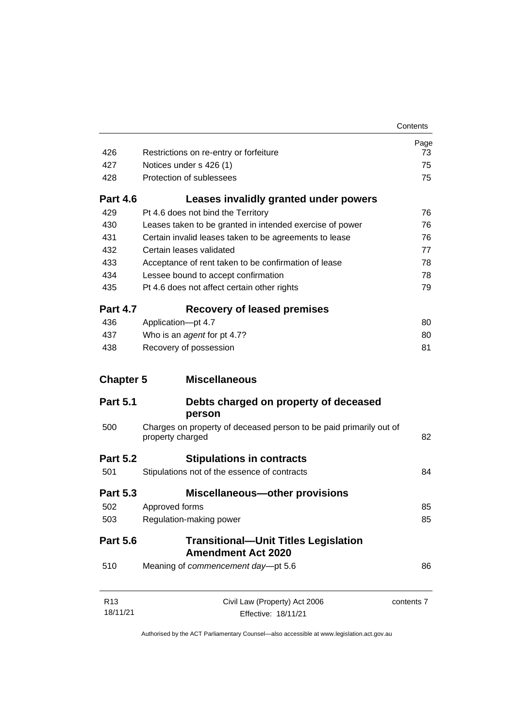|                  |                                                                                        | Contents   |
|------------------|----------------------------------------------------------------------------------------|------------|
|                  |                                                                                        | Page       |
| 426              | Restrictions on re-entry or forfeiture                                                 | 73         |
| 427              | Notices under s 426 (1)                                                                | 75         |
| 428              | Protection of sublessees                                                               | 75         |
| <b>Part 4.6</b>  | Leases invalidly granted under powers                                                  |            |
| 429              | Pt 4.6 does not bind the Territory                                                     | 76         |
| 430              | Leases taken to be granted in intended exercise of power                               | 76         |
| 431              | Certain invalid leases taken to be agreements to lease                                 | 76         |
| 432              | Certain leases validated                                                               | 77         |
| 433              | Acceptance of rent taken to be confirmation of lease                                   | 78         |
| 434              | Lessee bound to accept confirmation                                                    | 78         |
| 435              | Pt 4.6 does not affect certain other rights                                            | 79         |
| <b>Part 4.7</b>  | <b>Recovery of leased premises</b>                                                     |            |
| 436              | Application-pt 4.7                                                                     | 80         |
| 437              | Who is an agent for pt 4.7?                                                            | 80         |
| 438              | Recovery of possession                                                                 | 81         |
| <b>Chapter 5</b> | <b>Miscellaneous</b>                                                                   |            |
| <b>Part 5.1</b>  | Debts charged on property of deceased                                                  |            |
|                  | person                                                                                 |            |
| 500              | Charges on property of deceased person to be paid primarily out of<br>property charged | 82         |
| <b>Part 5.2</b>  | <b>Stipulations in contracts</b>                                                       |            |
| 501              | Stipulations not of the essence of contracts                                           | 84         |
| <b>Part 5.3</b>  | <b>Miscellaneous-other provisions</b>                                                  |            |
| 502              | Approved forms                                                                         | 85         |
| 503              | Regulation-making power                                                                | 85         |
| <b>Part 5.6</b>  | <b>Transitional-Unit Titles Legislation</b><br><b>Amendment Act 2020</b>               |            |
| 510              | Meaning of commencement day-pt 5.6                                                     | 86         |
| R13              | Civil Law (Property) Act 2006                                                          | contents 7 |
| 18/11/21         | Effective: 18/11/21                                                                    |            |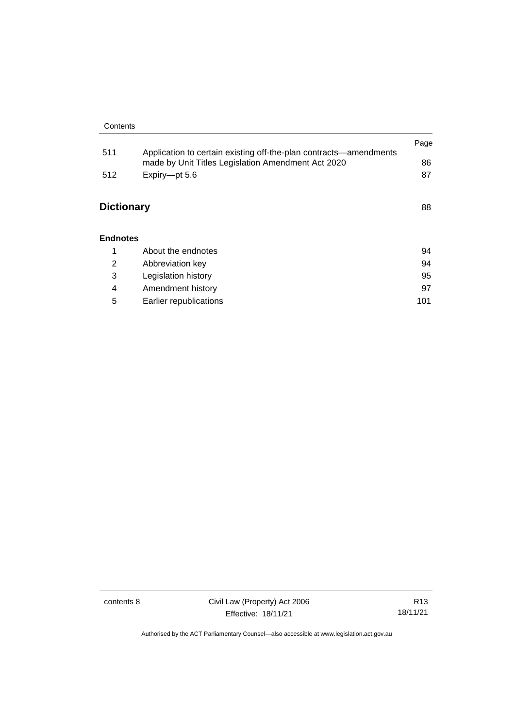|                   |                                                                                                                         | Page |
|-------------------|-------------------------------------------------------------------------------------------------------------------------|------|
| 511               | Application to certain existing off-the-plan contracts—amendments<br>made by Unit Titles Legislation Amendment Act 2020 | 86   |
| 512               | Expiry-pt 5.6                                                                                                           | 87   |
|                   |                                                                                                                         |      |
| <b>Dictionary</b> |                                                                                                                         | 88   |
|                   |                                                                                                                         |      |
| <b>Endnotes</b>   |                                                                                                                         |      |
|                   |                                                                                                                         |      |
| 1                 | About the endnotes                                                                                                      | 94   |
| 2                 | Abbreviation key                                                                                                        | 94   |
| 3                 | Legislation history                                                                                                     | 95   |
| 4                 | Amendment history                                                                                                       | 97   |

5 [Earlier republications](#page-110-0) 101

contents 8 Civil Law (Property) Act 2006 Effective: 18/11/21

R13 18/11/21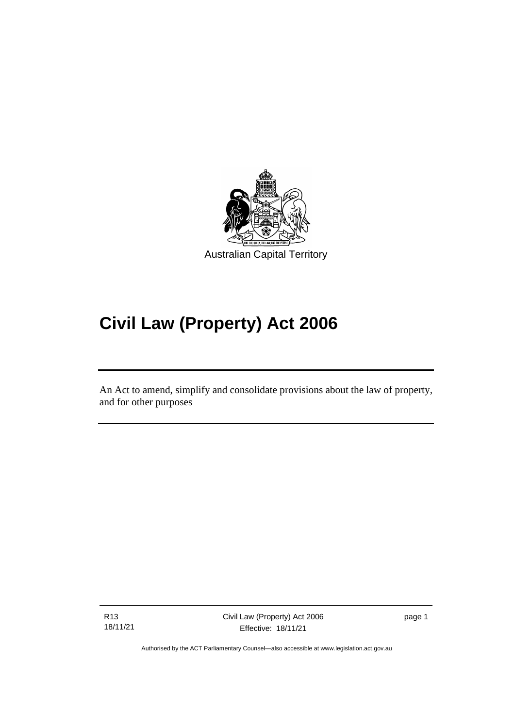

# **Civil Law (Property) Act 2006**

An Act to amend, simplify and consolidate provisions about the law of property, and for other purposes

R13 18/11/21

ׅ֖֖֚֚֡֡֬֝֬

page 1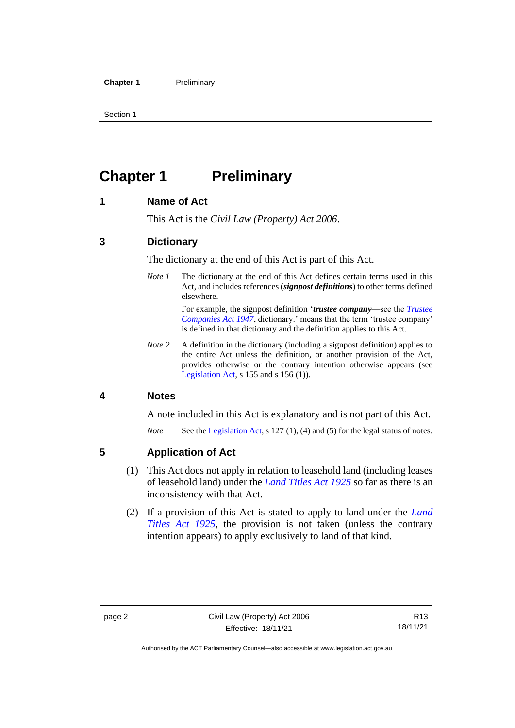## <span id="page-11-0"></span>**Chapter 1 Preliminary**

#### <span id="page-11-1"></span>**1 Name of Act**

This Act is the *Civil Law (Property) Act 2006*.

#### <span id="page-11-2"></span>**3 Dictionary**

The dictionary at the end of this Act is part of this Act.

*Note 1* The dictionary at the end of this Act defines certain terms used in this Act, and includes references (*signpost definitions*) to other terms defined elsewhere.

> For example, the signpost definition '*trustee company*—see the *[Trustee](http://www.legislation.act.gov.au/a/1947-15)  [Companies Act 1947](http://www.legislation.act.gov.au/a/1947-15)*, dictionary.' means that the term 'trustee company' is defined in that dictionary and the definition applies to this Act.

*Note 2* A definition in the dictionary (including a signpost definition) applies to the entire Act unless the definition, or another provision of the Act, provides otherwise or the contrary intention otherwise appears (see [Legislation Act,](http://www.legislation.act.gov.au/a/2001-14) s  $155$  and s  $156$  (1)).

#### <span id="page-11-3"></span>**4 Notes**

A note included in this Act is explanatory and is not part of this Act.

*Note* See the [Legislation Act,](http://www.legislation.act.gov.au/a/2001-14) s 127 (1), (4) and (5) for the legal status of notes.

#### <span id="page-11-4"></span>**5 Application of Act**

- (1) This Act does not apply in relation to leasehold land (including leases of leasehold land) under the *[Land Titles Act](http://www.legislation.act.gov.au/a/1925-1) 1925* so far as there is an inconsistency with that Act.
- (2) If a provision of this Act is stated to apply to land under the *[Land](http://www.legislation.act.gov.au/a/1925-1)  [Titles Act 1925](http://www.legislation.act.gov.au/a/1925-1)*, the provision is not taken (unless the contrary intention appears) to apply exclusively to land of that kind.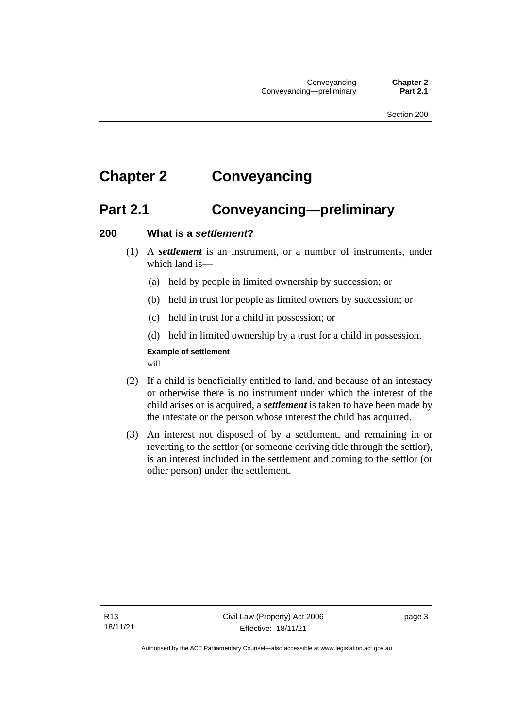## <span id="page-12-1"></span><span id="page-12-0"></span>**Chapter 2 Conveyancing**

## **Part 2.1 Conveyancing—preliminary**

#### <span id="page-12-2"></span>**200 What is a** *settlement***?**

- (1) A *settlement* is an instrument, or a number of instruments, under which land is—
	- (a) held by people in limited ownership by succession; or
	- (b) held in trust for people as limited owners by succession; or
	- (c) held in trust for a child in possession; or
	- (d) held in limited ownership by a trust for a child in possession.

#### **Example of settlement**

will

- (2) If a child is beneficially entitled to land, and because of an intestacy or otherwise there is no instrument under which the interest of the child arises or is acquired, a *settlement* is taken to have been made by the intestate or the person whose interest the child has acquired.
- (3) An interest not disposed of by a settlement, and remaining in or reverting to the settlor (or someone deriving title through the settlor), is an interest included in the settlement and coming to the settlor (or other person) under the settlement.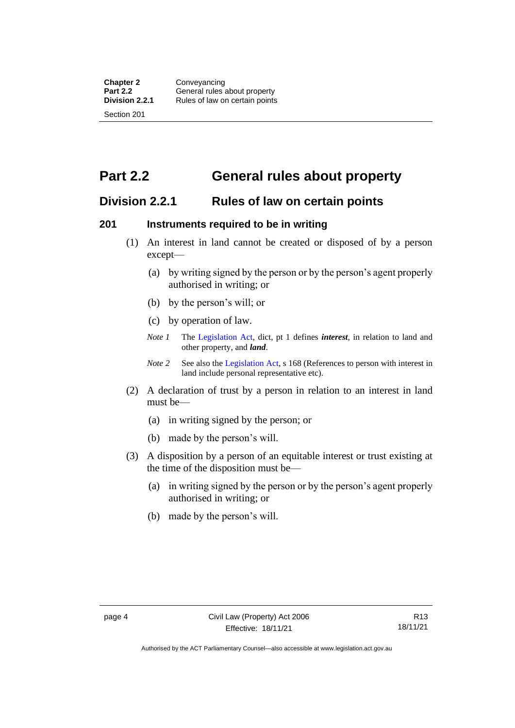<span id="page-13-0"></span>**Part 2.2 General rules about property**

#### <span id="page-13-1"></span>**Division 2.2.1 Rules of law on certain points**

#### <span id="page-13-2"></span>**201 Instruments required to be in writing**

- (1) An interest in land cannot be created or disposed of by a person except—
	- (a) by writing signed by the person or by the person's agent properly authorised in writing; or
	- (b) by the person's will; or
	- (c) by operation of law.
	- *Note 1* The [Legislation Act,](http://www.legislation.act.gov.au/a/2001-14) dict, pt 1 defines *interest*, in relation to land and other property, and *land*.
	- *Note 2* See also the [Legislation Act,](http://www.legislation.act.gov.au/a/2001-14) s 168 (References to person with interest in land include personal representative etc).
- (2) A declaration of trust by a person in relation to an interest in land must be—
	- (a) in writing signed by the person; or
	- (b) made by the person's will.
- (3) A disposition by a person of an equitable interest or trust existing at the time of the disposition must be—
	- (a) in writing signed by the person or by the person's agent properly authorised in writing; or
	- (b) made by the person's will.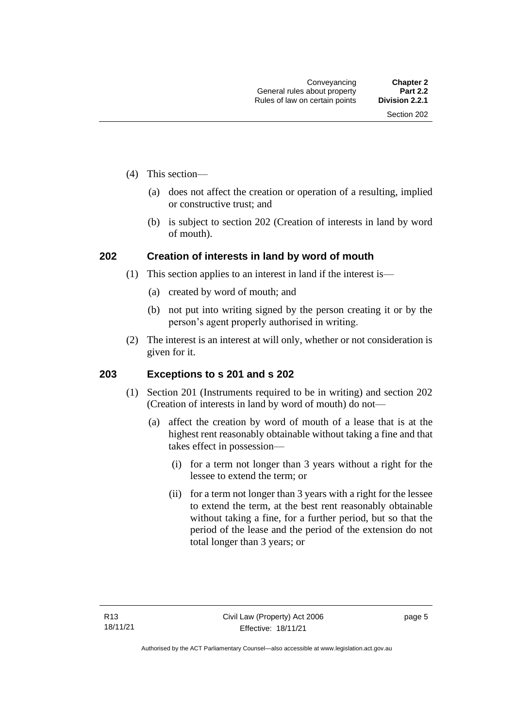- (4) This section—
	- (a) does not affect the creation or operation of a resulting, implied or constructive trust; and
	- (b) is subject to section 202 (Creation of interests in land by word of mouth).

#### <span id="page-14-0"></span>**202 Creation of interests in land by word of mouth**

- (1) This section applies to an interest in land if the interest is—
	- (a) created by word of mouth; and
	- (b) not put into writing signed by the person creating it or by the person's agent properly authorised in writing.
- (2) The interest is an interest at will only, whether or not consideration is given for it.

#### <span id="page-14-1"></span>**203 Exceptions to s 201 and s 202**

- (1) Section 201 (Instruments required to be in writing) and section 202 (Creation of interests in land by word of mouth) do not—
	- (a) affect the creation by word of mouth of a lease that is at the highest rent reasonably obtainable without taking a fine and that takes effect in possession—
		- (i) for a term not longer than 3 years without a right for the lessee to extend the term; or
		- (ii) for a term not longer than 3 years with a right for the lessee to extend the term, at the best rent reasonably obtainable without taking a fine, for a further period, but so that the period of the lease and the period of the extension do not total longer than 3 years; or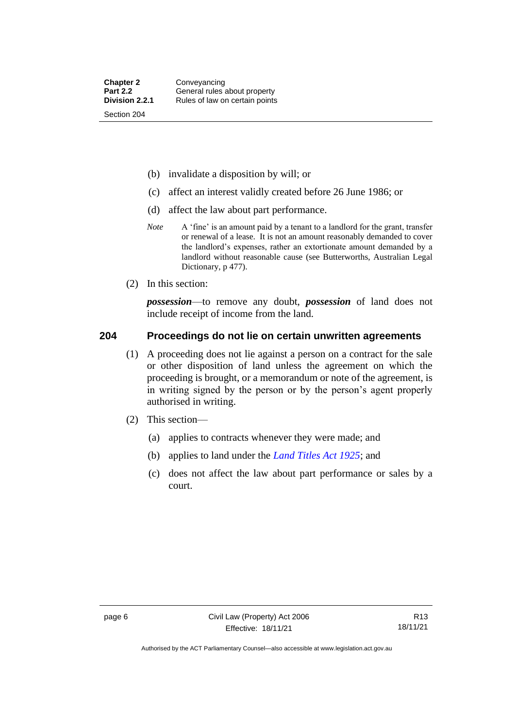- (b) invalidate a disposition by will; or
- (c) affect an interest validly created before 26 June 1986; or
- (d) affect the law about part performance.
- *Note* A 'fine' is an amount paid by a tenant to a landlord for the grant, transfer or renewal of a lease. It is not an amount reasonably demanded to cover the landlord's expenses, rather an extortionate amount demanded by a landlord without reasonable cause (see Butterworths, Australian Legal Dictionary, p 477).
- (2) In this section:

*possession*—to remove any doubt, *possession* of land does not include receipt of income from the land.

#### <span id="page-15-0"></span>**204 Proceedings do not lie on certain unwritten agreements**

- (1) A proceeding does not lie against a person on a contract for the sale or other disposition of land unless the agreement on which the proceeding is brought, or a memorandum or note of the agreement, is in writing signed by the person or by the person's agent properly authorised in writing.
- (2) This section—
	- (a) applies to contracts whenever they were made; and
	- (b) applies to land under the *[Land Titles Act 1925](http://www.legislation.act.gov.au/a/1925-1)*; and
	- (c) does not affect the law about part performance or sales by a court.

Authorised by the ACT Parliamentary Counsel—also accessible at www.legislation.act.gov.au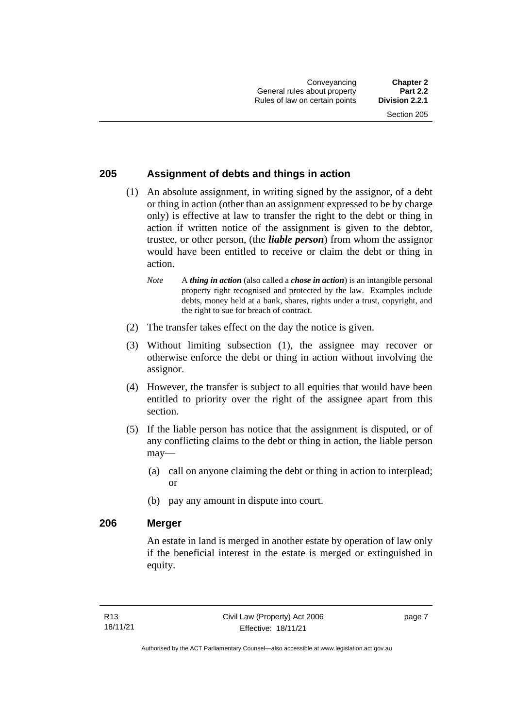#### <span id="page-16-0"></span>**205 Assignment of debts and things in action**

- (1) An absolute assignment, in writing signed by the assignor, of a debt or thing in action (other than an assignment expressed to be by charge only) is effective at law to transfer the right to the debt or thing in action if written notice of the assignment is given to the debtor, trustee, or other person, (the *liable person*) from whom the assignor would have been entitled to receive or claim the debt or thing in action.
	- *Note* A *thing in action* (also called a *chose in action*) is an intangible personal property right recognised and protected by the law. Examples include debts, money held at a bank, shares, rights under a trust, copyright, and the right to sue for breach of contract.
- (2) The transfer takes effect on the day the notice is given.
- (3) Without limiting subsection (1), the assignee may recover or otherwise enforce the debt or thing in action without involving the assignor.
- (4) However, the transfer is subject to all equities that would have been entitled to priority over the right of the assignee apart from this section.
- (5) If the liable person has notice that the assignment is disputed, or of any conflicting claims to the debt or thing in action, the liable person may—
	- (a) call on anyone claiming the debt or thing in action to interplead; or
	- (b) pay any amount in dispute into court.

#### <span id="page-16-1"></span>**206 Merger**

An estate in land is merged in another estate by operation of law only if the beneficial interest in the estate is merged or extinguished in equity.

page 7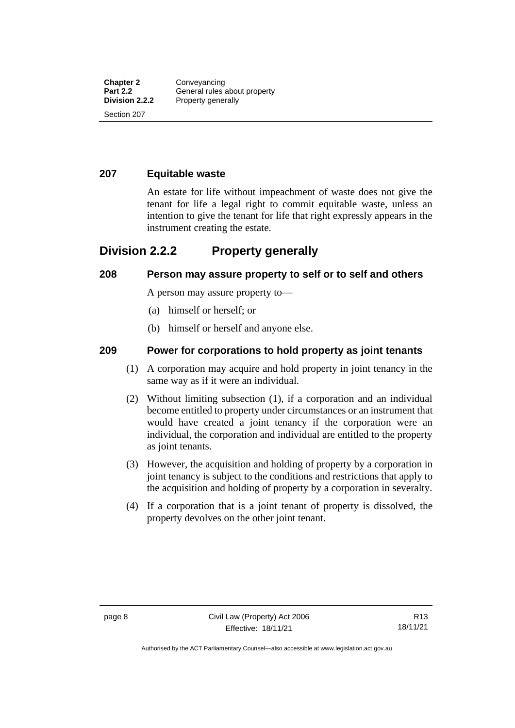#### <span id="page-17-0"></span>**207 Equitable waste**

An estate for life without impeachment of waste does not give the tenant for life a legal right to commit equitable waste, unless an intention to give the tenant for life that right expressly appears in the instrument creating the estate.

#### <span id="page-17-1"></span>**Division 2.2.2 Property generally**

#### <span id="page-17-2"></span>**208 Person may assure property to self or to self and others**

A person may assure property to—

- (a) himself or herself; or
- (b) himself or herself and anyone else.

#### <span id="page-17-3"></span>**209 Power for corporations to hold property as joint tenants**

- (1) A corporation may acquire and hold property in joint tenancy in the same way as if it were an individual.
- (2) Without limiting subsection (1), if a corporation and an individual become entitled to property under circumstances or an instrument that would have created a joint tenancy if the corporation were an individual, the corporation and individual are entitled to the property as joint tenants.
- (3) However, the acquisition and holding of property by a corporation in joint tenancy is subject to the conditions and restrictions that apply to the acquisition and holding of property by a corporation in severalty.
- (4) If a corporation that is a joint tenant of property is dissolved, the property devolves on the other joint tenant.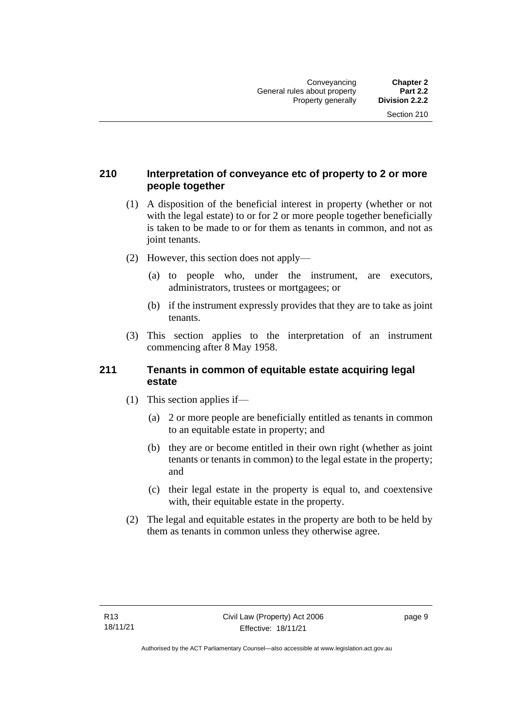#### <span id="page-18-0"></span>**210 Interpretation of conveyance etc of property to 2 or more people together**

- (1) A disposition of the beneficial interest in property (whether or not with the legal estate) to or for 2 or more people together beneficially is taken to be made to or for them as tenants in common, and not as joint tenants.
- (2) However, this section does not apply—
	- (a) to people who, under the instrument, are executors, administrators, trustees or mortgagees; or
	- (b) if the instrument expressly provides that they are to take as joint tenants.
- (3) This section applies to the interpretation of an instrument commencing after 8 May 1958.

#### <span id="page-18-1"></span>**211 Tenants in common of equitable estate acquiring legal estate**

- (1) This section applies if—
	- (a) 2 or more people are beneficially entitled as tenants in common to an equitable estate in property; and
	- (b) they are or become entitled in their own right (whether as joint tenants or tenants in common) to the legal estate in the property; and
	- (c) their legal estate in the property is equal to, and coextensive with, their equitable estate in the property.
- (2) The legal and equitable estates in the property are both to be held by them as tenants in common unless they otherwise agree.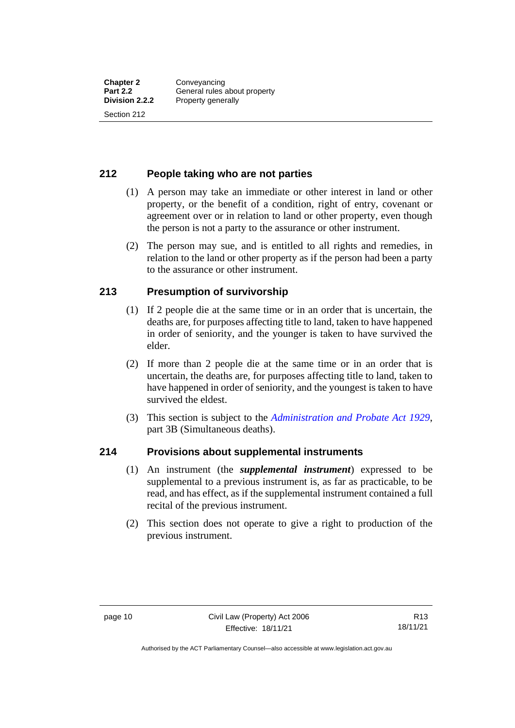#### <span id="page-19-0"></span>**212 People taking who are not parties**

- (1) A person may take an immediate or other interest in land or other property, or the benefit of a condition, right of entry, covenant or agreement over or in relation to land or other property, even though the person is not a party to the assurance or other instrument.
- (2) The person may sue, and is entitled to all rights and remedies, in relation to the land or other property as if the person had been a party to the assurance or other instrument.

#### <span id="page-19-1"></span>**213 Presumption of survivorship**

- (1) If 2 people die at the same time or in an order that is uncertain, the deaths are, for purposes affecting title to land, taken to have happened in order of seniority, and the younger is taken to have survived the elder.
- (2) If more than 2 people die at the same time or in an order that is uncertain, the deaths are, for purposes affecting title to land, taken to have happened in order of seniority, and the youngest is taken to have survived the eldest.
- (3) This section is subject to the *[Administration and Probate Act 1929](http://www.legislation.act.gov.au/a/1929-18)*, part 3B (Simultaneous deaths).

#### <span id="page-19-2"></span>**214 Provisions about supplemental instruments**

- (1) An instrument (the *supplemental instrument*) expressed to be supplemental to a previous instrument is, as far as practicable, to be read, and has effect, as if the supplemental instrument contained a full recital of the previous instrument.
- (2) This section does not operate to give a right to production of the previous instrument.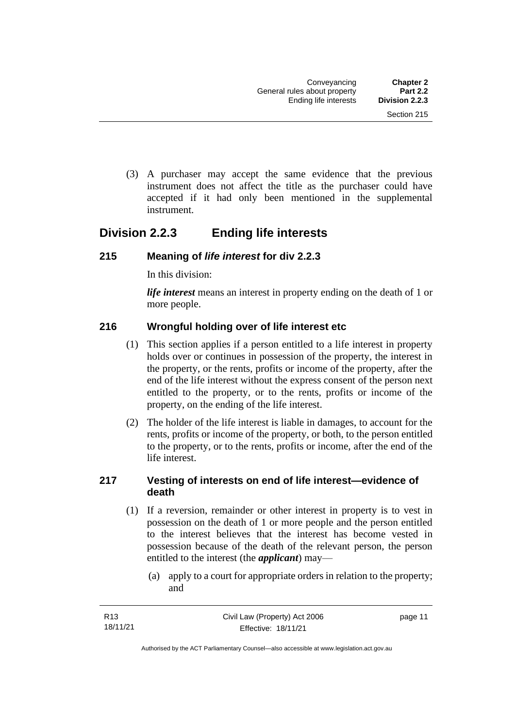(3) A purchaser may accept the same evidence that the previous instrument does not affect the title as the purchaser could have accepted if it had only been mentioned in the supplemental instrument.

## <span id="page-20-0"></span>**Division 2.2.3 Ending life interests**

#### <span id="page-20-1"></span>**215 Meaning of** *life interest* **for div 2.2.3**

In this division:

*life interest* means an interest in property ending on the death of 1 or more people.

#### <span id="page-20-2"></span>**216 Wrongful holding over of life interest etc**

- (1) This section applies if a person entitled to a life interest in property holds over or continues in possession of the property, the interest in the property, or the rents, profits or income of the property, after the end of the life interest without the express consent of the person next entitled to the property, or to the rents, profits or income of the property, on the ending of the life interest.
- (2) The holder of the life interest is liable in damages, to account for the rents, profits or income of the property, or both, to the person entitled to the property, or to the rents, profits or income, after the end of the life interest.

#### <span id="page-20-3"></span>**217 Vesting of interests on end of life interest—evidence of death**

- (1) If a reversion, remainder or other interest in property is to vest in possession on the death of 1 or more people and the person entitled to the interest believes that the interest has become vested in possession because of the death of the relevant person, the person entitled to the interest (the *applicant*) may—
	- (a) apply to a court for appropriate orders in relation to the property; and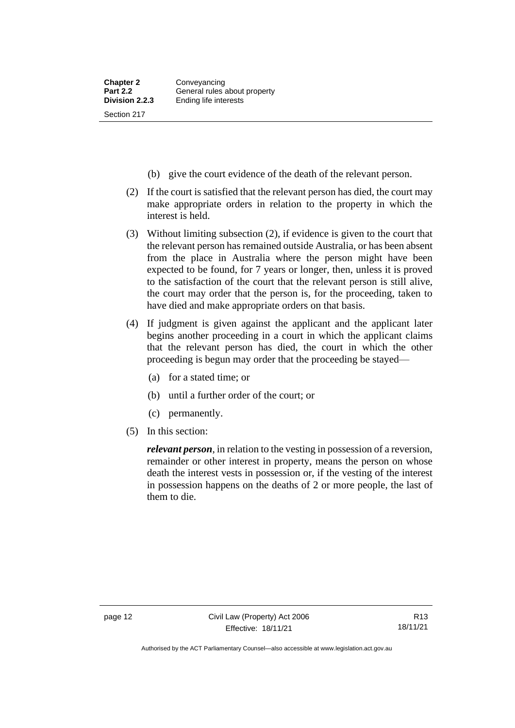- (b) give the court evidence of the death of the relevant person.
- (2) If the court is satisfied that the relevant person has died, the court may make appropriate orders in relation to the property in which the interest is held.
- (3) Without limiting subsection (2), if evidence is given to the court that the relevant person has remained outside Australia, or has been absent from the place in Australia where the person might have been expected to be found, for 7 years or longer, then, unless it is proved to the satisfaction of the court that the relevant person is still alive, the court may order that the person is, for the proceeding, taken to have died and make appropriate orders on that basis.
- (4) If judgment is given against the applicant and the applicant later begins another proceeding in a court in which the applicant claims that the relevant person has died, the court in which the other proceeding is begun may order that the proceeding be stayed—
	- (a) for a stated time; or
	- (b) until a further order of the court; or
	- (c) permanently.
- (5) In this section:

*relevant person*, in relation to the vesting in possession of a reversion, remainder or other interest in property, means the person on whose death the interest vests in possession or, if the vesting of the interest in possession happens on the deaths of 2 or more people, the last of them to die.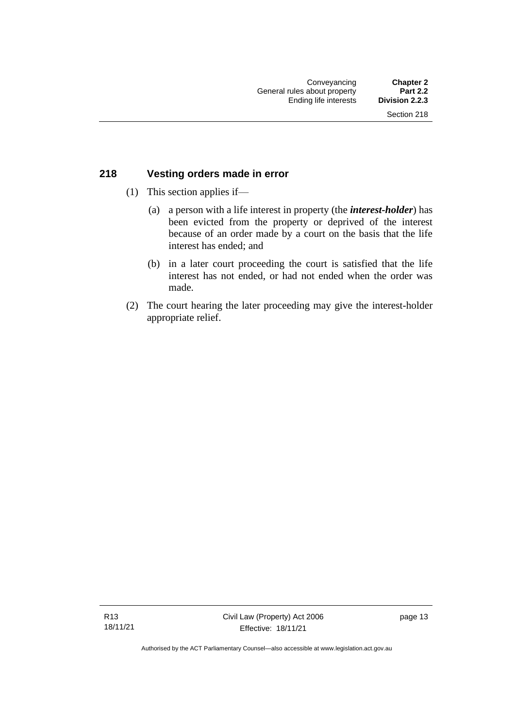#### <span id="page-22-0"></span>**218 Vesting orders made in error**

- (1) This section applies if—
	- (a) a person with a life interest in property (the *interest-holder*) has been evicted from the property or deprived of the interest because of an order made by a court on the basis that the life interest has ended; and
	- (b) in a later court proceeding the court is satisfied that the life interest has not ended, or had not ended when the order was made.
- (2) The court hearing the later proceeding may give the interest-holder appropriate relief.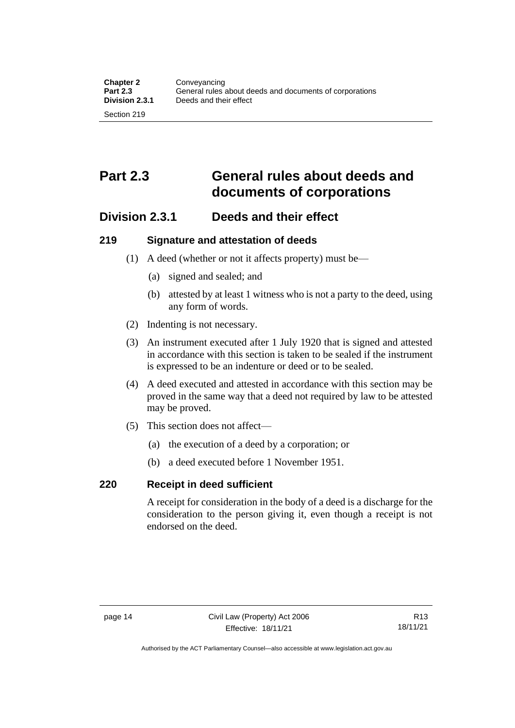## <span id="page-23-0"></span>**Part 2.3 General rules about deeds and documents of corporations**

### <span id="page-23-1"></span>**Division 2.3.1 Deeds and their effect**

#### <span id="page-23-2"></span>**219 Signature and attestation of deeds**

- (1) A deed (whether or not it affects property) must be—
	- (a) signed and sealed; and
	- (b) attested by at least 1 witness who is not a party to the deed, using any form of words.
- (2) Indenting is not necessary.
- (3) An instrument executed after 1 July 1920 that is signed and attested in accordance with this section is taken to be sealed if the instrument is expressed to be an indenture or deed or to be sealed.
- (4) A deed executed and attested in accordance with this section may be proved in the same way that a deed not required by law to be attested may be proved.
- (5) This section does not affect—
	- (a) the execution of a deed by a corporation; or
	- (b) a deed executed before 1 November 1951.

#### <span id="page-23-3"></span>**220 Receipt in deed sufficient**

A receipt for consideration in the body of a deed is a discharge for the consideration to the person giving it, even though a receipt is not endorsed on the deed.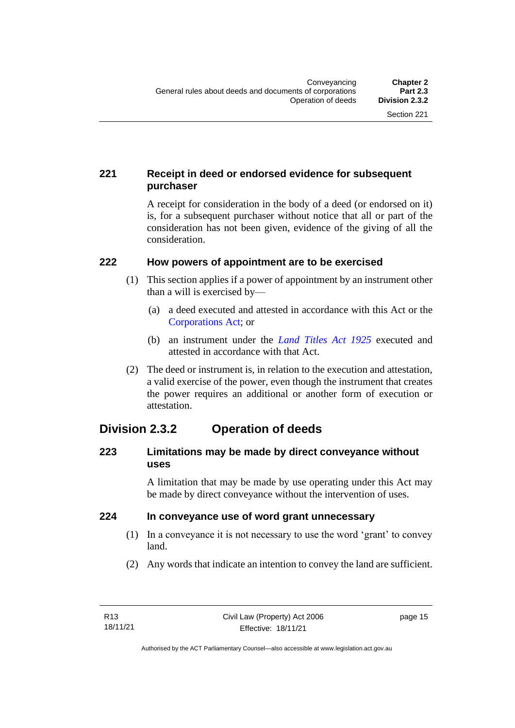#### <span id="page-24-0"></span>**221 Receipt in deed or endorsed evidence for subsequent purchaser**

A receipt for consideration in the body of a deed (or endorsed on it) is, for a subsequent purchaser without notice that all or part of the consideration has not been given, evidence of the giving of all the consideration.

#### <span id="page-24-1"></span>**222 How powers of appointment are to be exercised**

- (1) This section applies if a power of appointment by an instrument other than a will is exercised by—
	- (a) a deed executed and attested in accordance with this Act or the [Corporations Act;](http://www.comlaw.gov.au/Series/C2004A00818) or
	- (b) an instrument under the *[Land Titles Act 1925](http://www.legislation.act.gov.au/a/1925-1)* executed and attested in accordance with that Act.
- (2) The deed or instrument is, in relation to the execution and attestation, a valid exercise of the power, even though the instrument that creates the power requires an additional or another form of execution or attestation.

## <span id="page-24-2"></span>**Division 2.3.2 Operation of deeds**

#### <span id="page-24-3"></span>**223 Limitations may be made by direct conveyance without uses**

A limitation that may be made by use operating under this Act may be made by direct conveyance without the intervention of uses.

#### <span id="page-24-4"></span>**224 In conveyance use of word grant unnecessary**

- (1) In a conveyance it is not necessary to use the word 'grant' to convey land.
- (2) Any words that indicate an intention to convey the land are sufficient.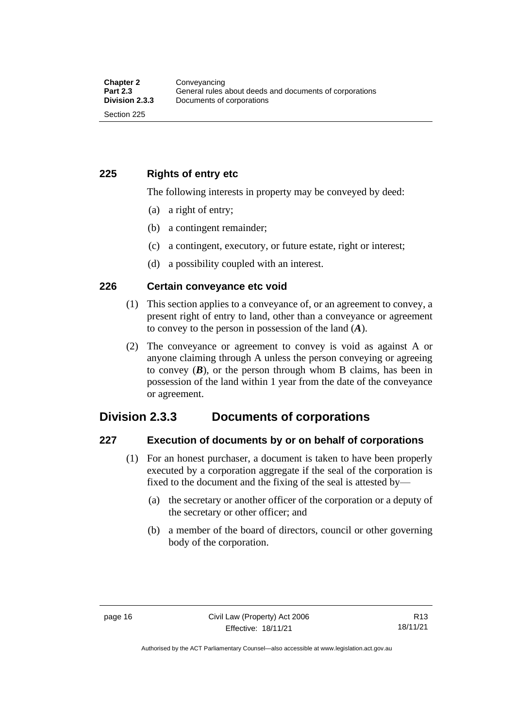<span id="page-25-0"></span>**225 Rights of entry etc**

The following interests in property may be conveyed by deed:

- (a) a right of entry;
- (b) a contingent remainder;
- (c) a contingent, executory, or future estate, right or interest;
- (d) a possibility coupled with an interest.

#### <span id="page-25-1"></span>**226 Certain conveyance etc void**

- (1) This section applies to a conveyance of, or an agreement to convey, a present right of entry to land, other than a conveyance or agreement to convey to the person in possession of the land (*A*).
- (2) The conveyance or agreement to convey is void as against A or anyone claiming through A unless the person conveying or agreeing to convey  $(B)$ , or the person through whom B claims, has been in possession of the land within 1 year from the date of the conveyance or agreement.

#### <span id="page-25-2"></span>**Division 2.3.3 Documents of corporations**

#### <span id="page-25-3"></span>**227 Execution of documents by or on behalf of corporations**

- (1) For an honest purchaser, a document is taken to have been properly executed by a corporation aggregate if the seal of the corporation is fixed to the document and the fixing of the seal is attested by—
	- (a) the secretary or another officer of the corporation or a deputy of the secretary or other officer; and
	- (b) a member of the board of directors, council or other governing body of the corporation.

Authorised by the ACT Parliamentary Counsel—also accessible at www.legislation.act.gov.au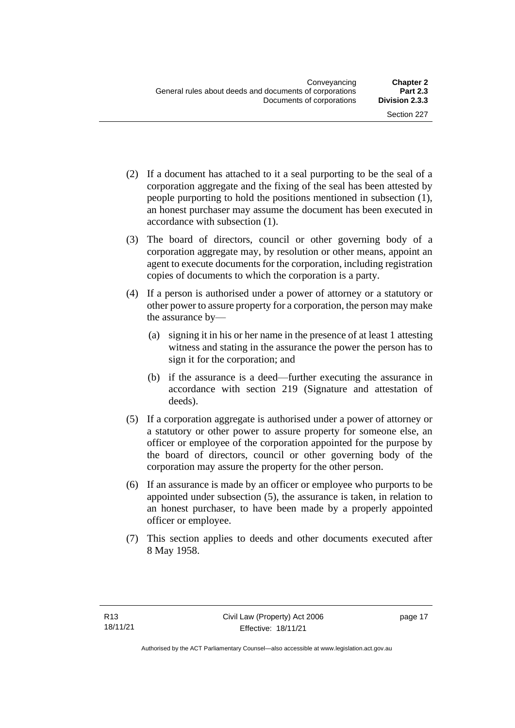- (2) If a document has attached to it a seal purporting to be the seal of a corporation aggregate and the fixing of the seal has been attested by people purporting to hold the positions mentioned in subsection (1), an honest purchaser may assume the document has been executed in accordance with subsection (1).
- (3) The board of directors, council or other governing body of a corporation aggregate may, by resolution or other means, appoint an agent to execute documents for the corporation, including registration copies of documents to which the corporation is a party.
- (4) If a person is authorised under a power of attorney or a statutory or other power to assure property for a corporation, the person may make the assurance by—
	- (a) signing it in his or her name in the presence of at least 1 attesting witness and stating in the assurance the power the person has to sign it for the corporation; and
	- (b) if the assurance is a deed—further executing the assurance in accordance with section 219 (Signature and attestation of deeds).
- (5) If a corporation aggregate is authorised under a power of attorney or a statutory or other power to assure property for someone else, an officer or employee of the corporation appointed for the purpose by the board of directors, council or other governing body of the corporation may assure the property for the other person.
- (6) If an assurance is made by an officer or employee who purports to be appointed under subsection (5), the assurance is taken, in relation to an honest purchaser, to have been made by a properly appointed officer or employee.
- (7) This section applies to deeds and other documents executed after 8 May 1958.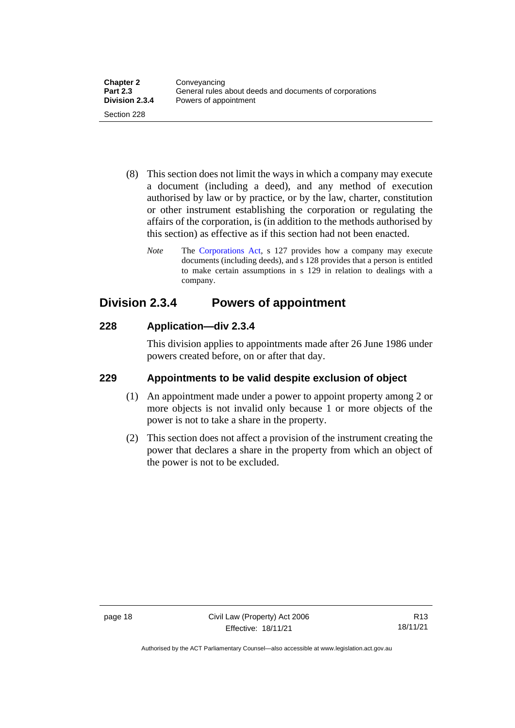- (8) This section does not limit the ways in which a company may execute a document (including a deed), and any method of execution authorised by law or by practice, or by the law, charter, constitution or other instrument establishing the corporation or regulating the affairs of the corporation, is (in addition to the methods authorised by this section) as effective as if this section had not been enacted.
	- *Note* The [Corporations Act,](http://www.comlaw.gov.au/Series/C2004A00818) s 127 provides how a company may execute documents (including deeds), and s 128 provides that a person is entitled to make certain assumptions in s 129 in relation to dealings with a company.

## <span id="page-27-0"></span>**Division 2.3.4 Powers of appointment**

#### <span id="page-27-1"></span>**228 Application—div 2.3.4**

This division applies to appointments made after 26 June 1986 under powers created before, on or after that day.

#### <span id="page-27-2"></span>**229 Appointments to be valid despite exclusion of object**

- (1) An appointment made under a power to appoint property among 2 or more objects is not invalid only because 1 or more objects of the power is not to take a share in the property.
- (2) This section does not affect a provision of the instrument creating the power that declares a share in the property from which an object of the power is not to be excluded.

Authorised by the ACT Parliamentary Counsel—also accessible at www.legislation.act.gov.au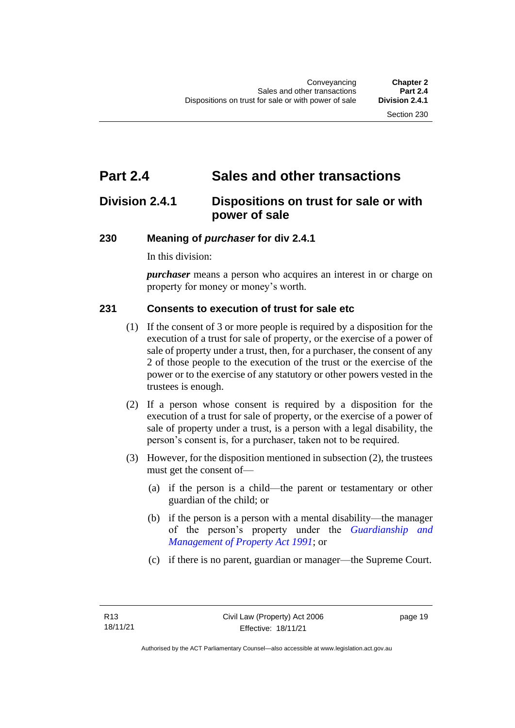## <span id="page-28-0"></span>**Part 2.4 Sales and other transactions**

## <span id="page-28-1"></span>**Division 2.4.1 Dispositions on trust for sale or with power of sale**

#### <span id="page-28-2"></span>**230 Meaning of** *purchaser* **for div 2.4.1**

In this division:

*purchaser* means a person who acquires an interest in or charge on property for money or money's worth.

#### <span id="page-28-3"></span>**231 Consents to execution of trust for sale etc**

- (1) If the consent of 3 or more people is required by a disposition for the execution of a trust for sale of property, or the exercise of a power of sale of property under a trust, then, for a purchaser, the consent of any 2 of those people to the execution of the trust or the exercise of the power or to the exercise of any statutory or other powers vested in the trustees is enough.
- (2) If a person whose consent is required by a disposition for the execution of a trust for sale of property, or the exercise of a power of sale of property under a trust, is a person with a legal disability, the person's consent is, for a purchaser, taken not to be required.
- (3) However, for the disposition mentioned in subsection (2), the trustees must get the consent of—
	- (a) if the person is a child—the parent or testamentary or other guardian of the child; or
	- (b) if the person is a person with a mental disability—the manager of the person's property under the *[Guardianship and](http://www.legislation.act.gov.au/a/1991-62)  [Management of Property Act 1991](http://www.legislation.act.gov.au/a/1991-62)*; or
	- (c) if there is no parent, guardian or manager—the Supreme Court.

page 19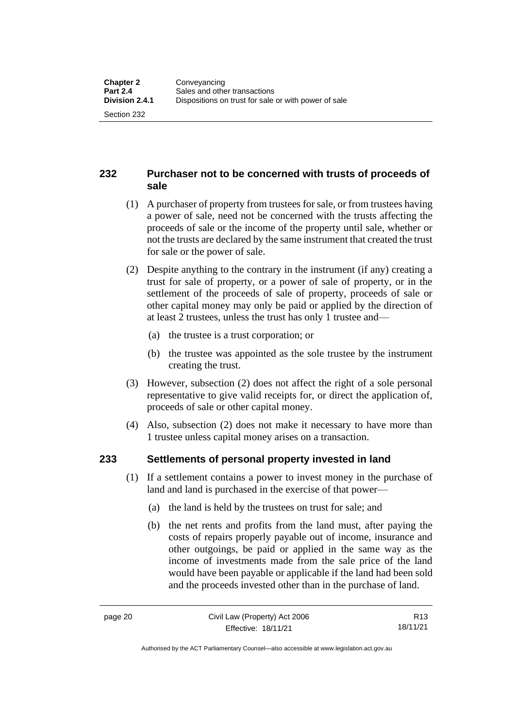#### <span id="page-29-0"></span>**232 Purchaser not to be concerned with trusts of proceeds of sale**

- (1) A purchaser of property from trustees for sale, or from trustees having a power of sale, need not be concerned with the trusts affecting the proceeds of sale or the income of the property until sale, whether or not the trusts are declared by the same instrument that created the trust for sale or the power of sale.
- (2) Despite anything to the contrary in the instrument (if any) creating a trust for sale of property, or a power of sale of property, or in the settlement of the proceeds of sale of property, proceeds of sale or other capital money may only be paid or applied by the direction of at least 2 trustees, unless the trust has only 1 trustee and—
	- (a) the trustee is a trust corporation; or
	- (b) the trustee was appointed as the sole trustee by the instrument creating the trust.
- (3) However, subsection (2) does not affect the right of a sole personal representative to give valid receipts for, or direct the application of, proceeds of sale or other capital money.
- (4) Also, subsection (2) does not make it necessary to have more than 1 trustee unless capital money arises on a transaction.

#### <span id="page-29-1"></span>**233 Settlements of personal property invested in land**

- (1) If a settlement contains a power to invest money in the purchase of land and land is purchased in the exercise of that power—
	- (a) the land is held by the trustees on trust for sale; and
	- (b) the net rents and profits from the land must, after paying the costs of repairs properly payable out of income, insurance and other outgoings, be paid or applied in the same way as the income of investments made from the sale price of the land would have been payable or applicable if the land had been sold and the proceeds invested other than in the purchase of land.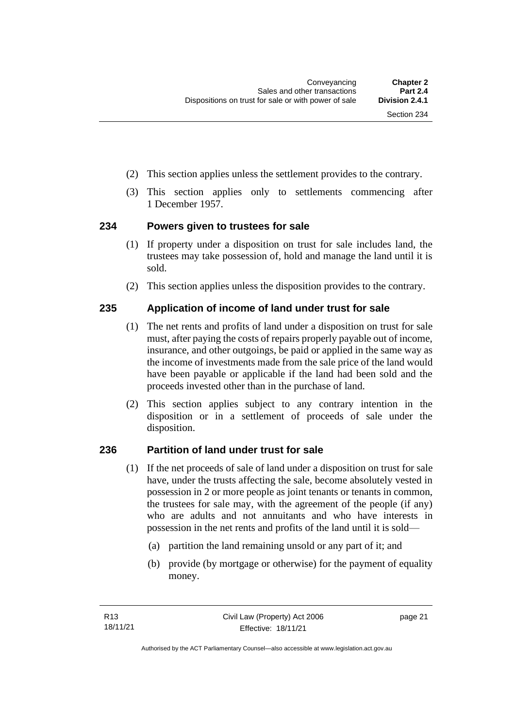- (2) This section applies unless the settlement provides to the contrary.
- (3) This section applies only to settlements commencing after 1 December 1957.

#### <span id="page-30-0"></span>**234 Powers given to trustees for sale**

- (1) If property under a disposition on trust for sale includes land, the trustees may take possession of, hold and manage the land until it is sold.
- (2) This section applies unless the disposition provides to the contrary.

#### <span id="page-30-1"></span>**235 Application of income of land under trust for sale**

- (1) The net rents and profits of land under a disposition on trust for sale must, after paying the costs of repairs properly payable out of income, insurance, and other outgoings, be paid or applied in the same way as the income of investments made from the sale price of the land would have been payable or applicable if the land had been sold and the proceeds invested other than in the purchase of land.
- (2) This section applies subject to any contrary intention in the disposition or in a settlement of proceeds of sale under the disposition.

#### <span id="page-30-2"></span>**236 Partition of land under trust for sale**

- (1) If the net proceeds of sale of land under a disposition on trust for sale have, under the trusts affecting the sale, become absolutely vested in possession in 2 or more people as joint tenants or tenants in common, the trustees for sale may, with the agreement of the people (if any) who are adults and not annuitants and who have interests in possession in the net rents and profits of the land until it is sold—
	- (a) partition the land remaining unsold or any part of it; and
	- (b) provide (by mortgage or otherwise) for the payment of equality money.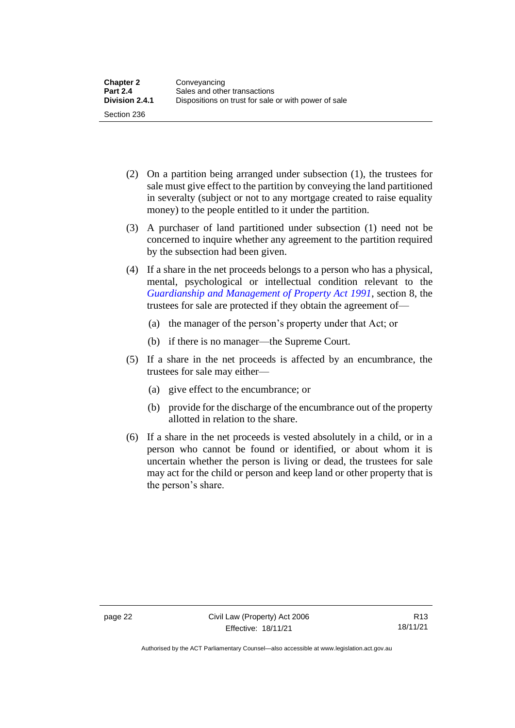- (2) On a partition being arranged under subsection (1), the trustees for sale must give effect to the partition by conveying the land partitioned in severalty (subject or not to any mortgage created to raise equality money) to the people entitled to it under the partition.
- (3) A purchaser of land partitioned under subsection (1) need not be concerned to inquire whether any agreement to the partition required by the subsection had been given.
- (4) If a share in the net proceeds belongs to a person who has a physical, mental, psychological or intellectual condition relevant to the *[Guardianship and Management of Property Act 1991](http://www.legislation.act.gov.au/a/1991-62)*, section 8, the trustees for sale are protected if they obtain the agreement of—
	- (a) the manager of the person's property under that Act; or
	- (b) if there is no manager—the Supreme Court.
- (5) If a share in the net proceeds is affected by an encumbrance, the trustees for sale may either—
	- (a) give effect to the encumbrance; or
	- (b) provide for the discharge of the encumbrance out of the property allotted in relation to the share.
- (6) If a share in the net proceeds is vested absolutely in a child, or in a person who cannot be found or identified, or about whom it is uncertain whether the person is living or dead, the trustees for sale may act for the child or person and keep land or other property that is the person's share.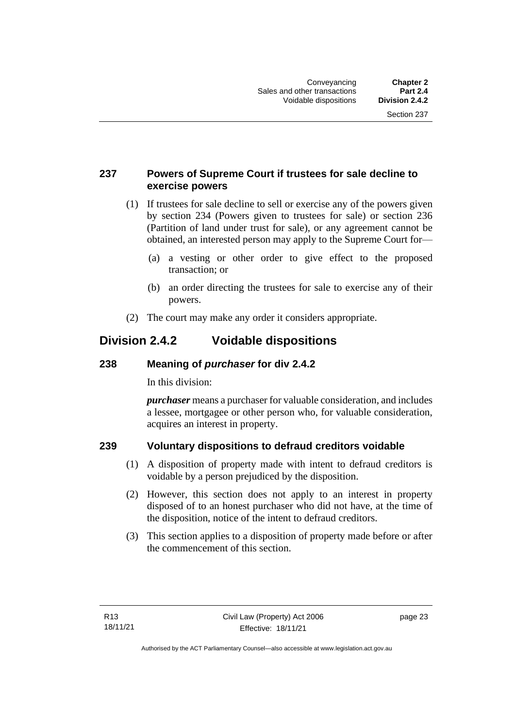#### <span id="page-32-0"></span>**237 Powers of Supreme Court if trustees for sale decline to exercise powers**

- (1) If trustees for sale decline to sell or exercise any of the powers given by section 234 (Powers given to trustees for sale) or section 236 (Partition of land under trust for sale), or any agreement cannot be obtained, an interested person may apply to the Supreme Court for—
	- (a) a vesting or other order to give effect to the proposed transaction; or
	- (b) an order directing the trustees for sale to exercise any of their powers.
- (2) The court may make any order it considers appropriate.

## <span id="page-32-1"></span>**Division 2.4.2 Voidable dispositions**

#### <span id="page-32-2"></span>**238 Meaning of** *purchaser* **for div 2.4.2**

In this division:

*purchaser* means a purchaser for valuable consideration, and includes a lessee, mortgagee or other person who, for valuable consideration, acquires an interest in property.

#### <span id="page-32-3"></span>**239 Voluntary dispositions to defraud creditors voidable**

- (1) A disposition of property made with intent to defraud creditors is voidable by a person prejudiced by the disposition.
- (2) However, this section does not apply to an interest in property disposed of to an honest purchaser who did not have, at the time of the disposition, notice of the intent to defraud creditors.
- (3) This section applies to a disposition of property made before or after the commencement of this section.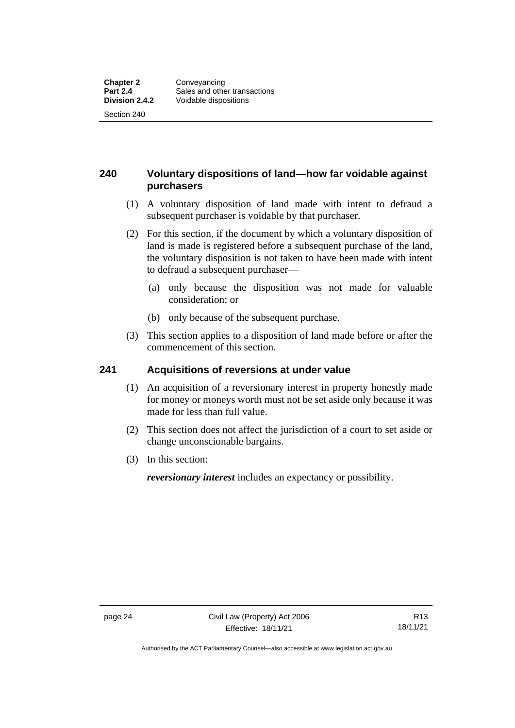#### <span id="page-33-0"></span>**240 Voluntary dispositions of land—how far voidable against purchasers**

- (1) A voluntary disposition of land made with intent to defraud a subsequent purchaser is voidable by that purchaser.
- (2) For this section, if the document by which a voluntary disposition of land is made is registered before a subsequent purchase of the land, the voluntary disposition is not taken to have been made with intent to defraud a subsequent purchaser—
	- (a) only because the disposition was not made for valuable consideration; or
	- (b) only because of the subsequent purchase.
- (3) This section applies to a disposition of land made before or after the commencement of this section.

#### <span id="page-33-1"></span>**241 Acquisitions of reversions at under value**

- (1) An acquisition of a reversionary interest in property honestly made for money or moneys worth must not be set aside only because it was made for less than full value.
- (2) This section does not affect the jurisdiction of a court to set aside or change unconscionable bargains.
- (3) In this section:

*reversionary interest* includes an expectancy or possibility.

Authorised by the ACT Parliamentary Counsel—also accessible at www.legislation.act.gov.au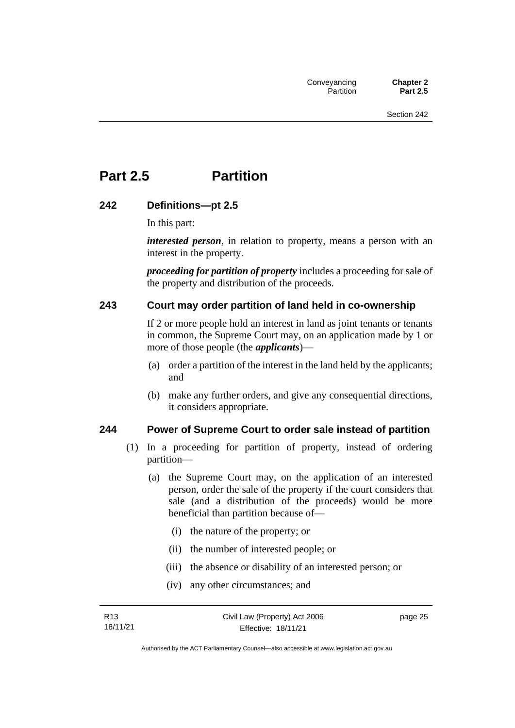## <span id="page-34-0"></span>**Part 2.5 Partition**

#### <span id="page-34-1"></span>**242 Definitions—pt 2.5**

In this part:

*interested person*, in relation to property, means a person with an interest in the property.

*proceeding for partition of property* includes a proceeding for sale of the property and distribution of the proceeds.

#### <span id="page-34-2"></span>**243 Court may order partition of land held in co-ownership**

If 2 or more people hold an interest in land as joint tenants or tenants in common, the Supreme Court may, on an application made by 1 or more of those people (the *applicants*)—

- (a) order a partition of the interest in the land held by the applicants; and
- (b) make any further orders, and give any consequential directions, it considers appropriate.

#### <span id="page-34-3"></span>**244 Power of Supreme Court to order sale instead of partition**

- (1) In a proceeding for partition of property, instead of ordering partition—
	- (a) the Supreme Court may, on the application of an interested person, order the sale of the property if the court considers that sale (and a distribution of the proceeds) would be more beneficial than partition because of—
		- (i) the nature of the property; or
		- (ii) the number of interested people; or
		- (iii) the absence or disability of an interested person; or
		- (iv) any other circumstances; and

page 25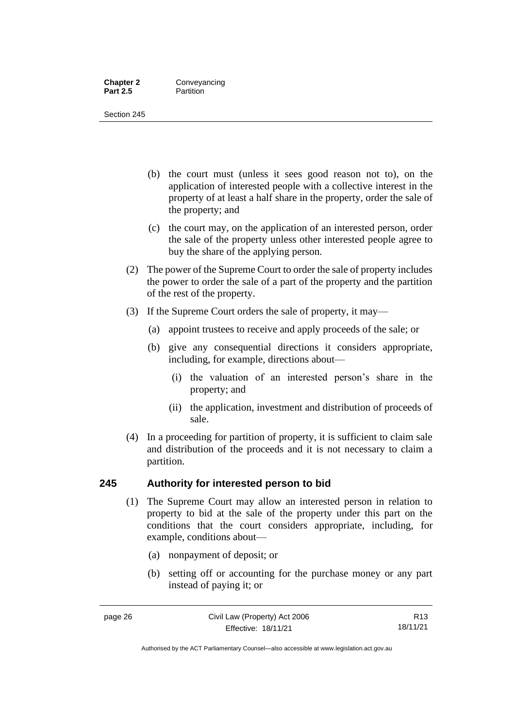#### **Chapter 2 Conveyancing**<br>**Part 2.5 Partition Partition**

Section 245

- (b) the court must (unless it sees good reason not to), on the application of interested people with a collective interest in the property of at least a half share in the property, order the sale of the property; and
- (c) the court may, on the application of an interested person, order the sale of the property unless other interested people agree to buy the share of the applying person.
- (2) The power of the Supreme Court to order the sale of property includes the power to order the sale of a part of the property and the partition of the rest of the property.
- (3) If the Supreme Court orders the sale of property, it may—
	- (a) appoint trustees to receive and apply proceeds of the sale; or
	- (b) give any consequential directions it considers appropriate, including, for example, directions about—
		- (i) the valuation of an interested person's share in the property; and
		- (ii) the application, investment and distribution of proceeds of sale.
- (4) In a proceeding for partition of property, it is sufficient to claim sale and distribution of the proceeds and it is not necessary to claim a partition.

#### <span id="page-35-0"></span>**245 Authority for interested person to bid**

- (1) The Supreme Court may allow an interested person in relation to property to bid at the sale of the property under this part on the conditions that the court considers appropriate, including, for example, conditions about—
	- (a) nonpayment of deposit; or
	- (b) setting off or accounting for the purchase money or any part instead of paying it; or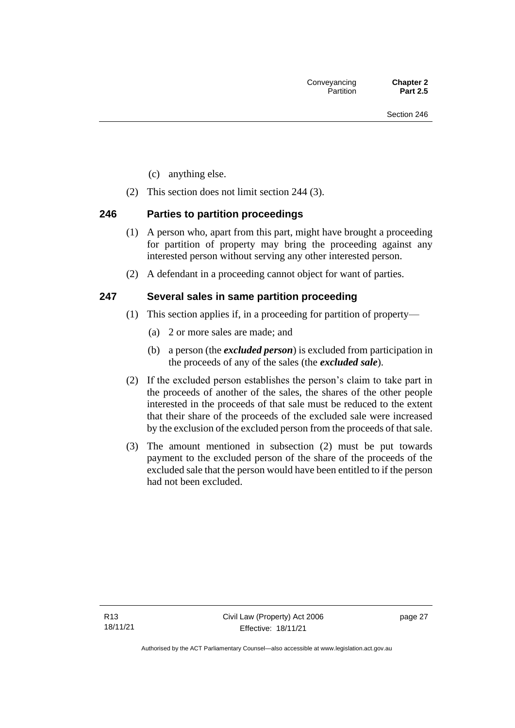- (c) anything else.
- (2) This section does not limit section 244 (3).

## **246 Parties to partition proceedings**

- (1) A person who, apart from this part, might have brought a proceeding for partition of property may bring the proceeding against any interested person without serving any other interested person.
- (2) A defendant in a proceeding cannot object for want of parties.

## **247 Several sales in same partition proceeding**

- (1) This section applies if, in a proceeding for partition of property—
	- (a) 2 or more sales are made; and
	- (b) a person (the *excluded person*) is excluded from participation in the proceeds of any of the sales (the *excluded sale*).
- (2) If the excluded person establishes the person's claim to take part in the proceeds of another of the sales, the shares of the other people interested in the proceeds of that sale must be reduced to the extent that their share of the proceeds of the excluded sale were increased by the exclusion of the excluded person from the proceeds of that sale.
- (3) The amount mentioned in subsection (2) must be put towards payment to the excluded person of the share of the proceeds of the excluded sale that the person would have been entitled to if the person had not been excluded.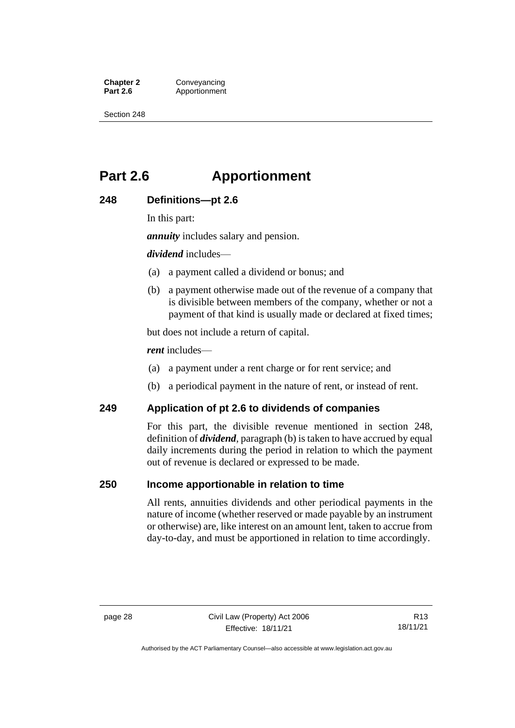**Chapter 2 Conveyancing**<br>**Part 2.6 Apportionment** Apportionment

Section 248

## **Part 2.6 Apportionment**

#### **248 Definitions—pt 2.6**

In this part:

*annuity* includes salary and pension.

*dividend* includes—

- (a) a payment called a dividend or bonus; and
- (b) a payment otherwise made out of the revenue of a company that is divisible between members of the company, whether or not a payment of that kind is usually made or declared at fixed times;

but does not include a return of capital.

*rent* includes—

- (a) a payment under a rent charge or for rent service; and
- (b) a periodical payment in the nature of rent, or instead of rent.

#### **249 Application of pt 2.6 to dividends of companies**

For this part, the divisible revenue mentioned in section 248, definition of *dividend*, paragraph (b) is taken to have accrued by equal daily increments during the period in relation to which the payment out of revenue is declared or expressed to be made.

#### **250 Income apportionable in relation to time**

All rents, annuities dividends and other periodical payments in the nature of income (whether reserved or made payable by an instrument or otherwise) are, like interest on an amount lent, taken to accrue from day-to-day, and must be apportioned in relation to time accordingly.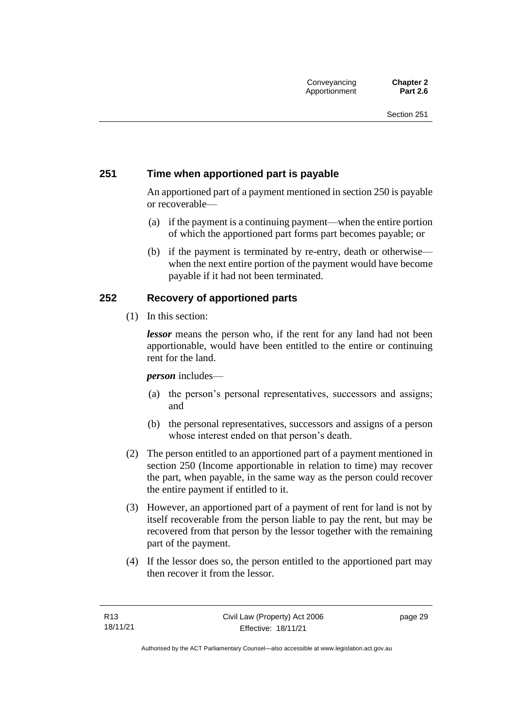## **251 Time when apportioned part is payable**

An apportioned part of a payment mentioned in section 250 is payable or recoverable—

- (a) if the payment is a continuing payment—when the entire portion of which the apportioned part forms part becomes payable; or
- (b) if the payment is terminated by re-entry, death or otherwise when the next entire portion of the payment would have become payable if it had not been terminated.

## **252 Recovery of apportioned parts**

(1) In this section:

*lessor* means the person who, if the rent for any land had not been apportionable, would have been entitled to the entire or continuing rent for the land.

#### *person* includes—

- (a) the person's personal representatives, successors and assigns; and
- (b) the personal representatives, successors and assigns of a person whose interest ended on that person's death.
- (2) The person entitled to an apportioned part of a payment mentioned in section 250 (Income apportionable in relation to time) may recover the part, when payable, in the same way as the person could recover the entire payment if entitled to it.
- (3) However, an apportioned part of a payment of rent for land is not by itself recoverable from the person liable to pay the rent, but may be recovered from that person by the lessor together with the remaining part of the payment.
- (4) If the lessor does so, the person entitled to the apportioned part may then recover it from the lessor.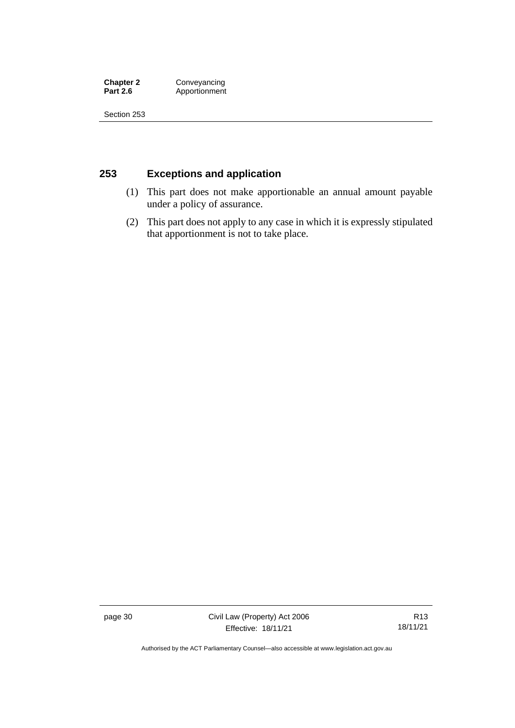**Chapter 2 Conveyancing**<br>**Part 2.6 Apportionment Part 2.6** Apportionment

Section 253

## **253 Exceptions and application**

- (1) This part does not make apportionable an annual amount payable under a policy of assurance.
- (2) This part does not apply to any case in which it is expressly stipulated that apportionment is not to take place.

page 30 Civil Law (Property) Act 2006 Effective: 18/11/21

R13 18/11/21

Authorised by the ACT Parliamentary Counsel—also accessible at www.legislation.act.gov.au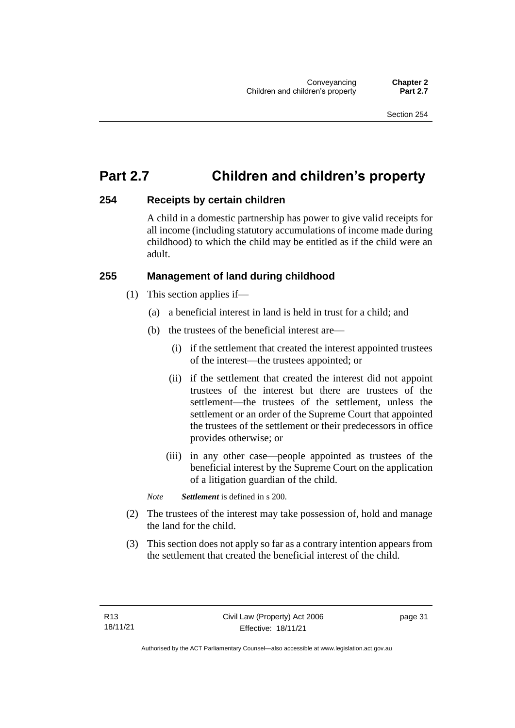## **Part 2.7 Children and children's property**

## **254 Receipts by certain children**

A child in a domestic partnership has power to give valid receipts for all income (including statutory accumulations of income made during childhood) to which the child may be entitled as if the child were an adult.

## **255 Management of land during childhood**

- (1) This section applies if—
	- (a) a beneficial interest in land is held in trust for a child; and
	- (b) the trustees of the beneficial interest are—
		- (i) if the settlement that created the interest appointed trustees of the interest—the trustees appointed; or
		- (ii) if the settlement that created the interest did not appoint trustees of the interest but there are trustees of the settlement—the trustees of the settlement, unless the settlement or an order of the Supreme Court that appointed the trustees of the settlement or their predecessors in office provides otherwise; or
		- (iii) in any other case—people appointed as trustees of the beneficial interest by the Supreme Court on the application of a litigation guardian of the child.

*Note Settlement* is defined in s 200.

- (2) The trustees of the interest may take possession of, hold and manage the land for the child.
- (3) This section does not apply so far as a contrary intention appears from the settlement that created the beneficial interest of the child.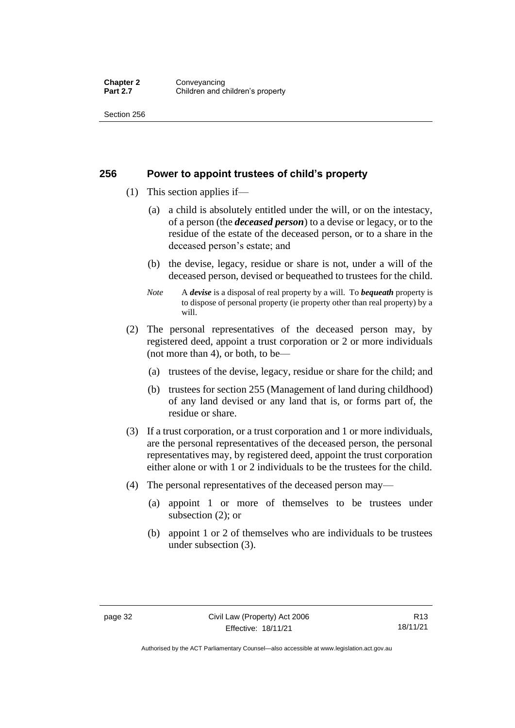#### **256 Power to appoint trustees of child's property**

- (1) This section applies if—
	- (a) a child is absolutely entitled under the will, or on the intestacy, of a person (the *deceased person*) to a devise or legacy, or to the residue of the estate of the deceased person, or to a share in the deceased person's estate; and
	- (b) the devise, legacy, residue or share is not, under a will of the deceased person, devised or bequeathed to trustees for the child.
	- *Note* A *devise* is a disposal of real property by a will. To *bequeath* property is to dispose of personal property (ie property other than real property) by a will.
- (2) The personal representatives of the deceased person may, by registered deed, appoint a trust corporation or 2 or more individuals (not more than 4), or both, to be—
	- (a) trustees of the devise, legacy, residue or share for the child; and
	- (b) trustees for section 255 (Management of land during childhood) of any land devised or any land that is, or forms part of, the residue or share.
- (3) If a trust corporation, or a trust corporation and 1 or more individuals, are the personal representatives of the deceased person, the personal representatives may, by registered deed, appoint the trust corporation either alone or with 1 or 2 individuals to be the trustees for the child.
- (4) The personal representatives of the deceased person may—
	- (a) appoint 1 or more of themselves to be trustees under subsection (2); or
	- (b) appoint 1 or 2 of themselves who are individuals to be trustees under subsection (3).

Authorised by the ACT Parliamentary Counsel—also accessible at www.legislation.act.gov.au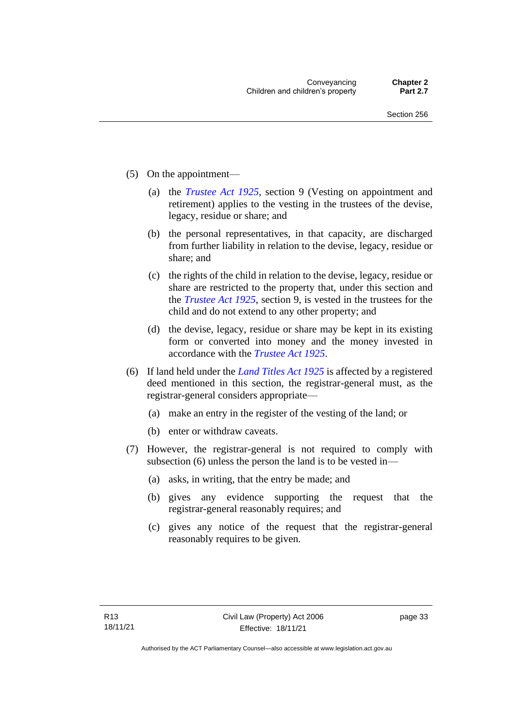- (5) On the appointment—
	- (a) the *[Trustee Act 1925](http://www.legislation.act.gov.au/a/1925-14)*, section 9 (Vesting on appointment and retirement) applies to the vesting in the trustees of the devise, legacy, residue or share; and
	- (b) the personal representatives, in that capacity, are discharged from further liability in relation to the devise, legacy, residue or share; and
	- (c) the rights of the child in relation to the devise, legacy, residue or share are restricted to the property that, under this section and the *[Trustee Act 1925](http://www.legislation.act.gov.au/a/1925-14)*, section 9, is vested in the trustees for the child and do not extend to any other property; and
	- (d) the devise, legacy, residue or share may be kept in its existing form or converted into money and the money invested in accordance with the *[Trustee Act 1925](http://www.legislation.act.gov.au/a/1925-14)*.
- (6) If land held under the *[Land Titles Act 1925](http://www.legislation.act.gov.au/a/1925-1)* is affected by a registered deed mentioned in this section, the registrar-general must, as the registrar-general considers appropriate—
	- (a) make an entry in the register of the vesting of the land; or
	- (b) enter or withdraw caveats.
- (7) However, the registrar-general is not required to comply with subsection (6) unless the person the land is to be vested in—
	- (a) asks, in writing, that the entry be made; and
	- (b) gives any evidence supporting the request that the registrar-general reasonably requires; and
	- (c) gives any notice of the request that the registrar-general reasonably requires to be given.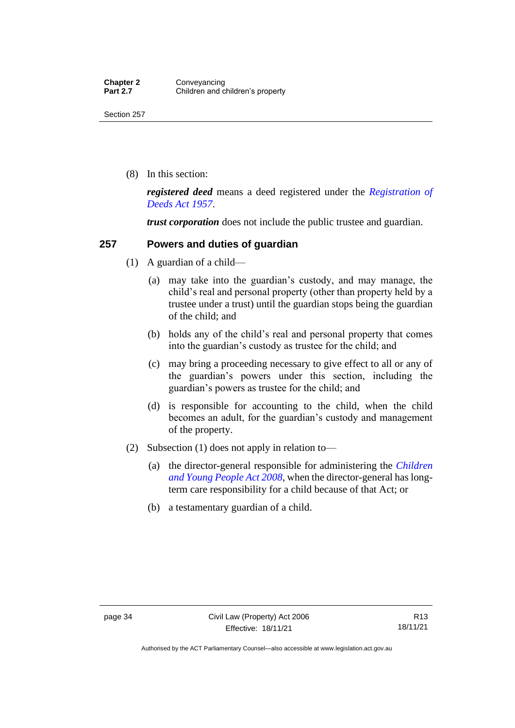(8) In this section:

*registered deed* means a deed registered under the *[Registration of](http://www.legislation.act.gov.au/a/1957-13)  [Deeds Act 1957](http://www.legislation.act.gov.au/a/1957-13)*.

*trust corporation* does not include the public trustee and guardian.

## **257 Powers and duties of guardian**

- (1) A guardian of a child—
	- (a) may take into the guardian's custody, and may manage, the child's real and personal property (other than property held by a trustee under a trust) until the guardian stops being the guardian of the child; and
	- (b) holds any of the child's real and personal property that comes into the guardian's custody as trustee for the child; and
	- (c) may bring a proceeding necessary to give effect to all or any of the guardian's powers under this section, including the guardian's powers as trustee for the child; and
	- (d) is responsible for accounting to the child, when the child becomes an adult, for the guardian's custody and management of the property.
- (2) Subsection (1) does not apply in relation to—
	- (a) the director-general responsible for administering the *[Children](http://www.legislation.act.gov.au/a/2008-19)  [and Young People Act 2008](http://www.legislation.act.gov.au/a/2008-19)*, when the director-general has longterm care responsibility for a child because of that Act; or
	- (b) a testamentary guardian of a child.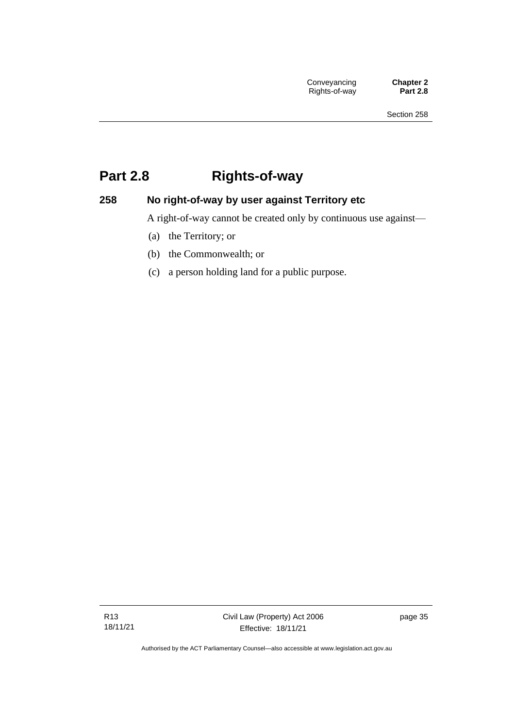## **Part 2.8 Rights-of-way**

## **258 No right-of-way by user against Territory etc**

A right-of-way cannot be created only by continuous use against—

- (a) the Territory; or
- (b) the Commonwealth; or
- (c) a person holding land for a public purpose.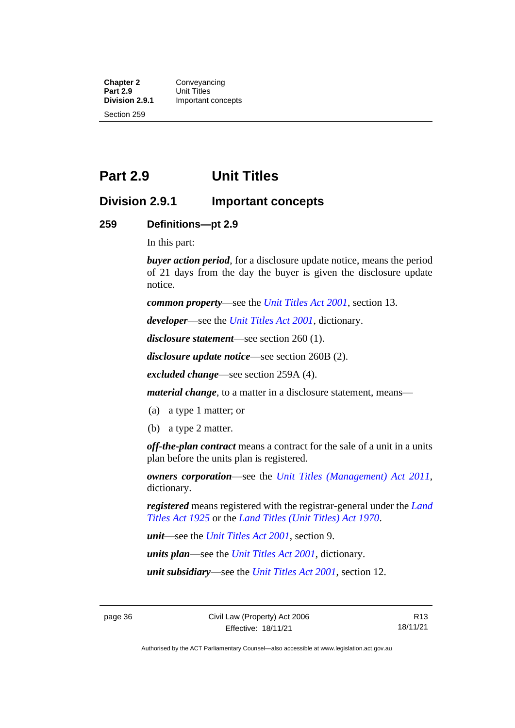**Chapter 2 Conveyancing**<br>**Part 2.9 Unit Titles Part 2.9** Unit Titles<br> **Division 2.9.1** Important **Division 2.9.1** Important concepts Section 259

## **Part 2.9 Unit Titles**

## **Division 2.9.1 Important concepts**

#### **259 Definitions—pt 2.9**

In this part:

*buyer action period*, for a disclosure update notice, means the period of 21 days from the day the buyer is given the disclosure update notice.

*common property*—see the *[Unit Titles Act 2001](http://www.legislation.act.gov.au/a/2001-16)*, section 13.

*developer*—see the *[Unit Titles Act 2001](http://www.legislation.act.gov.au/a/2001-16)*, dictionary.

*disclosure statement*—see section 260 (1).

*disclosure update notice*—see section 260B (2).

*excluded change*—see section 259A (4).

*material change*, to a matter in a disclosure statement, means—

- (a) a type 1 matter; or
- (b) a type 2 matter.

*off-the-plan contract* means a contract for the sale of a unit in a units plan before the units plan is registered.

*owners corporation*—see the *[Unit Titles \(Management\) Act 2011](http://www.legislation.act.gov.au/a/2011-41)*, dictionary.

*registered* means registered with the registrar-general under the *[Land](http://www.legislation.act.gov.au/a/1925-1)  [Titles Act 1925](http://www.legislation.act.gov.au/a/1925-1)* or the *[Land Titles \(Unit Titles\) Act 1970](http://www.legislation.act.gov.au/a/1970-32)*.

*unit*—see the *[Unit Titles Act 2001](http://www.legislation.act.gov.au/a/2001-16)*, section 9.

*units plan*—see the *[Unit Titles Act 2001](http://www.legislation.act.gov.au/a/2001-16)*, dictionary.

*unit subsidiary*—see the *[Unit Titles Act 2001](http://www.legislation.act.gov.au/a/2001-16)*, section 12.

R13 18/11/21

Authorised by the ACT Parliamentary Counsel—also accessible at www.legislation.act.gov.au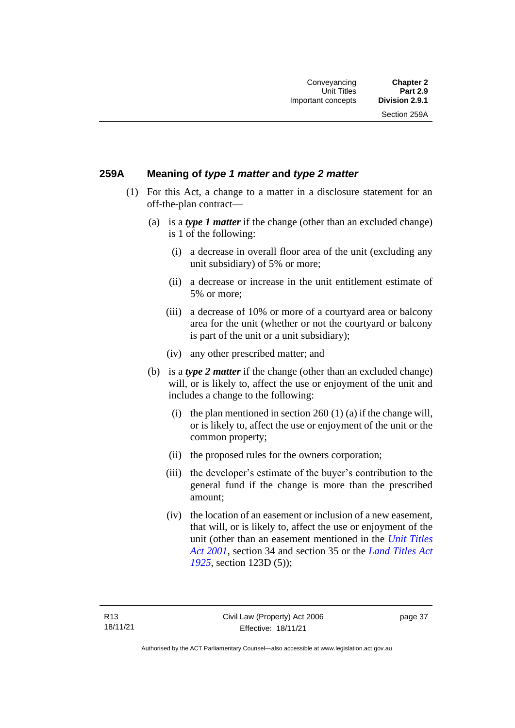Section 259A

## **259A Meaning of** *type 1 matter* **and** *type 2 matter*

- (1) For this Act, a change to a matter in a disclosure statement for an off-the-plan contract—
	- (a) is a *type 1 matter* if the change (other than an excluded change) is 1 of the following:
		- (i) a decrease in overall floor area of the unit (excluding any unit subsidiary) of 5% or more;
		- (ii) a decrease or increase in the unit entitlement estimate of 5% or more;
		- (iii) a decrease of 10% or more of a courtyard area or balcony area for the unit (whether or not the courtyard or balcony is part of the unit or a unit subsidiary);
		- (iv) any other prescribed matter; and
	- (b) is a *type 2 matter* if the change (other than an excluded change) will, or is likely to, affect the use or enjoyment of the unit and includes a change to the following:
		- (i) the plan mentioned in section  $260(1)(a)$  if the change will, or is likely to, affect the use or enjoyment of the unit or the common property;
		- (ii) the proposed rules for the owners corporation;
		- (iii) the developer's estimate of the buyer's contribution to the general fund if the change is more than the prescribed amount;
		- (iv) the location of an easement or inclusion of a new easement, that will, or is likely to, affect the use or enjoyment of the unit (other than an easement mentioned in the *[Unit Titles](http://www.legislation.act.gov.au/a/2001-16)  Act [2001](http://www.legislation.act.gov.au/a/2001-16)*, section 34 and section 35 or the *[Land Titles Act](http://www.legislation.act.gov.au/a/1925-1)  [1925](http://www.legislation.act.gov.au/a/1925-1)*, section 123D (5));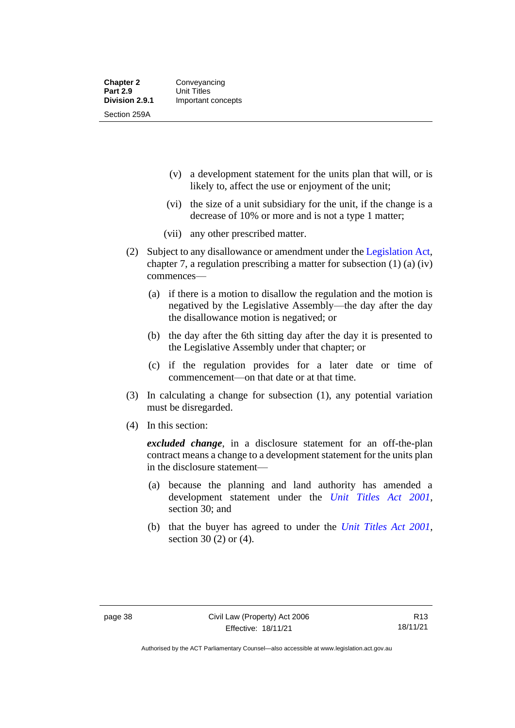- (v) a development statement for the units plan that will, or is likely to, affect the use or enjoyment of the unit;
- (vi) the size of a unit subsidiary for the unit, if the change is a decrease of 10% or more and is not a type 1 matter;
- (vii) any other prescribed matter.
- (2) Subject to any disallowance or amendment under the [Legislation Act,](http://www.legislation.act.gov.au/a/2001-14) chapter 7, a regulation prescribing a matter for subsection (1) (a) (iv) commences—
	- (a) if there is a motion to disallow the regulation and the motion is negatived by the Legislative Assembly—the day after the day the disallowance motion is negatived; or
	- (b) the day after the 6th sitting day after the day it is presented to the Legislative Assembly under that chapter; or
	- (c) if the regulation provides for a later date or time of commencement—on that date or at that time.
- (3) In calculating a change for subsection (1), any potential variation must be disregarded.
- (4) In this section:

*excluded change*, in a disclosure statement for an off-the-plan contract means a change to a development statement for the units plan in the disclosure statement—

- (a) because the planning and land authority has amended a development statement under the *[Unit Titles Act 2001](http://www.legislation.act.gov.au/a/2001-16)*, section 30; and
- (b) that the buyer has agreed to under the *[Unit Titles Act 2001](http://www.legislation.act.gov.au/a/2001-16)*, section 30 (2) or (4).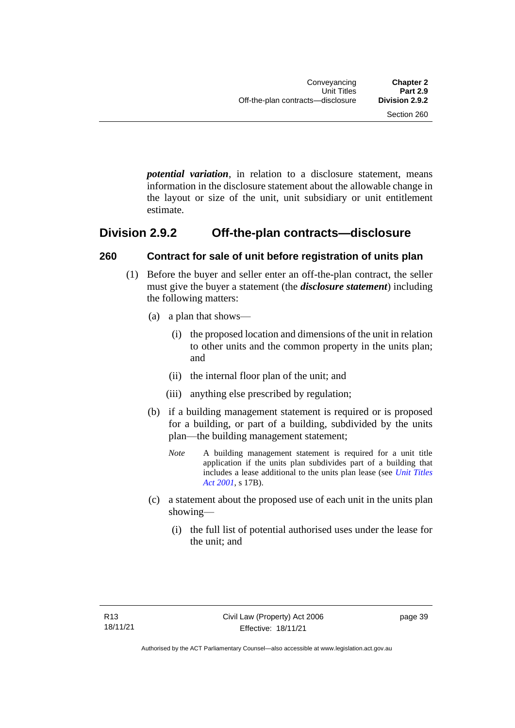*potential variation*, in relation to a disclosure statement, means information in the disclosure statement about the allowable change in the layout or size of the unit, unit subsidiary or unit entitlement estimate.

## **Division 2.9.2 Off-the-plan contracts—disclosure**

## **260 Contract for sale of unit before registration of units plan**

- (1) Before the buyer and seller enter an off-the-plan contract, the seller must give the buyer a statement (the *disclosure statement*) including the following matters:
	- (a) a plan that shows—
		- (i) the proposed location and dimensions of the unit in relation to other units and the common property in the units plan; and
		- (ii) the internal floor plan of the unit; and
		- (iii) anything else prescribed by regulation;
	- (b) if a building management statement is required or is proposed for a building, or part of a building, subdivided by the units plan—the building management statement;
		- *Note* A building management statement is required for a unit title application if the units plan subdivides part of a building that includes a lease additional to the units plan lease (see *[Unit Titles](http://www.legislation.act.gov.au/a/2001-16)  [Act 2001](http://www.legislation.act.gov.au/a/2001-16)*, s 17B).
	- (c) a statement about the proposed use of each unit in the units plan showing—
		- (i) the full list of potential authorised uses under the lease for the unit; and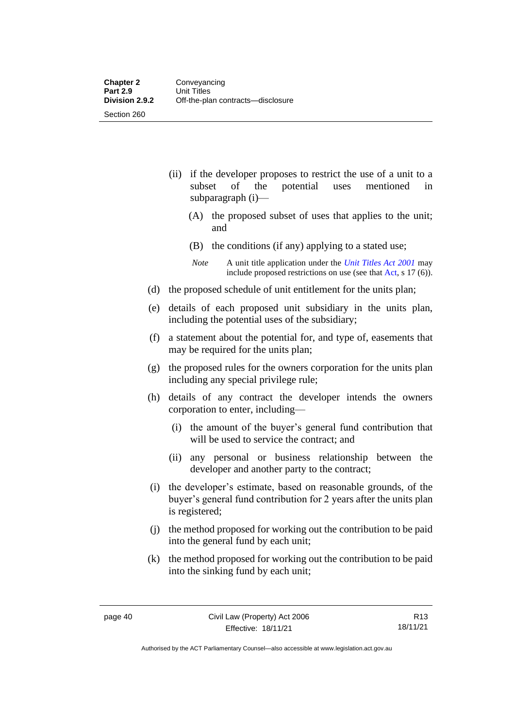- (ii) if the developer proposes to restrict the use of a unit to a subset of the potential uses mentioned in subparagraph (i)—
	- (A) the proposed subset of uses that applies to the unit; and
	- (B) the conditions (if any) applying to a stated use;
	- *Note* A unit title application under the *[Unit Titles Act 2001](http://www.legislation.act.gov.au/a/2001-16)* may include proposed restrictions on use (see tha[t Act,](https://www.legislation.act.gov.au/a/2001-16/) s 17 (6)).
- (d) the proposed schedule of unit entitlement for the units plan;
- (e) details of each proposed unit subsidiary in the units plan, including the potential uses of the subsidiary;
- (f) a statement about the potential for, and type of, easements that may be required for the units plan;
- (g) the proposed rules for the owners corporation for the units plan including any special privilege rule;
- (h) details of any contract the developer intends the owners corporation to enter, including—
	- (i) the amount of the buyer's general fund contribution that will be used to service the contract; and
	- (ii) any personal or business relationship between the developer and another party to the contract;
- (i) the developer's estimate, based on reasonable grounds, of the buyer's general fund contribution for 2 years after the units plan is registered;
- (j) the method proposed for working out the contribution to be paid into the general fund by each unit;
- (k) the method proposed for working out the contribution to be paid into the sinking fund by each unit;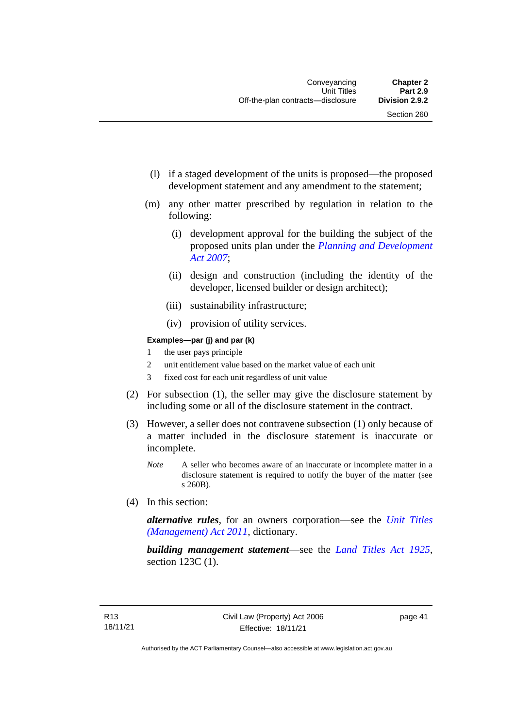- (l) if a staged development of the units is proposed—the proposed development statement and any amendment to the statement;
- (m) any other matter prescribed by regulation in relation to the following:
	- (i) development approval for the building the subject of the proposed units plan under the *[Planning and Development](http://www.legislation.act.gov.au/a/2007-24)  [Act 2007](http://www.legislation.act.gov.au/a/2007-24)*;
	- (ii) design and construction (including the identity of the developer, licensed builder or design architect);
	- (iii) sustainability infrastructure;
	- (iv) provision of utility services.

#### **Examples—par (j) and par (k)**

- 1 the user pays principle
- 2 unit entitlement value based on the market value of each unit
- 3 fixed cost for each unit regardless of unit value
- (2) For subsection (1), the seller may give the disclosure statement by including some or all of the disclosure statement in the contract.
- (3) However, a seller does not contravene subsection (1) only because of a matter included in the disclosure statement is inaccurate or incomplete.
	- *Note* A seller who becomes aware of an inaccurate or incomplete matter in a disclosure statement is required to notify the buyer of the matter (see s 260B).
- (4) In this section:

*alternative rules*, for an owners corporation—see the *[Unit Titles](http://www.legislation.act.gov.au/a/2011-41)  [\(Management\) Act 2011](http://www.legislation.act.gov.au/a/2011-41)*, dictionary.

*building management statement*—see the *[Land Titles Act 1925](http://www.legislation.act.gov.au/a/1925-1)*, section 123C (1).

page 41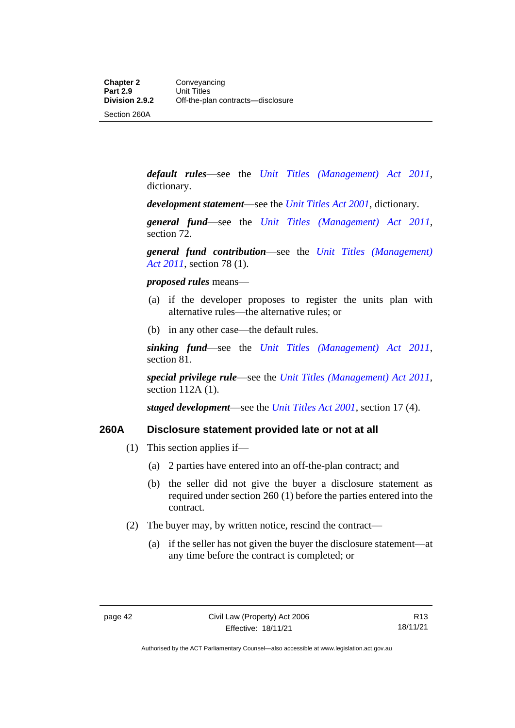Section 260A

*default rules*—see the *[Unit Titles \(Management\) Act 2011](http://www.legislation.act.gov.au/a/2011-41)*, dictionary.

*development statement*—see the *[Unit Titles Act 2001](http://www.legislation.act.gov.au/a/2001-16)*, dictionary.

*general fund*—see the *[Unit Titles \(Management\) Act 2011](http://www.legislation.act.gov.au/a/2011-41)*, section 72.

*general fund contribution*—see the *[Unit Titles \(Management\)](http://www.legislation.act.gov.au/a/2011-41)  Act [2011](http://www.legislation.act.gov.au/a/2011-41)*, section 78 (1).

*proposed rules* means—

- (a) if the developer proposes to register the units plan with alternative rules—the alternative rules; or
- (b) in any other case—the default rules.

*sinking fund*—see the *[Unit Titles \(Management\) Act 2011](http://www.legislation.act.gov.au/a/2011-41)*, section 81.

*special privilege rule*—see the *[Unit Titles \(Management\) Act 2011](http://www.legislation.act.gov.au/a/2011-41)*, section 112A (1).

*staged development*—see the *[Unit Titles Act 2001](http://www.legislation.act.gov.au/a/2001-16)*, section 17 (4).

#### **260A Disclosure statement provided late or not at all**

- (1) This section applies if—
	- (a) 2 parties have entered into an off-the-plan contract; and
	- (b) the seller did not give the buyer a disclosure statement as required under section 260 (1) before the parties entered into the contract.
- (2) The buyer may, by written notice, rescind the contract—
	- (a) if the seller has not given the buyer the disclosure statement—at any time before the contract is completed; or

Authorised by the ACT Parliamentary Counsel—also accessible at www.legislation.act.gov.au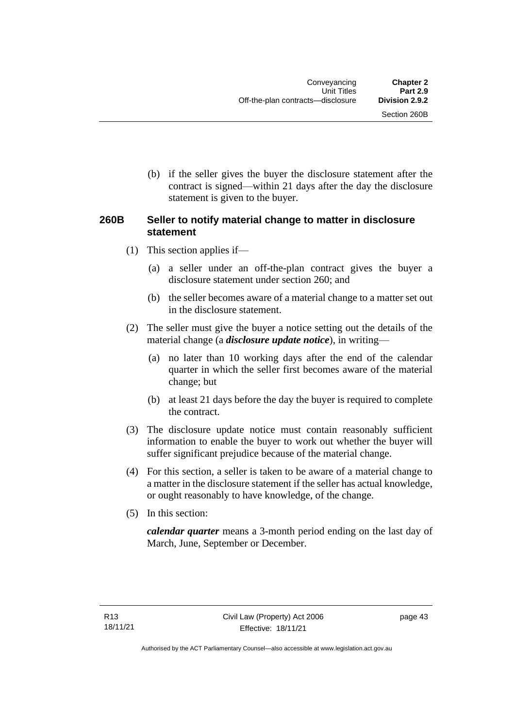Section 260B

(b) if the seller gives the buyer the disclosure statement after the contract is signed—within 21 days after the day the disclosure statement is given to the buyer.

## **260B Seller to notify material change to matter in disclosure statement**

- (1) This section applies if—
	- (a) a seller under an off-the-plan contract gives the buyer a disclosure statement under section 260; and
	- (b) the seller becomes aware of a material change to a matter set out in the disclosure statement.
- (2) The seller must give the buyer a notice setting out the details of the material change (a *disclosure update notice*), in writing—
	- (a) no later than 10 working days after the end of the calendar quarter in which the seller first becomes aware of the material change; but
	- (b) at least 21 days before the day the buyer is required to complete the contract.
- (3) The disclosure update notice must contain reasonably sufficient information to enable the buyer to work out whether the buyer will suffer significant prejudice because of the material change.
- (4) For this section, a seller is taken to be aware of a material change to a matter in the disclosure statement if the seller has actual knowledge, or ought reasonably to have knowledge, of the change.
- (5) In this section:

*calendar quarter* means a 3-month period ending on the last day of March, June, September or December.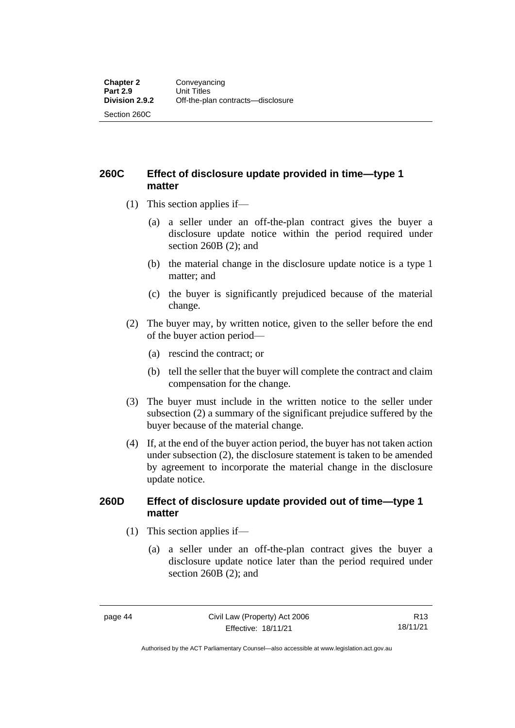**260C Effect of disclosure update provided in time—type 1 matter**

- (1) This section applies if—
	- (a) a seller under an off-the-plan contract gives the buyer a disclosure update notice within the period required under section 260B (2); and
	- (b) the material change in the disclosure update notice is a type 1 matter; and
	- (c) the buyer is significantly prejudiced because of the material change.
- (2) The buyer may, by written notice, given to the seller before the end of the buyer action period—
	- (a) rescind the contract; or
	- (b) tell the seller that the buyer will complete the contract and claim compensation for the change.
- (3) The buyer must include in the written notice to the seller under subsection (2) a summary of the significant prejudice suffered by the buyer because of the material change.
- (4) If, at the end of the buyer action period, the buyer has not taken action under subsection (2), the disclosure statement is taken to be amended by agreement to incorporate the material change in the disclosure update notice.

#### **260D Effect of disclosure update provided out of time—type 1 matter**

- (1) This section applies if—
	- (a) a seller under an off-the-plan contract gives the buyer a disclosure update notice later than the period required under section 260B (2); and

Authorised by the ACT Parliamentary Counsel—also accessible at www.legislation.act.gov.au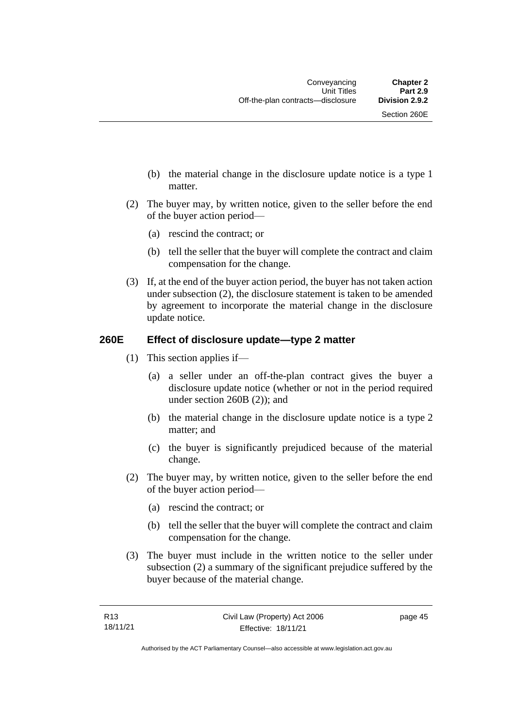- (b) the material change in the disclosure update notice is a type 1 matter.
- (2) The buyer may, by written notice, given to the seller before the end of the buyer action period—
	- (a) rescind the contract; or
	- (b) tell the seller that the buyer will complete the contract and claim compensation for the change.
- (3) If, at the end of the buyer action period, the buyer has not taken action under subsection (2), the disclosure statement is taken to be amended by agreement to incorporate the material change in the disclosure update notice.

## **260E Effect of disclosure update—type 2 matter**

- (1) This section applies if—
	- (a) a seller under an off-the-plan contract gives the buyer a disclosure update notice (whether or not in the period required under section 260B (2)); and
	- (b) the material change in the disclosure update notice is a type 2 matter; and
	- (c) the buyer is significantly prejudiced because of the material change.
- (2) The buyer may, by written notice, given to the seller before the end of the buyer action period—
	- (a) rescind the contract; or
	- (b) tell the seller that the buyer will complete the contract and claim compensation for the change.
- (3) The buyer must include in the written notice to the seller under subsection (2) a summary of the significant prejudice suffered by the buyer because of the material change.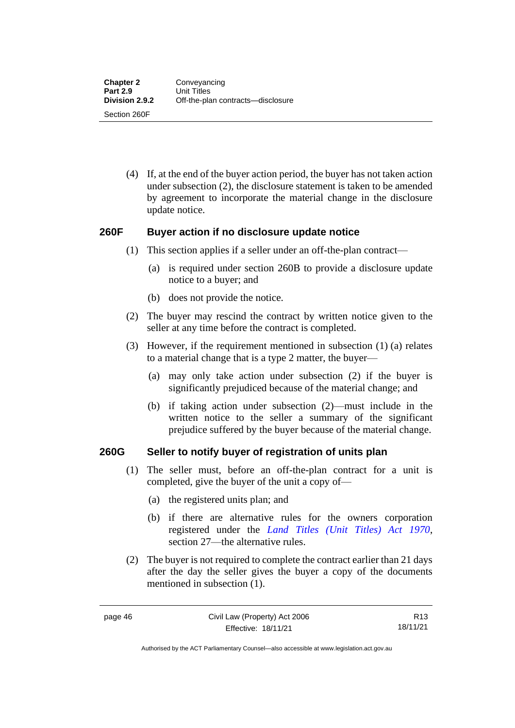(4) If, at the end of the buyer action period, the buyer has not taken action under subsection (2), the disclosure statement is taken to be amended by agreement to incorporate the material change in the disclosure update notice.

### **260F Buyer action if no disclosure update notice**

- (1) This section applies if a seller under an off-the-plan contract—
	- (a) is required under section 260B to provide a disclosure update notice to a buyer; and
	- (b) does not provide the notice.
- (2) The buyer may rescind the contract by written notice given to the seller at any time before the contract is completed.
- (3) However, if the requirement mentioned in subsection (1) (a) relates to a material change that is a type 2 matter, the buyer—
	- (a) may only take action under subsection (2) if the buyer is significantly prejudiced because of the material change; and
	- (b) if taking action under subsection (2)—must include in the written notice to the seller a summary of the significant prejudice suffered by the buyer because of the material change.

#### **260G Seller to notify buyer of registration of units plan**

- (1) The seller must, before an off-the-plan contract for a unit is completed, give the buyer of the unit a copy of—
	- (a) the registered units plan; and
	- (b) if there are alternative rules for the owners corporation registered under the *[Land Titles \(Unit Titles\) Act 1970](http://www.legislation.act.gov.au/a/1970-32)*, section 27—the alternative rules.
- (2) The buyer is not required to complete the contract earlier than 21 days after the day the seller gives the buyer a copy of the documents mentioned in subsection (1).

R13 18/11/21

Authorised by the ACT Parliamentary Counsel—also accessible at www.legislation.act.gov.au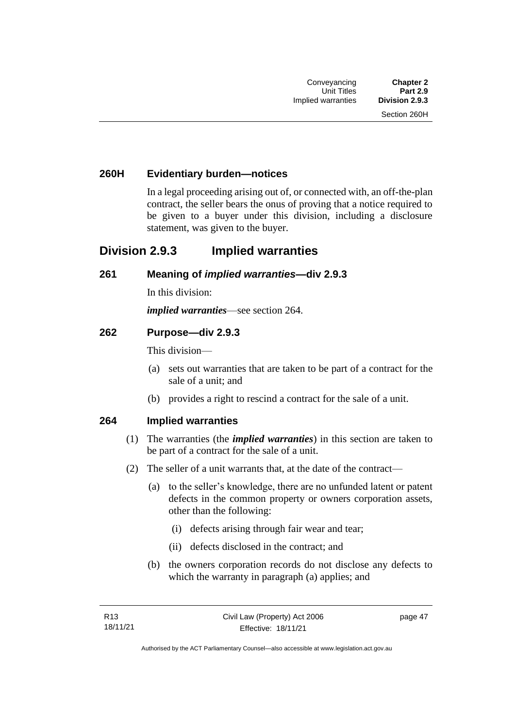## **260H Evidentiary burden—notices**

In a legal proceeding arising out of, or connected with, an off-the-plan contract, the seller bears the onus of proving that a notice required to be given to a buyer under this division, including a disclosure statement, was given to the buyer.

## **Division 2.9.3 Implied warranties**

#### **261 Meaning of** *implied warranties***—div 2.9.3**

In this division:

*implied warranties*—see section 264.

#### **262 Purpose—div 2.9.3**

This division—

- (a) sets out warranties that are taken to be part of a contract for the sale of a unit; and
- (b) provides a right to rescind a contract for the sale of a unit.

#### **264 Implied warranties**

- (1) The warranties (the *implied warranties*) in this section are taken to be part of a contract for the sale of a unit.
- (2) The seller of a unit warrants that, at the date of the contract—
	- (a) to the seller's knowledge, there are no unfunded latent or patent defects in the common property or owners corporation assets, other than the following:
		- (i) defects arising through fair wear and tear;
		- (ii) defects disclosed in the contract; and
	- (b) the owners corporation records do not disclose any defects to which the warranty in paragraph (a) applies; and

page 47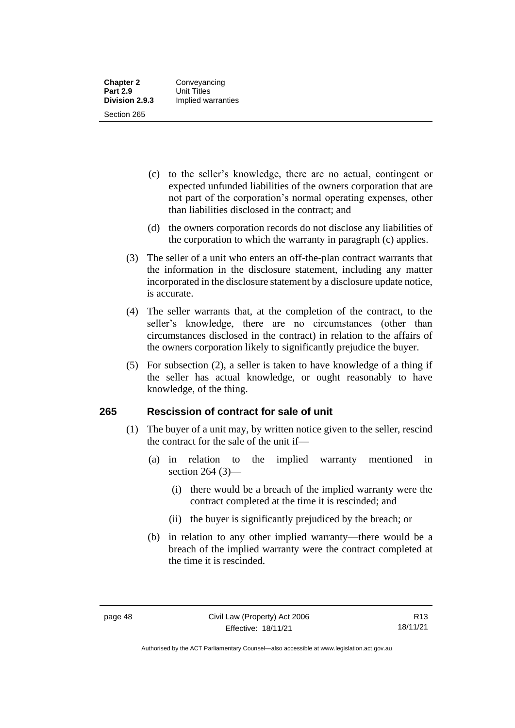- (c) to the seller's knowledge, there are no actual, contingent or expected unfunded liabilities of the owners corporation that are not part of the corporation's normal operating expenses, other than liabilities disclosed in the contract; and
- (d) the owners corporation records do not disclose any liabilities of the corporation to which the warranty in paragraph (c) applies.
- (3) The seller of a unit who enters an off-the-plan contract warrants that the information in the disclosure statement, including any matter incorporated in the disclosure statement by a disclosure update notice, is accurate.
- (4) The seller warrants that, at the completion of the contract, to the seller's knowledge, there are no circumstances (other than circumstances disclosed in the contract) in relation to the affairs of the owners corporation likely to significantly prejudice the buyer.
- (5) For subsection (2), a seller is taken to have knowledge of a thing if the seller has actual knowledge, or ought reasonably to have knowledge, of the thing.

## **265 Rescission of contract for sale of unit**

- (1) The buyer of a unit may, by written notice given to the seller, rescind the contract for the sale of the unit if—
	- (a) in relation to the implied warranty mentioned in section 264 (3)—
		- (i) there would be a breach of the implied warranty were the contract completed at the time it is rescinded; and
		- (ii) the buyer is significantly prejudiced by the breach; or
	- (b) in relation to any other implied warranty—there would be a breach of the implied warranty were the contract completed at the time it is rescinded.

Authorised by the ACT Parliamentary Counsel—also accessible at www.legislation.act.gov.au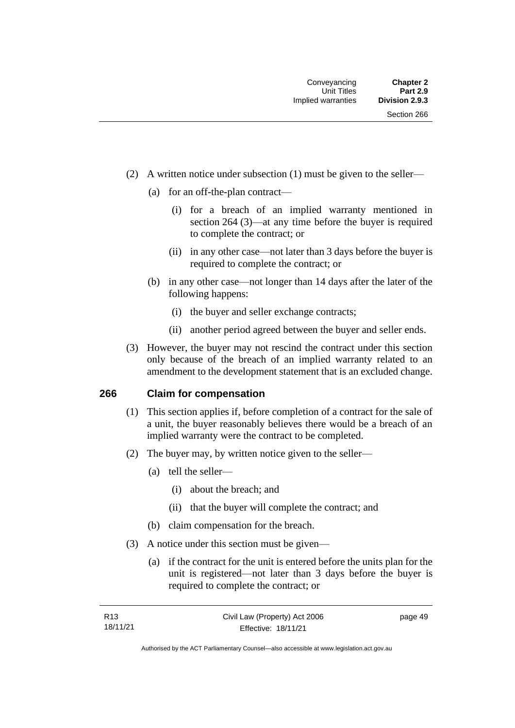- (2) A written notice under subsection (1) must be given to the seller—
	- (a) for an off-the-plan contract—
		- (i) for a breach of an implied warranty mentioned in section 264 (3)—at any time before the buyer is required to complete the contract; or
		- (ii) in any other case—not later than 3 days before the buyer is required to complete the contract; or
	- (b) in any other case—not longer than 14 days after the later of the following happens:
		- (i) the buyer and seller exchange contracts;
		- (ii) another period agreed between the buyer and seller ends.
- (3) However, the buyer may not rescind the contract under this section only because of the breach of an implied warranty related to an amendment to the development statement that is an excluded change.

#### **266 Claim for compensation**

- (1) This section applies if, before completion of a contract for the sale of a unit, the buyer reasonably believes there would be a breach of an implied warranty were the contract to be completed.
- (2) The buyer may, by written notice given to the seller—
	- (a) tell the seller—
		- (i) about the breach; and
		- (ii) that the buyer will complete the contract; and
	- (b) claim compensation for the breach.
- (3) A notice under this section must be given—
	- (a) if the contract for the unit is entered before the units plan for the unit is registered—not later than 3 days before the buyer is required to complete the contract; or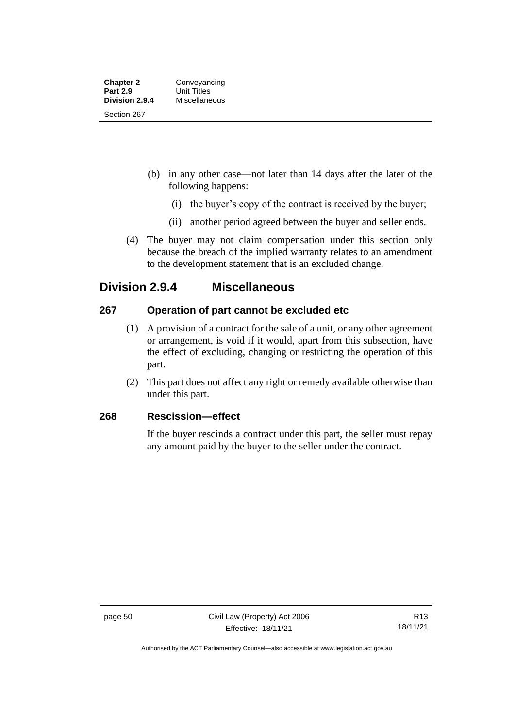- (b) in any other case—not later than 14 days after the later of the following happens:
	- (i) the buyer's copy of the contract is received by the buyer;
	- (ii) another period agreed between the buyer and seller ends.
- (4) The buyer may not claim compensation under this section only because the breach of the implied warranty relates to an amendment to the development statement that is an excluded change.

## **Division 2.9.4 Miscellaneous**

## **267 Operation of part cannot be excluded etc**

- (1) A provision of a contract for the sale of a unit, or any other agreement or arrangement, is void if it would, apart from this subsection, have the effect of excluding, changing or restricting the operation of this part.
- (2) This part does not affect any right or remedy available otherwise than under this part.

## **268 Rescission—effect**

If the buyer rescinds a contract under this part, the seller must repay any amount paid by the buyer to the seller under the contract.

Authorised by the ACT Parliamentary Counsel—also accessible at www.legislation.act.gov.au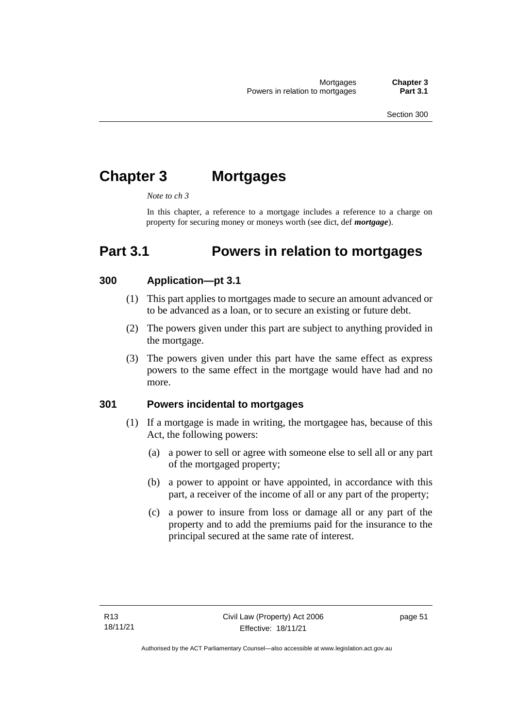# **Chapter 3 Mortgages**

*Note to ch 3*

In this chapter, a reference to a mortgage includes a reference to a charge on property for securing money or moneys worth (see dict, def *mortgage*).

## **Part 3.1 Powers in relation to mortgages**

## **300 Application—pt 3.1**

- (1) This part applies to mortgages made to secure an amount advanced or to be advanced as a loan, or to secure an existing or future debt.
- (2) The powers given under this part are subject to anything provided in the mortgage.
- (3) The powers given under this part have the same effect as express powers to the same effect in the mortgage would have had and no more.

## **301 Powers incidental to mortgages**

- (1) If a mortgage is made in writing, the mortgagee has, because of this Act, the following powers:
	- (a) a power to sell or agree with someone else to sell all or any part of the mortgaged property;
	- (b) a power to appoint or have appointed, in accordance with this part, a receiver of the income of all or any part of the property;
	- (c) a power to insure from loss or damage all or any part of the property and to add the premiums paid for the insurance to the principal secured at the same rate of interest.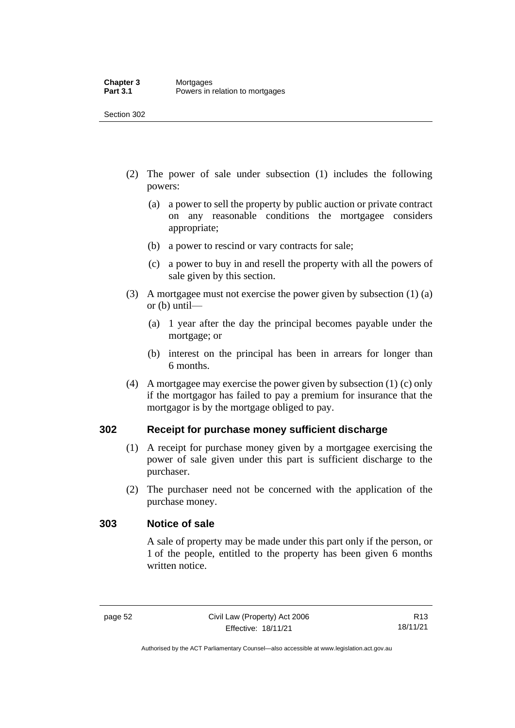- (2) The power of sale under subsection (1) includes the following powers:
	- (a) a power to sell the property by public auction or private contract on any reasonable conditions the mortgagee considers appropriate;
	- (b) a power to rescind or vary contracts for sale;
	- (c) a power to buy in and resell the property with all the powers of sale given by this section.
- (3) A mortgagee must not exercise the power given by subsection (1) (a) or (b) until—
	- (a) 1 year after the day the principal becomes payable under the mortgage; or
	- (b) interest on the principal has been in arrears for longer than 6 months.
- (4) A mortgagee may exercise the power given by subsection (1) (c) only if the mortgagor has failed to pay a premium for insurance that the mortgagor is by the mortgage obliged to pay.

## **302 Receipt for purchase money sufficient discharge**

- (1) A receipt for purchase money given by a mortgagee exercising the power of sale given under this part is sufficient discharge to the purchaser.
- (2) The purchaser need not be concerned with the application of the purchase money.

#### **303 Notice of sale**

A sale of property may be made under this part only if the person, or 1 of the people, entitled to the property has been given 6 months written notice.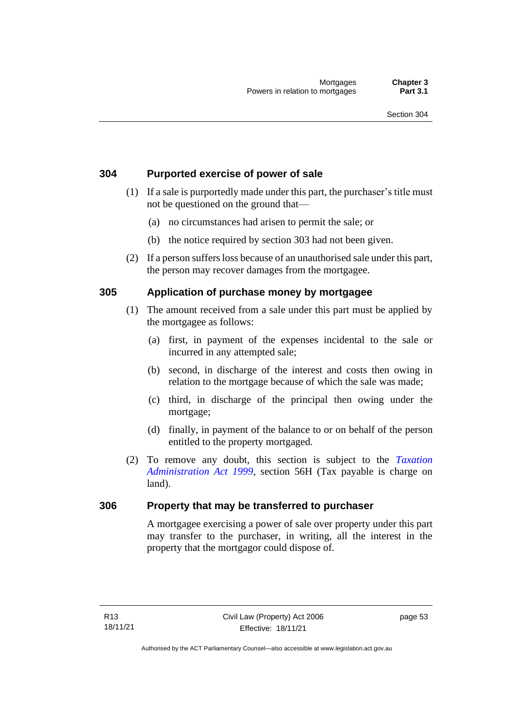## **304 Purported exercise of power of sale**

- (1) If a sale is purportedly made under this part, the purchaser's title must not be questioned on the ground that—
	- (a) no circumstances had arisen to permit the sale; or
	- (b) the notice required by section 303 had not been given.
- (2) If a person suffers loss because of an unauthorised sale under this part, the person may recover damages from the mortgagee.

## **305 Application of purchase money by mortgagee**

- (1) The amount received from a sale under this part must be applied by the mortgagee as follows:
	- (a) first, in payment of the expenses incidental to the sale or incurred in any attempted sale;
	- (b) second, in discharge of the interest and costs then owing in relation to the mortgage because of which the sale was made;
	- (c) third, in discharge of the principal then owing under the mortgage;
	- (d) finally, in payment of the balance to or on behalf of the person entitled to the property mortgaged.
- (2) To remove any doubt, this section is subject to the *[Taxation](http://www.legislation.act.gov.au/a/1999-4)  [Administration Act 1999](http://www.legislation.act.gov.au/a/1999-4)*, section 56H (Tax payable is charge on land).

#### **306 Property that may be transferred to purchaser**

A mortgagee exercising a power of sale over property under this part may transfer to the purchaser, in writing, all the interest in the property that the mortgagor could dispose of.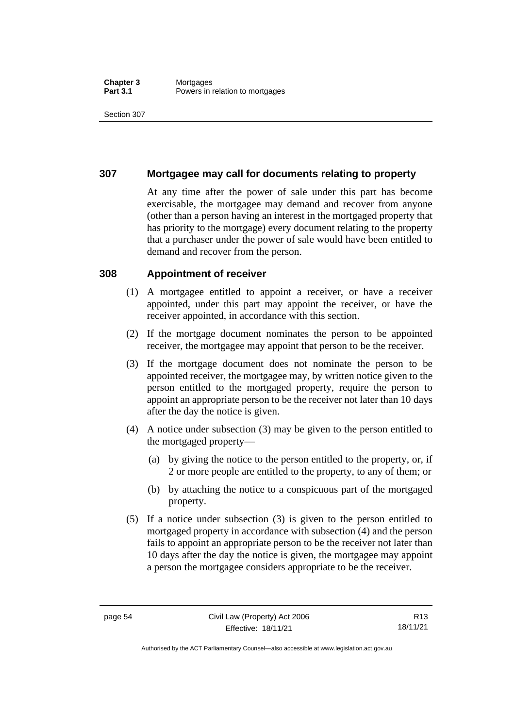## **307 Mortgagee may call for documents relating to property**

At any time after the power of sale under this part has become exercisable, the mortgagee may demand and recover from anyone (other than a person having an interest in the mortgaged property that has priority to the mortgage) every document relating to the property that a purchaser under the power of sale would have been entitled to demand and recover from the person.

#### **308 Appointment of receiver**

- (1) A mortgagee entitled to appoint a receiver, or have a receiver appointed, under this part may appoint the receiver, or have the receiver appointed, in accordance with this section.
- (2) If the mortgage document nominates the person to be appointed receiver, the mortgagee may appoint that person to be the receiver.
- (3) If the mortgage document does not nominate the person to be appointed receiver, the mortgagee may, by written notice given to the person entitled to the mortgaged property, require the person to appoint an appropriate person to be the receiver not later than 10 days after the day the notice is given.
- (4) A notice under subsection (3) may be given to the person entitled to the mortgaged property—
	- (a) by giving the notice to the person entitled to the property, or, if 2 or more people are entitled to the property, to any of them; or
	- (b) by attaching the notice to a conspicuous part of the mortgaged property.
- (5) If a notice under subsection (3) is given to the person entitled to mortgaged property in accordance with subsection (4) and the person fails to appoint an appropriate person to be the receiver not later than 10 days after the day the notice is given, the mortgagee may appoint a person the mortgagee considers appropriate to be the receiver.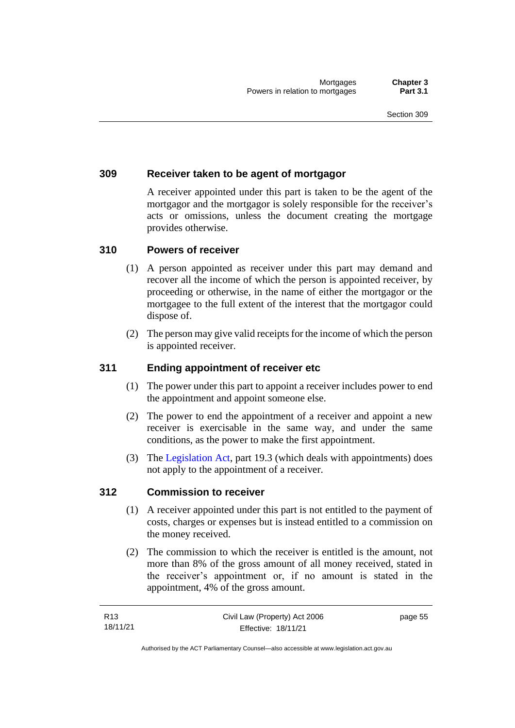## **309 Receiver taken to be agent of mortgagor**

A receiver appointed under this part is taken to be the agent of the mortgagor and the mortgagor is solely responsible for the receiver's acts or omissions, unless the document creating the mortgage provides otherwise.

## **310 Powers of receiver**

- (1) A person appointed as receiver under this part may demand and recover all the income of which the person is appointed receiver, by proceeding or otherwise, in the name of either the mortgagor or the mortgagee to the full extent of the interest that the mortgagor could dispose of.
- (2) The person may give valid receipts for the income of which the person is appointed receiver.

### **311 Ending appointment of receiver etc**

- (1) The power under this part to appoint a receiver includes power to end the appointment and appoint someone else.
- (2) The power to end the appointment of a receiver and appoint a new receiver is exercisable in the same way, and under the same conditions, as the power to make the first appointment.
- (3) The [Legislation Act,](http://www.legislation.act.gov.au/a/2001-14) part 19.3 (which deals with appointments) does not apply to the appointment of a receiver.

#### **312 Commission to receiver**

- (1) A receiver appointed under this part is not entitled to the payment of costs, charges or expenses but is instead entitled to a commission on the money received.
- (2) The commission to which the receiver is entitled is the amount, not more than 8% of the gross amount of all money received, stated in the receiver's appointment or, if no amount is stated in the appointment, 4% of the gross amount.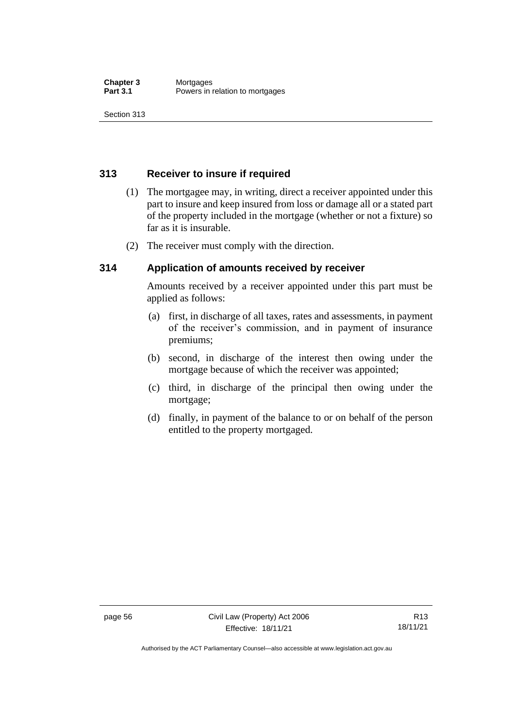## **313 Receiver to insure if required**

- (1) The mortgagee may, in writing, direct a receiver appointed under this part to insure and keep insured from loss or damage all or a stated part of the property included in the mortgage (whether or not a fixture) so far as it is insurable.
- (2) The receiver must comply with the direction.

## **314 Application of amounts received by receiver**

Amounts received by a receiver appointed under this part must be applied as follows:

- (a) first, in discharge of all taxes, rates and assessments, in payment of the receiver's commission, and in payment of insurance premiums;
- (b) second, in discharge of the interest then owing under the mortgage because of which the receiver was appointed;
- (c) third, in discharge of the principal then owing under the mortgage;
- (d) finally, in payment of the balance to or on behalf of the person entitled to the property mortgaged.

Authorised by the ACT Parliamentary Counsel—also accessible at www.legislation.act.gov.au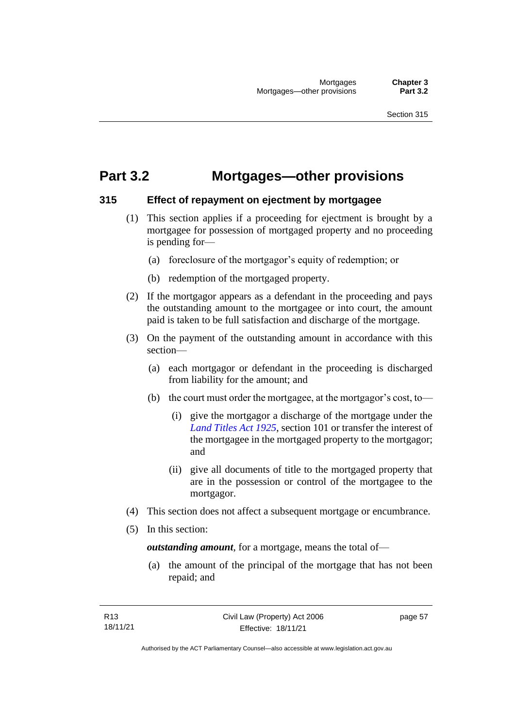## **Part 3.2 Mortgages—other provisions**

#### **315 Effect of repayment on ejectment by mortgagee**

- (1) This section applies if a proceeding for ejectment is brought by a mortgagee for possession of mortgaged property and no proceeding is pending for—
	- (a) foreclosure of the mortgagor's equity of redemption; or
	- (b) redemption of the mortgaged property.
- (2) If the mortgagor appears as a defendant in the proceeding and pays the outstanding amount to the mortgagee or into court, the amount paid is taken to be full satisfaction and discharge of the mortgage.
- (3) On the payment of the outstanding amount in accordance with this section—
	- (a) each mortgagor or defendant in the proceeding is discharged from liability for the amount; and
	- (b) the court must order the mortgagee, at the mortgagor's cost, to—
		- (i) give the mortgagor a discharge of the mortgage under the *[Land Titles Act 1925](http://www.legislation.act.gov.au/a/1925-1)*, section 101 or transfer the interest of the mortgagee in the mortgaged property to the mortgagor; and
		- (ii) give all documents of title to the mortgaged property that are in the possession or control of the mortgagee to the mortgagor.
- (4) This section does not affect a subsequent mortgage or encumbrance.
- (5) In this section:

*outstanding amount*, for a mortgage, means the total of—

(a) the amount of the principal of the mortgage that has not been repaid; and

page 57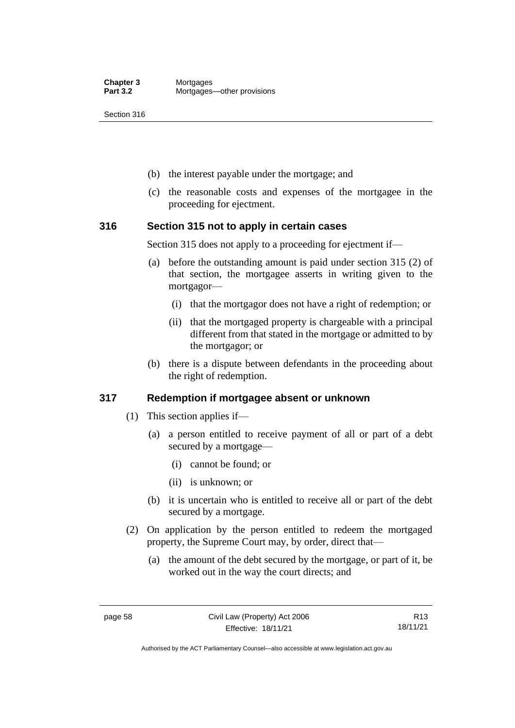- (b) the interest payable under the mortgage; and
- (c) the reasonable costs and expenses of the mortgagee in the proceeding for ejectment.

#### **316 Section 315 not to apply in certain cases**

Section 315 does not apply to a proceeding for ejectment if—

- (a) before the outstanding amount is paid under section 315 (2) of that section, the mortgagee asserts in writing given to the mortgagor—
	- (i) that the mortgagor does not have a right of redemption; or
	- (ii) that the mortgaged property is chargeable with a principal different from that stated in the mortgage or admitted to by the mortgagor; or
- (b) there is a dispute between defendants in the proceeding about the right of redemption.

#### **317 Redemption if mortgagee absent or unknown**

- (1) This section applies if—
	- (a) a person entitled to receive payment of all or part of a debt secured by a mortgage—
		- (i) cannot be found; or
		- (ii) is unknown; or
	- (b) it is uncertain who is entitled to receive all or part of the debt secured by a mortgage.
- (2) On application by the person entitled to redeem the mortgaged property, the Supreme Court may, by order, direct that—
	- (a) the amount of the debt secured by the mortgage, or part of it, be worked out in the way the court directs; and

Authorised by the ACT Parliamentary Counsel—also accessible at www.legislation.act.gov.au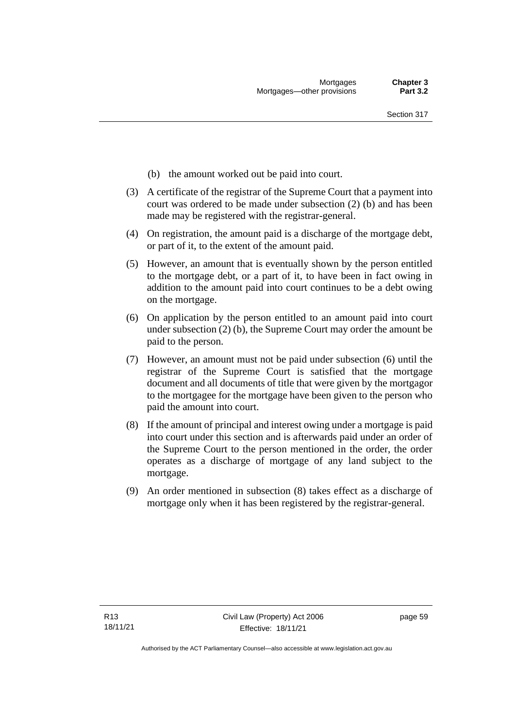- (b) the amount worked out be paid into court.
- (3) A certificate of the registrar of the Supreme Court that a payment into court was ordered to be made under subsection (2) (b) and has been made may be registered with the registrar-general.
- (4) On registration, the amount paid is a discharge of the mortgage debt, or part of it, to the extent of the amount paid.
- (5) However, an amount that is eventually shown by the person entitled to the mortgage debt, or a part of it, to have been in fact owing in addition to the amount paid into court continues to be a debt owing on the mortgage.
- (6) On application by the person entitled to an amount paid into court under subsection (2) (b), the Supreme Court may order the amount be paid to the person.
- (7) However, an amount must not be paid under subsection (6) until the registrar of the Supreme Court is satisfied that the mortgage document and all documents of title that were given by the mortgagor to the mortgagee for the mortgage have been given to the person who paid the amount into court.
- (8) If the amount of principal and interest owing under a mortgage is paid into court under this section and is afterwards paid under an order of the Supreme Court to the person mentioned in the order, the order operates as a discharge of mortgage of any land subject to the mortgage.
- (9) An order mentioned in subsection (8) takes effect as a discharge of mortgage only when it has been registered by the registrar-general.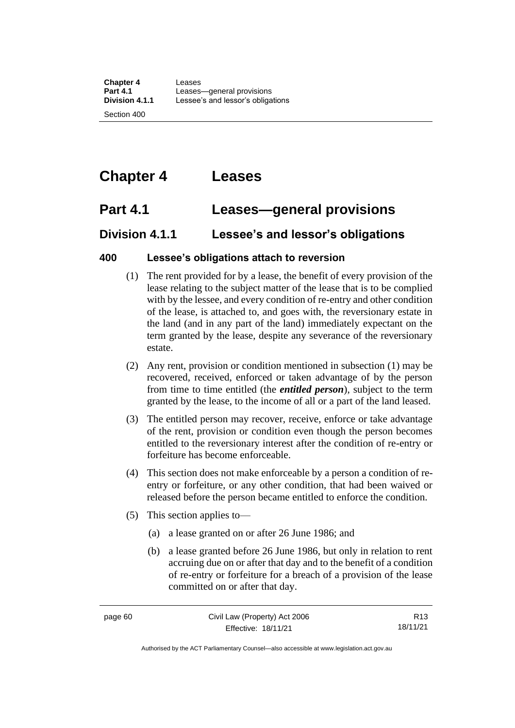# **Chapter 4 Leases**

## **Part 4.1 Leases—general provisions**

## **Division 4.1.1 Lessee's and lessor's obligations**

## **400 Lessee's obligations attach to reversion**

- (1) The rent provided for by a lease, the benefit of every provision of the lease relating to the subject matter of the lease that is to be complied with by the lessee, and every condition of re-entry and other condition of the lease, is attached to, and goes with, the reversionary estate in the land (and in any part of the land) immediately expectant on the term granted by the lease, despite any severance of the reversionary estate.
- (2) Any rent, provision or condition mentioned in subsection (1) may be recovered, received, enforced or taken advantage of by the person from time to time entitled (the *entitled person*), subject to the term granted by the lease, to the income of all or a part of the land leased.
- (3) The entitled person may recover, receive, enforce or take advantage of the rent, provision or condition even though the person becomes entitled to the reversionary interest after the condition of re-entry or forfeiture has become enforceable.
- (4) This section does not make enforceable by a person a condition of reentry or forfeiture, or any other condition, that had been waived or released before the person became entitled to enforce the condition.
- (5) This section applies to—
	- (a) a lease granted on or after 26 June 1986; and
	- (b) a lease granted before 26 June 1986, but only in relation to rent accruing due on or after that day and to the benefit of a condition of re-entry or forfeiture for a breach of a provision of the lease committed on or after that day.

R13 18/11/21

Authorised by the ACT Parliamentary Counsel—also accessible at www.legislation.act.gov.au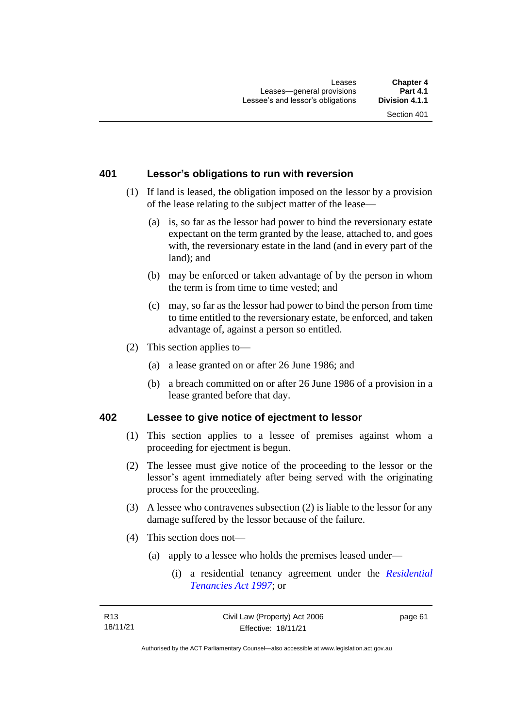### **401 Lessor's obligations to run with reversion**

- (1) If land is leased, the obligation imposed on the lessor by a provision of the lease relating to the subject matter of the lease—
	- (a) is, so far as the lessor had power to bind the reversionary estate expectant on the term granted by the lease, attached to, and goes with, the reversionary estate in the land (and in every part of the land); and
	- (b) may be enforced or taken advantage of by the person in whom the term is from time to time vested; and
	- (c) may, so far as the lessor had power to bind the person from time to time entitled to the reversionary estate, be enforced, and taken advantage of, against a person so entitled.
- (2) This section applies to—
	- (a) a lease granted on or after 26 June 1986; and
	- (b) a breach committed on or after 26 June 1986 of a provision in a lease granted before that day.

#### **402 Lessee to give notice of ejectment to lessor**

- (1) This section applies to a lessee of premises against whom a proceeding for ejectment is begun.
- (2) The lessee must give notice of the proceeding to the lessor or the lessor's agent immediately after being served with the originating process for the proceeding.
- (3) A lessee who contravenes subsection (2) is liable to the lessor for any damage suffered by the lessor because of the failure.
- (4) This section does not—
	- (a) apply to a lessee who holds the premises leased under—
		- (i) a residential tenancy agreement under the *[Residential](http://www.legislation.act.gov.au/a/1997-84)  [Tenancies Act](http://www.legislation.act.gov.au/a/1997-84) 1997*; or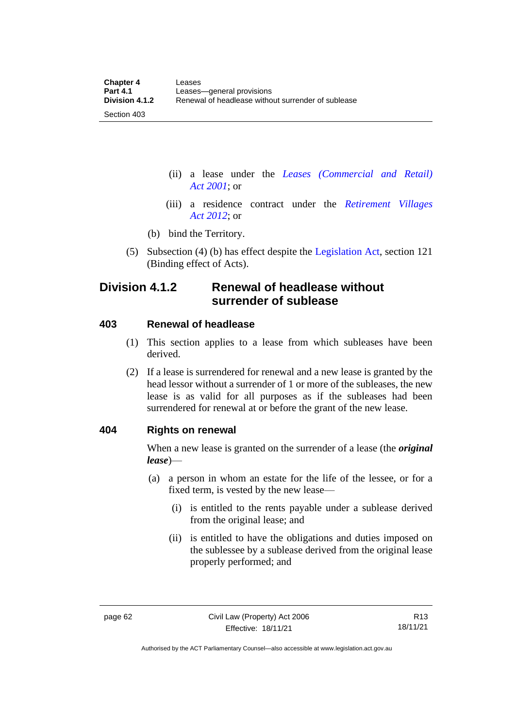(ii) a lease under the *[Leases \(Commercial and Retail\)](http://www.legislation.act.gov.au/a/2001-18)  Act [2001](http://www.legislation.act.gov.au/a/2001-18)*; or

- (iii) a residence contract under the *[Retirement Villages](http://www.legislation.act.gov.au/a/2012-38)  Act [2012](http://www.legislation.act.gov.au/a/2012-38)*; or
- (b) bind the Territory.
- (5) Subsection (4) (b) has effect despite the [Legislation Act,](http://www.legislation.act.gov.au/a/2001-14) section 121 (Binding effect of Acts).

## **Division 4.1.2 Renewal of headlease without surrender of sublease**

#### **403 Renewal of headlease**

Section 403

- (1) This section applies to a lease from which subleases have been derived.
- (2) If a lease is surrendered for renewal and a new lease is granted by the head lessor without a surrender of 1 or more of the subleases, the new lease is as valid for all purposes as if the subleases had been surrendered for renewal at or before the grant of the new lease.

#### **404 Rights on renewal**

When a new lease is granted on the surrender of a lease (the *original lease*)—

- (a) a person in whom an estate for the life of the lessee, or for a fixed term, is vested by the new lease—
	- (i) is entitled to the rents payable under a sublease derived from the original lease; and
	- (ii) is entitled to have the obligations and duties imposed on the sublessee by a sublease derived from the original lease properly performed; and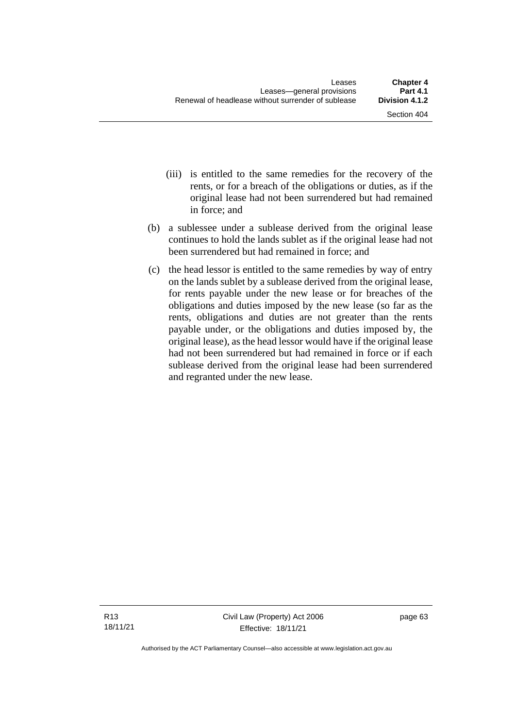- (iii) is entitled to the same remedies for the recovery of the rents, or for a breach of the obligations or duties, as if the original lease had not been surrendered but had remained in force; and
- (b) a sublessee under a sublease derived from the original lease continues to hold the lands sublet as if the original lease had not been surrendered but had remained in force; and
- (c) the head lessor is entitled to the same remedies by way of entry on the lands sublet by a sublease derived from the original lease, for rents payable under the new lease or for breaches of the obligations and duties imposed by the new lease (so far as the rents, obligations and duties are not greater than the rents payable under, or the obligations and duties imposed by, the original lease), as the head lessor would have if the original lease had not been surrendered but had remained in force or if each sublease derived from the original lease had been surrendered and regranted under the new lease.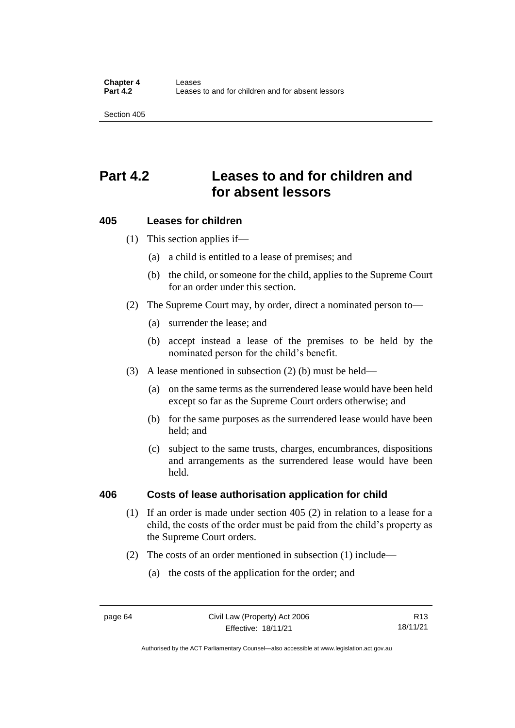## **Part 4.2 Leases to and for children and for absent lessors**

#### **405 Leases for children**

(1) This section applies if—

- (a) a child is entitled to a lease of premises; and
- (b) the child, or someone for the child, applies to the Supreme Court for an order under this section.
- (2) The Supreme Court may, by order, direct a nominated person to—
	- (a) surrender the lease; and
	- (b) accept instead a lease of the premises to be held by the nominated person for the child's benefit.
- (3) A lease mentioned in subsection (2) (b) must be held—
	- (a) on the same terms as the surrendered lease would have been held except so far as the Supreme Court orders otherwise; and
	- (b) for the same purposes as the surrendered lease would have been held; and
	- (c) subject to the same trusts, charges, encumbrances, dispositions and arrangements as the surrendered lease would have been held.

#### **406 Costs of lease authorisation application for child**

- (1) If an order is made under section 405 (2) in relation to a lease for a child, the costs of the order must be paid from the child's property as the Supreme Court orders.
- (2) The costs of an order mentioned in subsection (1) include—
	- (a) the costs of the application for the order; and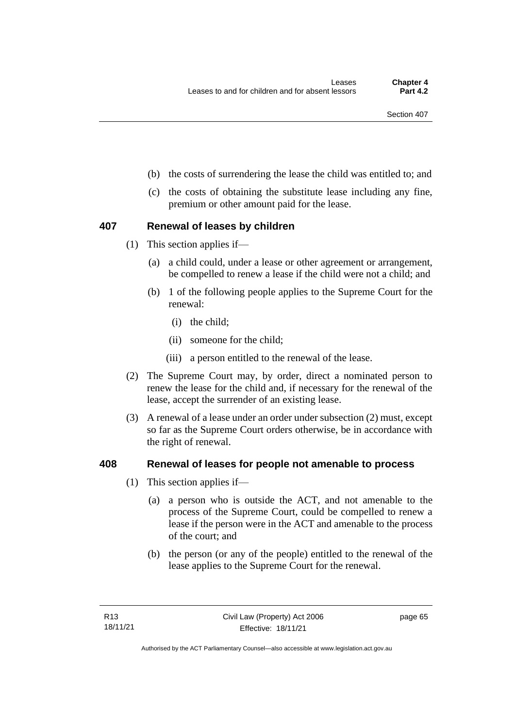- (b) the costs of surrendering the lease the child was entitled to; and
- (c) the costs of obtaining the substitute lease including any fine, premium or other amount paid for the lease.

#### **407 Renewal of leases by children**

- (1) This section applies if—
	- (a) a child could, under a lease or other agreement or arrangement, be compelled to renew a lease if the child were not a child; and
	- (b) 1 of the following people applies to the Supreme Court for the renewal:
		- (i) the child;
		- (ii) someone for the child;
		- (iii) a person entitled to the renewal of the lease.
- (2) The Supreme Court may, by order, direct a nominated person to renew the lease for the child and, if necessary for the renewal of the lease, accept the surrender of an existing lease.
- (3) A renewal of a lease under an order under subsection (2) must, except so far as the Supreme Court orders otherwise, be in accordance with the right of renewal.

#### **408 Renewal of leases for people not amenable to process**

- (1) This section applies if—
	- (a) a person who is outside the ACT, and not amenable to the process of the Supreme Court, could be compelled to renew a lease if the person were in the ACT and amenable to the process of the court; and
	- (b) the person (or any of the people) entitled to the renewal of the lease applies to the Supreme Court for the renewal.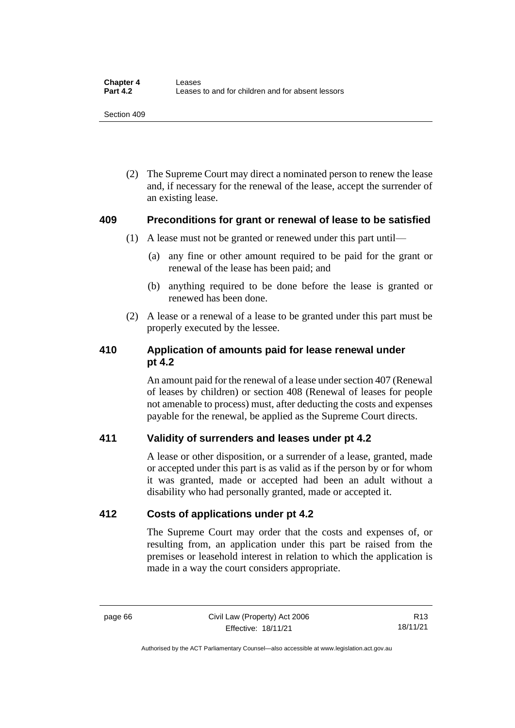(2) The Supreme Court may direct a nominated person to renew the lease and, if necessary for the renewal of the lease, accept the surrender of an existing lease.

#### **409 Preconditions for grant or renewal of lease to be satisfied**

- (1) A lease must not be granted or renewed under this part until—
	- (a) any fine or other amount required to be paid for the grant or renewal of the lease has been paid; and
	- (b) anything required to be done before the lease is granted or renewed has been done.
- (2) A lease or a renewal of a lease to be granted under this part must be properly executed by the lessee.

## **410 Application of amounts paid for lease renewal under pt 4.2**

An amount paid for the renewal of a lease under section 407 (Renewal of leases by children) or section 408 (Renewal of leases for people not amenable to process) must, after deducting the costs and expenses payable for the renewal, be applied as the Supreme Court directs.

## **411 Validity of surrenders and leases under pt 4.2**

A lease or other disposition, or a surrender of a lease, granted, made or accepted under this part is as valid as if the person by or for whom it was granted, made or accepted had been an adult without a disability who had personally granted, made or accepted it.

## **412 Costs of applications under pt 4.2**

The Supreme Court may order that the costs and expenses of, or resulting from, an application under this part be raised from the premises or leasehold interest in relation to which the application is made in a way the court considers appropriate.

R13 18/11/21

Authorised by the ACT Parliamentary Counsel—also accessible at www.legislation.act.gov.au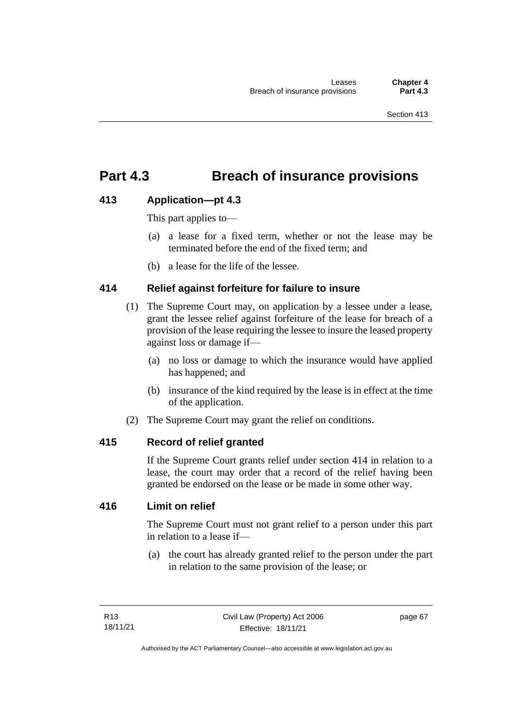## **Part 4.3 Breach of insurance provisions**

## **413 Application—pt 4.3**

This part applies to—

- (a) a lease for a fixed term, whether or not the lease may be terminated before the end of the fixed term; and
- (b) a lease for the life of the lessee.

## **414 Relief against forfeiture for failure to insure**

- (1) The Supreme Court may, on application by a lessee under a lease, grant the lessee relief against forfeiture of the lease for breach of a provision of the lease requiring the lessee to insure the leased property against loss or damage if—
	- (a) no loss or damage to which the insurance would have applied has happened; and
	- (b) insurance of the kind required by the lease is in effect at the time of the application.
- (2) The Supreme Court may grant the relief on conditions.

## **415 Record of relief granted**

If the Supreme Court grants relief under section 414 in relation to a lease, the court may order that a record of the relief having been granted be endorsed on the lease or be made in some other way.

### **416 Limit on relief**

The Supreme Court must not grant relief to a person under this part in relation to a lease if—

(a) the court has already granted relief to the person under the part in relation to the same provision of the lease; or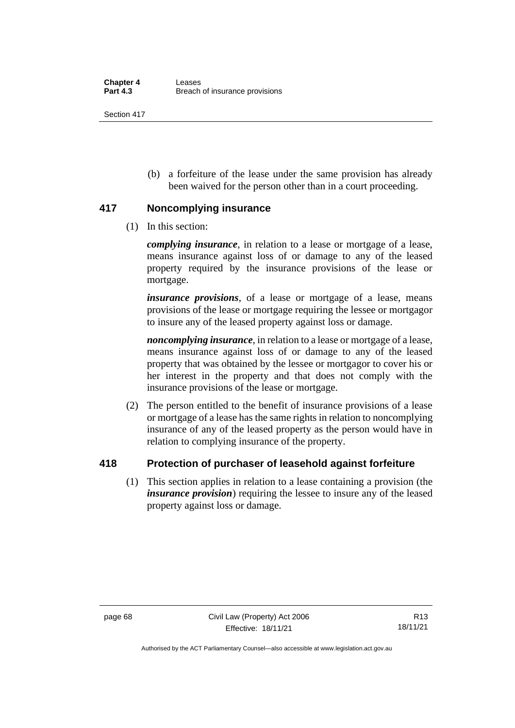(b) a forfeiture of the lease under the same provision has already been waived for the person other than in a court proceeding.

## **417 Noncomplying insurance**

(1) In this section:

*complying insurance*, in relation to a lease or mortgage of a lease, means insurance against loss of or damage to any of the leased property required by the insurance provisions of the lease or mortgage.

*insurance provisions*, of a lease or mortgage of a lease, means provisions of the lease or mortgage requiring the lessee or mortgagor to insure any of the leased property against loss or damage.

*noncomplying insurance*, in relation to a lease or mortgage of a lease, means insurance against loss of or damage to any of the leased property that was obtained by the lessee or mortgagor to cover his or her interest in the property and that does not comply with the insurance provisions of the lease or mortgage.

(2) The person entitled to the benefit of insurance provisions of a lease or mortgage of a lease has the same rights in relation to noncomplying insurance of any of the leased property as the person would have in relation to complying insurance of the property.

## **418 Protection of purchaser of leasehold against forfeiture**

(1) This section applies in relation to a lease containing a provision (the *insurance provision*) requiring the lessee to insure any of the leased property against loss or damage.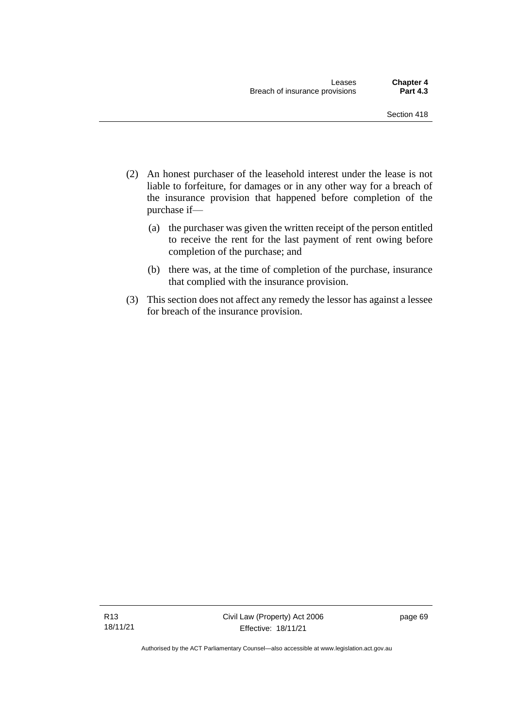- (2) An honest purchaser of the leasehold interest under the lease is not liable to forfeiture, for damages or in any other way for a breach of the insurance provision that happened before completion of the purchase if—
	- (a) the purchaser was given the written receipt of the person entitled to receive the rent for the last payment of rent owing before completion of the purchase; and
	- (b) there was, at the time of completion of the purchase, insurance that complied with the insurance provision.
- (3) This section does not affect any remedy the lessor has against a lessee for breach of the insurance provision.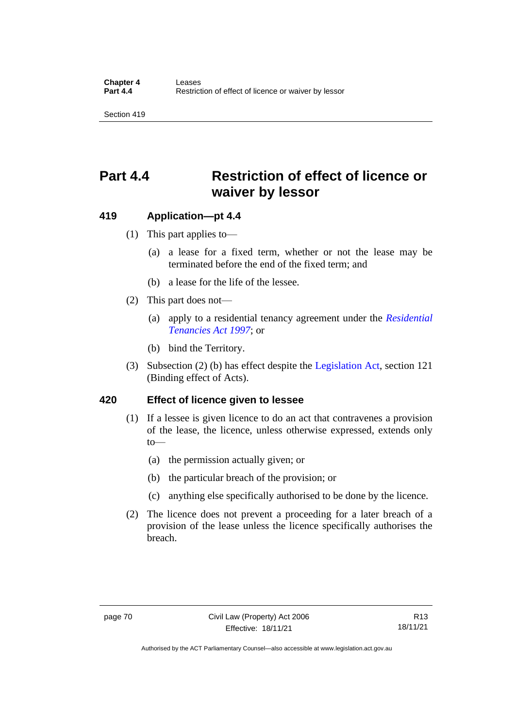## **Part 4.4 Restriction of effect of licence or waiver by lessor**

#### **419 Application—pt 4.4**

- (1) This part applies to—
	- (a) a lease for a fixed term, whether or not the lease may be terminated before the end of the fixed term; and
	- (b) a lease for the life of the lessee.
- (2) This part does not—
	- (a) apply to a residential tenancy agreement under the *[Residential](http://www.legislation.act.gov.au/a/1997-84)  [Tenancies Act 1997](http://www.legislation.act.gov.au/a/1997-84)*; or
	- (b) bind the Territory.
- (3) Subsection (2) (b) has effect despite the [Legislation Act,](http://www.legislation.act.gov.au/a/2001-14) section 121 (Binding effect of Acts).

#### **420 Effect of licence given to lessee**

- (1) If a lessee is given licence to do an act that contravenes a provision of the lease, the licence, unless otherwise expressed, extends only  $to$ —
	- (a) the permission actually given; or
	- (b) the particular breach of the provision; or
	- (c) anything else specifically authorised to be done by the licence.
- (2) The licence does not prevent a proceeding for a later breach of a provision of the lease unless the licence specifically authorises the breach.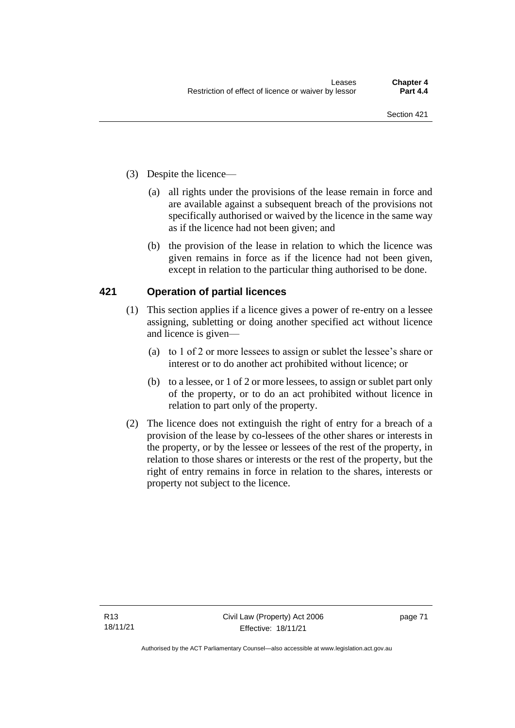- (3) Despite the licence—
	- (a) all rights under the provisions of the lease remain in force and are available against a subsequent breach of the provisions not specifically authorised or waived by the licence in the same way as if the licence had not been given; and
	- (b) the provision of the lease in relation to which the licence was given remains in force as if the licence had not been given, except in relation to the particular thing authorised to be done.

### **421 Operation of partial licences**

- (1) This section applies if a licence gives a power of re-entry on a lessee assigning, subletting or doing another specified act without licence and licence is given—
	- (a) to 1 of 2 or more lessees to assign or sublet the lessee's share or interest or to do another act prohibited without licence; or
	- (b) to a lessee, or 1 of 2 or more lessees, to assign or sublet part only of the property, or to do an act prohibited without licence in relation to part only of the property.
- (2) The licence does not extinguish the right of entry for a breach of a provision of the lease by co-lessees of the other shares or interests in the property, or by the lessee or lessees of the rest of the property, in relation to those shares or interests or the rest of the property, but the right of entry remains in force in relation to the shares, interests or property not subject to the licence.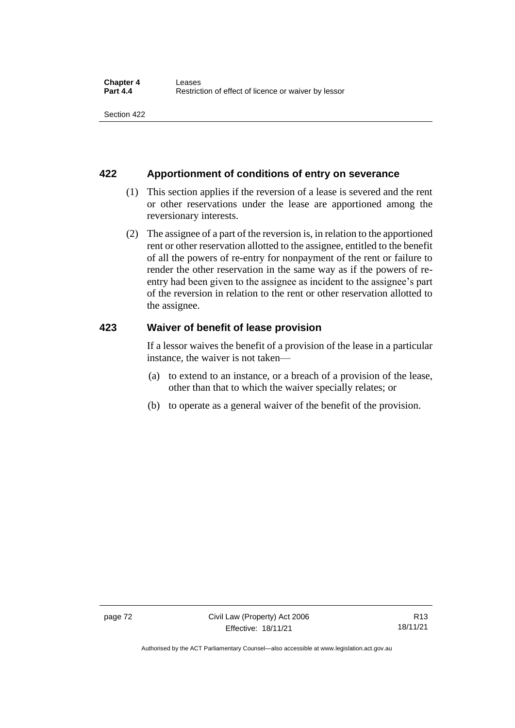### **422 Apportionment of conditions of entry on severance**

- (1) This section applies if the reversion of a lease is severed and the rent or other reservations under the lease are apportioned among the reversionary interests.
- (2) The assignee of a part of the reversion is, in relation to the apportioned rent or other reservation allotted to the assignee, entitled to the benefit of all the powers of re-entry for nonpayment of the rent or failure to render the other reservation in the same way as if the powers of reentry had been given to the assignee as incident to the assignee's part of the reversion in relation to the rent or other reservation allotted to the assignee.

### **423 Waiver of benefit of lease provision**

If a lessor waives the benefit of a provision of the lease in a particular instance, the waiver is not taken—

- (a) to extend to an instance, or a breach of a provision of the lease, other than that to which the waiver specially relates; or
- (b) to operate as a general waiver of the benefit of the provision.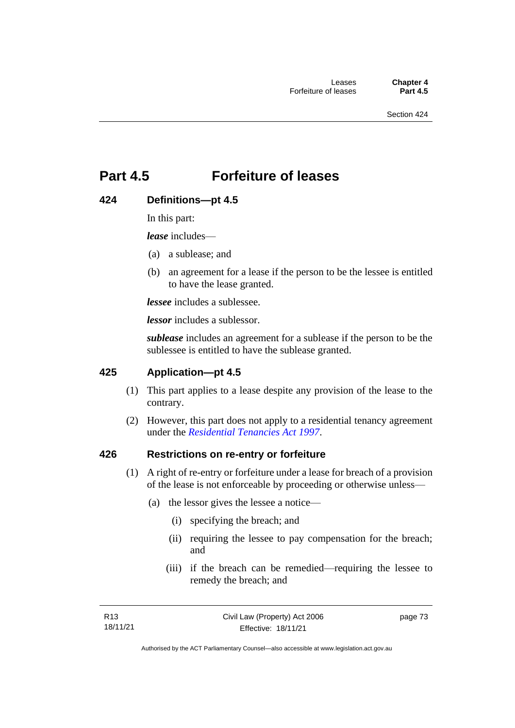## **Part 4.5 Forfeiture of leases**

## **424 Definitions—pt 4.5**

In this part:

*lease* includes—

- (a) a sublease; and
- (b) an agreement for a lease if the person to be the lessee is entitled to have the lease granted.

*lessee* includes a sublessee.

*lessor* includes a sublessor.

*sublease* includes an agreement for a sublease if the person to be the sublessee is entitled to have the sublease granted.

## **425 Application—pt 4.5**

- (1) This part applies to a lease despite any provision of the lease to the contrary.
- (2) However, this part does not apply to a residential tenancy agreement under the *[Residential Tenancies Act 1997](http://www.legislation.act.gov.au/a/1997-84)*.

#### **426 Restrictions on re-entry or forfeiture**

- (1) A right of re-entry or forfeiture under a lease for breach of a provision of the lease is not enforceable by proceeding or otherwise unless—
	- (a) the lessor gives the lessee a notice—
		- (i) specifying the breach; and
		- (ii) requiring the lessee to pay compensation for the breach; and
		- (iii) if the breach can be remedied—requiring the lessee to remedy the breach; and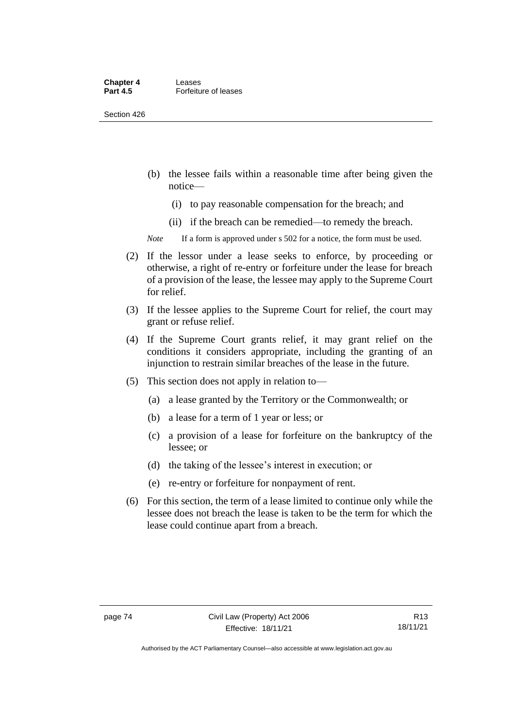#### **Chapter 4 Leases**<br>**Part 4.5 Forfeitu Forfeiture of leases**

Section 426

- (b) the lessee fails within a reasonable time after being given the notice—
	- (i) to pay reasonable compensation for the breach; and
	- (ii) if the breach can be remedied—to remedy the breach.

*Note* If a form is approved under s 502 for a notice, the form must be used.

- (2) If the lessor under a lease seeks to enforce, by proceeding or otherwise, a right of re-entry or forfeiture under the lease for breach of a provision of the lease, the lessee may apply to the Supreme Court for relief.
- (3) If the lessee applies to the Supreme Court for relief, the court may grant or refuse relief.
- (4) If the Supreme Court grants relief, it may grant relief on the conditions it considers appropriate, including the granting of an injunction to restrain similar breaches of the lease in the future.
- (5) This section does not apply in relation to—
	- (a) a lease granted by the Territory or the Commonwealth; or
	- (b) a lease for a term of 1 year or less; or
	- (c) a provision of a lease for forfeiture on the bankruptcy of the lessee; or
	- (d) the taking of the lessee's interest in execution; or
	- (e) re-entry or forfeiture for nonpayment of rent.
- (6) For this section, the term of a lease limited to continue only while the lessee does not breach the lease is taken to be the term for which the lease could continue apart from a breach.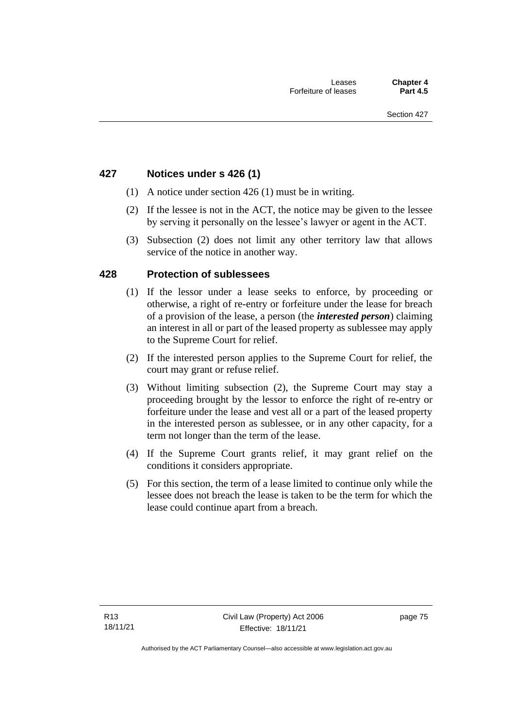### **427 Notices under s 426 (1)**

- (1) A notice under section 426 (1) must be in writing.
- (2) If the lessee is not in the ACT, the notice may be given to the lessee by serving it personally on the lessee's lawyer or agent in the ACT.
- (3) Subsection (2) does not limit any other territory law that allows service of the notice in another way.

#### **428 Protection of sublessees**

- (1) If the lessor under a lease seeks to enforce, by proceeding or otherwise, a right of re-entry or forfeiture under the lease for breach of a provision of the lease, a person (the *interested person*) claiming an interest in all or part of the leased property as sublessee may apply to the Supreme Court for relief.
- (2) If the interested person applies to the Supreme Court for relief, the court may grant or refuse relief.
- (3) Without limiting subsection (2), the Supreme Court may stay a proceeding brought by the lessor to enforce the right of re-entry or forfeiture under the lease and vest all or a part of the leased property in the interested person as sublessee, or in any other capacity, for a term not longer than the term of the lease.
- (4) If the Supreme Court grants relief, it may grant relief on the conditions it considers appropriate.
- (5) For this section, the term of a lease limited to continue only while the lessee does not breach the lease is taken to be the term for which the lease could continue apart from a breach.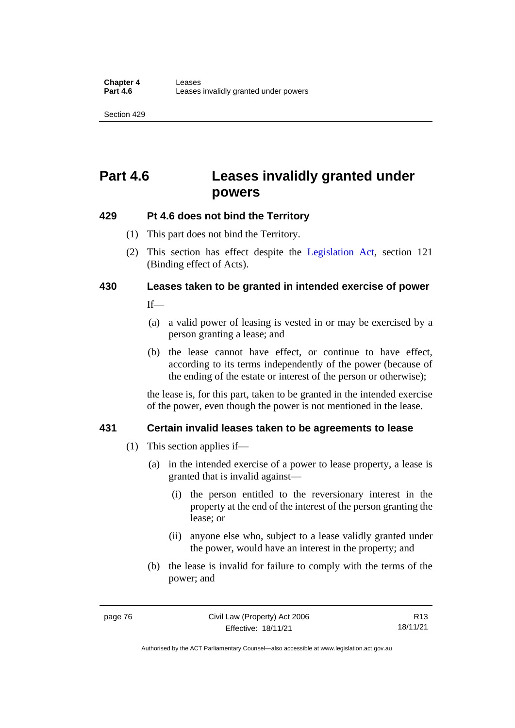## **Part 4.6 Leases invalidly granted under powers**

## **429 Pt 4.6 does not bind the Territory**

- (1) This part does not bind the Territory.
- (2) This section has effect despite the [Legislation Act](http://www.legislation.act.gov.au/a/2001-14)*,* section 121 (Binding effect of Acts).

# **430 Leases taken to be granted in intended exercise of power**

 $If$ <sub>—</sub>

- (a) a valid power of leasing is vested in or may be exercised by a person granting a lease; and
- (b) the lease cannot have effect, or continue to have effect, according to its terms independently of the power (because of the ending of the estate or interest of the person or otherwise);

the lease is, for this part, taken to be granted in the intended exercise of the power, even though the power is not mentioned in the lease.

## **431 Certain invalid leases taken to be agreements to lease**

- (1) This section applies if—
	- (a) in the intended exercise of a power to lease property, a lease is granted that is invalid against—
		- (i) the person entitled to the reversionary interest in the property at the end of the interest of the person granting the lease; or
		- (ii) anyone else who, subject to a lease validly granted under the power, would have an interest in the property; and
	- (b) the lease is invalid for failure to comply with the terms of the power; and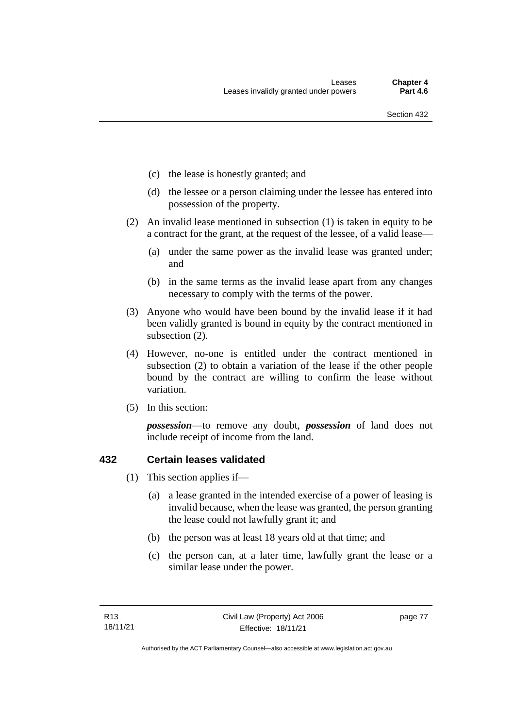- (c) the lease is honestly granted; and
- (d) the lessee or a person claiming under the lessee has entered into possession of the property.
- (2) An invalid lease mentioned in subsection (1) is taken in equity to be a contract for the grant, at the request of the lessee, of a valid lease—
	- (a) under the same power as the invalid lease was granted under; and
	- (b) in the same terms as the invalid lease apart from any changes necessary to comply with the terms of the power.
- (3) Anyone who would have been bound by the invalid lease if it had been validly granted is bound in equity by the contract mentioned in subsection (2).
- (4) However, no-one is entitled under the contract mentioned in subsection (2) to obtain a variation of the lease if the other people bound by the contract are willing to confirm the lease without variation.
- (5) In this section:

*possession*—to remove any doubt, *possession* of land does not include receipt of income from the land.

#### **432 Certain leases validated**

- (1) This section applies if—
	- (a) a lease granted in the intended exercise of a power of leasing is invalid because, when the lease was granted, the person granting the lease could not lawfully grant it; and
	- (b) the person was at least 18 years old at that time; and
	- (c) the person can, at a later time, lawfully grant the lease or a similar lease under the power.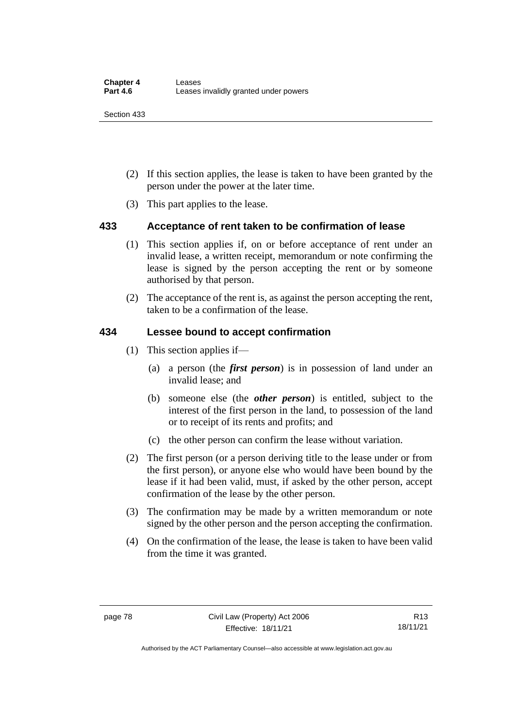- (2) If this section applies, the lease is taken to have been granted by the person under the power at the later time.
- (3) This part applies to the lease.

## **433 Acceptance of rent taken to be confirmation of lease**

- (1) This section applies if, on or before acceptance of rent under an invalid lease, a written receipt, memorandum or note confirming the lease is signed by the person accepting the rent or by someone authorised by that person.
- (2) The acceptance of the rent is, as against the person accepting the rent, taken to be a confirmation of the lease.

### **434 Lessee bound to accept confirmation**

- (1) This section applies if—
	- (a) a person (the *first person*) is in possession of land under an invalid lease; and
	- (b) someone else (the *other person*) is entitled, subject to the interest of the first person in the land, to possession of the land or to receipt of its rents and profits; and
	- (c) the other person can confirm the lease without variation.
- (2) The first person (or a person deriving title to the lease under or from the first person), or anyone else who would have been bound by the lease if it had been valid, must, if asked by the other person, accept confirmation of the lease by the other person.
- (3) The confirmation may be made by a written memorandum or note signed by the other person and the person accepting the confirmation.
- (4) On the confirmation of the lease, the lease is taken to have been valid from the time it was granted.

Authorised by the ACT Parliamentary Counsel—also accessible at www.legislation.act.gov.au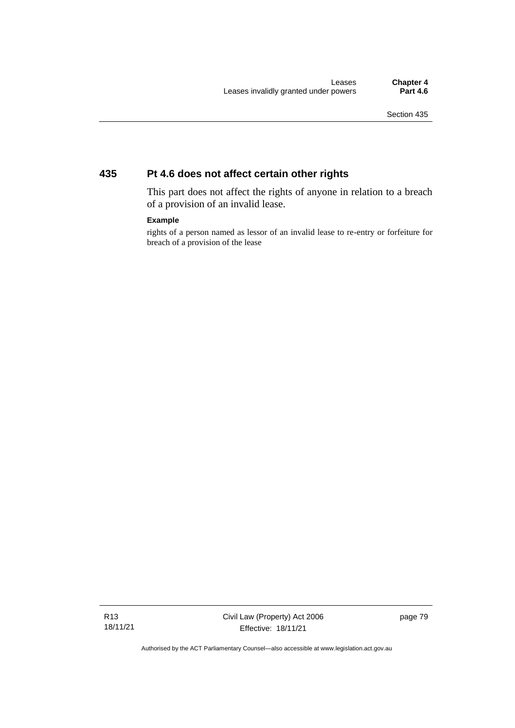## **435 Pt 4.6 does not affect certain other rights**

This part does not affect the rights of anyone in relation to a breach of a provision of an invalid lease.

#### **Example**

rights of a person named as lessor of an invalid lease to re-entry or forfeiture for breach of a provision of the lease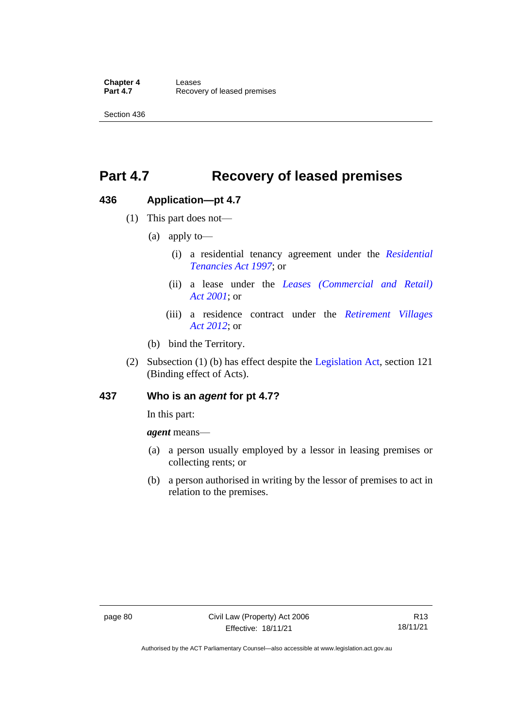## **Part 4.7 Recovery of leased premises**

### **436 Application—pt 4.7**

- (1) This part does not—
	- (a) apply to—
		- (i) a residential tenancy agreement under the *[Residential](http://www.legislation.act.gov.au/a/1997-84)  [Tenancies Act 1997](http://www.legislation.act.gov.au/a/1997-84)*; or
		- (ii) a lease under the *[Leases \(Commercial and Retail\)](http://www.legislation.act.gov.au/a/2001-18)  Act [2001](http://www.legislation.act.gov.au/a/2001-18)*; or
		- (iii) a residence contract under the *[Retirement Villages](http://www.legislation.act.gov.au/a/2012-38)  Act [2012](http://www.legislation.act.gov.au/a/2012-38)*; or
	- (b) bind the Territory.
- (2) Subsection (1) (b) has effect despite the [Legislation Act,](http://www.legislation.act.gov.au/a/2001-14) section 121 (Binding effect of Acts).

#### **437 Who is an** *agent* **for pt 4.7?**

In this part:

*agent* means—

- (a) a person usually employed by a lessor in leasing premises or collecting rents; or
- (b) a person authorised in writing by the lessor of premises to act in relation to the premises.

Authorised by the ACT Parliamentary Counsel—also accessible at www.legislation.act.gov.au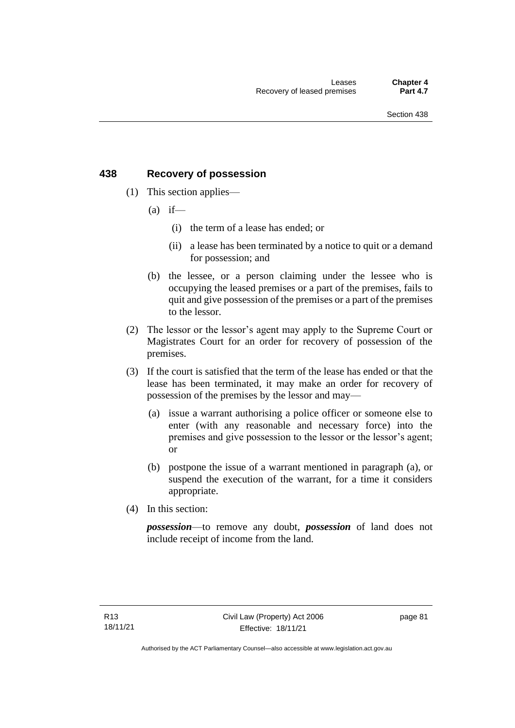## **438 Recovery of possession**

- (1) This section applies—
	- $(a)$  if—
		- (i) the term of a lease has ended; or
		- (ii) a lease has been terminated by a notice to quit or a demand for possession; and
	- (b) the lessee, or a person claiming under the lessee who is occupying the leased premises or a part of the premises, fails to quit and give possession of the premises or a part of the premises to the lessor.
- (2) The lessor or the lessor's agent may apply to the Supreme Court or Magistrates Court for an order for recovery of possession of the premises.
- (3) If the court is satisfied that the term of the lease has ended or that the lease has been terminated, it may make an order for recovery of possession of the premises by the lessor and may—
	- (a) issue a warrant authorising a police officer or someone else to enter (with any reasonable and necessary force) into the premises and give possession to the lessor or the lessor's agent; or
	- (b) postpone the issue of a warrant mentioned in paragraph (a), or suspend the execution of the warrant, for a time it considers appropriate.
- (4) In this section:

*possession*—to remove any doubt, *possession* of land does not include receipt of income from the land.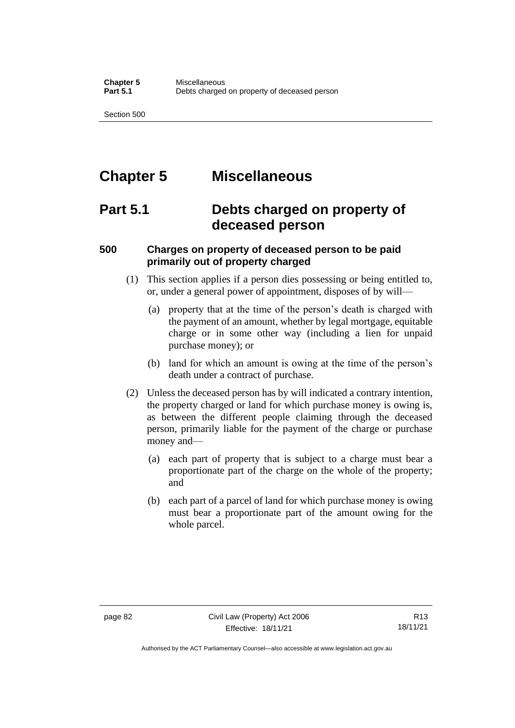## **Chapter 5 Miscellaneous**

## **Part 5.1 Debts charged on property of deceased person**

## **500 Charges on property of deceased person to be paid primarily out of property charged**

- (1) This section applies if a person dies possessing or being entitled to, or, under a general power of appointment, disposes of by will—
	- (a) property that at the time of the person's death is charged with the payment of an amount, whether by legal mortgage, equitable charge or in some other way (including a lien for unpaid purchase money); or
	- (b) land for which an amount is owing at the time of the person's death under a contract of purchase.
- (2) Unless the deceased person has by will indicated a contrary intention, the property charged or land for which purchase money is owing is, as between the different people claiming through the deceased person, primarily liable for the payment of the charge or purchase money and—
	- (a) each part of property that is subject to a charge must bear a proportionate part of the charge on the whole of the property; and
	- (b) each part of a parcel of land for which purchase money is owing must bear a proportionate part of the amount owing for the whole parcel.

Authorised by the ACT Parliamentary Counsel—also accessible at www.legislation.act.gov.au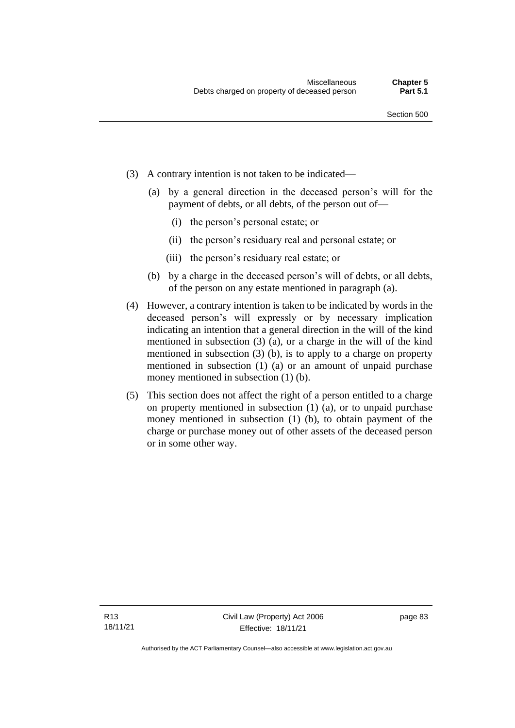- (3) A contrary intention is not taken to be indicated—
	- (a) by a general direction in the deceased person's will for the payment of debts, or all debts, of the person out of—
		- (i) the person's personal estate; or
		- (ii) the person's residuary real and personal estate; or
		- (iii) the person's residuary real estate; or
	- (b) by a charge in the deceased person's will of debts, or all debts, of the person on any estate mentioned in paragraph (a).
- (4) However, a contrary intention is taken to be indicated by words in the deceased person's will expressly or by necessary implication indicating an intention that a general direction in the will of the kind mentioned in subsection (3) (a), or a charge in the will of the kind mentioned in subsection (3) (b), is to apply to a charge on property mentioned in subsection (1) (a) or an amount of unpaid purchase money mentioned in subsection (1) (b).
- (5) This section does not affect the right of a person entitled to a charge on property mentioned in subsection (1) (a), or to unpaid purchase money mentioned in subsection (1) (b), to obtain payment of the charge or purchase money out of other assets of the deceased person or in some other way.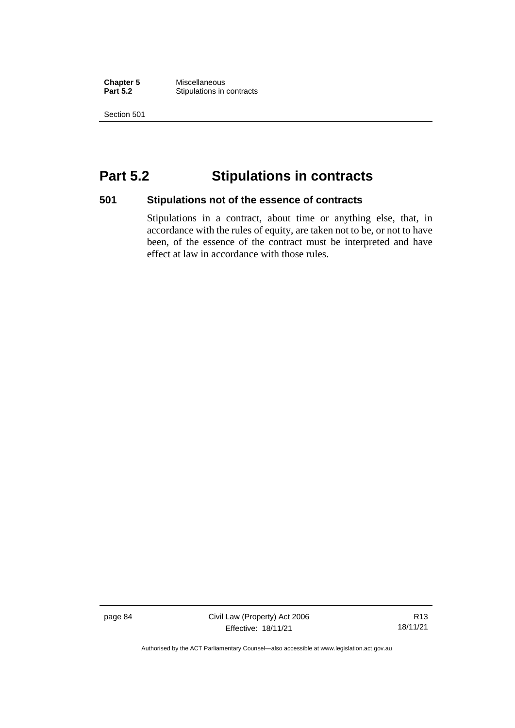**Chapter 5 Miscellaneous**<br>**Part 5.2 Stipulations in Stipulations in contracts** 

Section 501

## **Part 5.2 Stipulations in contracts**

#### **501 Stipulations not of the essence of contracts**

Stipulations in a contract, about time or anything else, that, in accordance with the rules of equity, are taken not to be, or not to have been, of the essence of the contract must be interpreted and have effect at law in accordance with those rules.

page 84 Civil Law (Property) Act 2006 Effective: 18/11/21

R13 18/11/21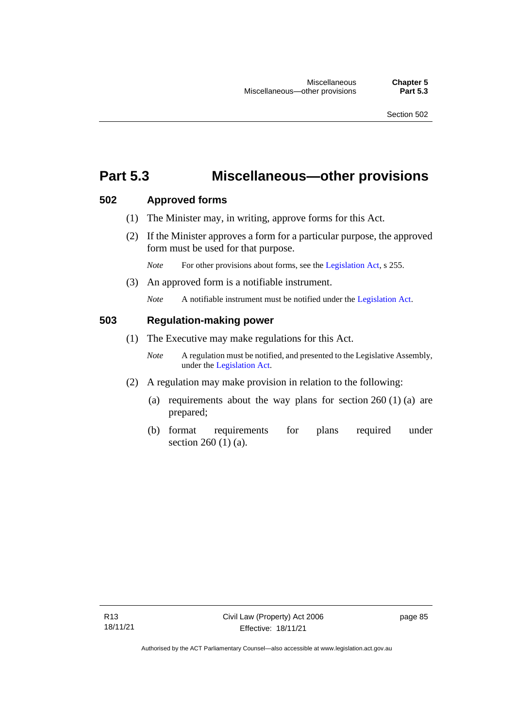## **Part 5.3 Miscellaneous—other provisions**

#### **502 Approved forms**

- (1) The Minister may, in writing, approve forms for this Act.
- (2) If the Minister approves a form for a particular purpose, the approved form must be used for that purpose.

*Note* For other provisions about forms, see th[e Legislation Act,](http://www.legislation.act.gov.au/a/2001-14) s 255.

(3) An approved form is a notifiable instrument.

*Note* A notifiable instrument must be notified under the [Legislation Act.](http://www.legislation.act.gov.au/a/2001-14)

#### **503 Regulation-making power**

- (1) The Executive may make regulations for this Act.
	- *Note* A regulation must be notified, and presented to the Legislative Assembly, under the [Legislation Act.](http://www.legislation.act.gov.au/a/2001-14)
- (2) A regulation may make provision in relation to the following:
	- (a) requirements about the way plans for section  $260(1)(a)$  are prepared;
	- (b) format requirements for plans required under section 260 (1) (a).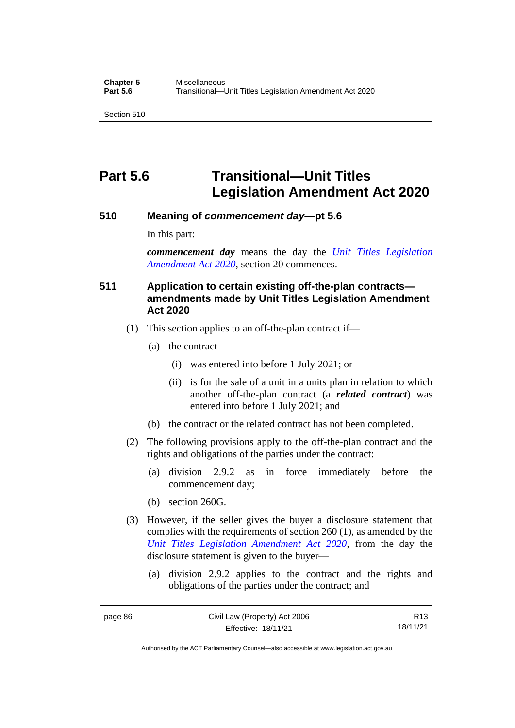## **Part 5.6 Transitional—Unit Titles Legislation Amendment Act 2020**

#### **510 Meaning of** *commencement day***—pt 5.6**

In this part:

*commencement day* means the day the *[Unit Titles Legislation](http://www.legislation.act.gov.au/a/2020-4/default.asp)  [Amendment Act 2020](http://www.legislation.act.gov.au/a/2020-4/default.asp)*, section 20 commences.

### **511 Application to certain existing off-the-plan contracts amendments made by Unit Titles Legislation Amendment Act 2020**

- (1) This section applies to an off-the-plan contract if—
	- (a) the contract—
		- (i) was entered into before 1 July 2021; or
		- (ii) is for the sale of a unit in a units plan in relation to which another off-the-plan contract (a *related contract*) was entered into before 1 July 2021; and
	- (b) the contract or the related contract has not been completed.
- (2) The following provisions apply to the off-the-plan contract and the rights and obligations of the parties under the contract:
	- (a) division 2.9.2 as in force immediately before the commencement day;
	- (b) section 260G.
- (3) However, if the seller gives the buyer a disclosure statement that complies with the requirements of section 260 (1), as amended by the *[Unit Titles Legislation Amendment Act 2020](http://www.legislation.act.gov.au/a/2020-4/default.asp)*, from the day the disclosure statement is given to the buyer—
	- (a) division 2.9.2 applies to the contract and the rights and obligations of the parties under the contract; and

R13 18/11/21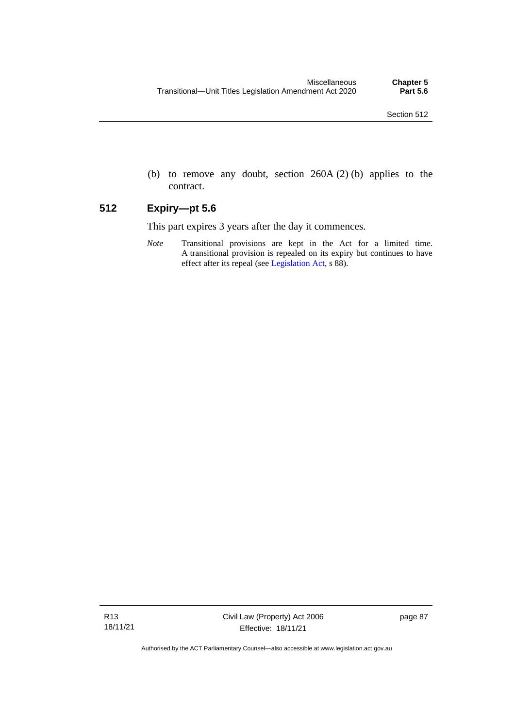(b) to remove any doubt, section 260A (2) (b) applies to the contract.

### **512 Expiry—pt 5.6**

This part expires 3 years after the day it commences.

*Note* Transitional provisions are kept in the Act for a limited time. A transitional provision is repealed on its expiry but continues to have effect after its repeal (se[e Legislation Act,](http://www.legislation.act.gov.au/a/2001-14) s 88).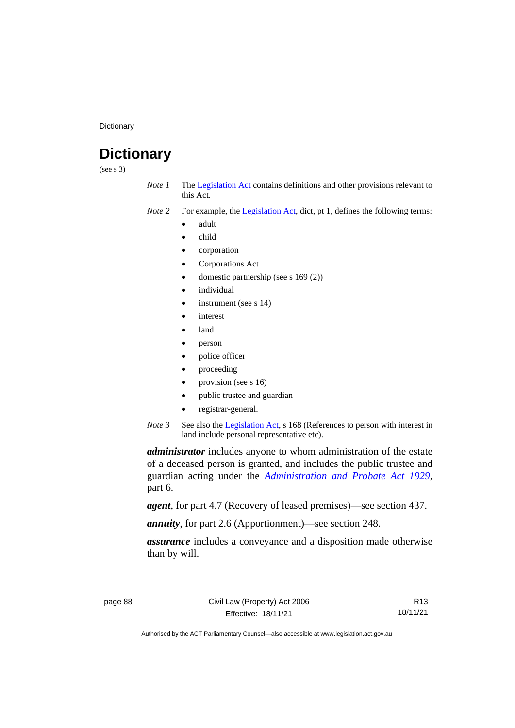**Dictionary** 

## **Dictionary**

(see s 3)

- *Note 1* The [Legislation Act](http://www.legislation.act.gov.au/a/2001-14) contains definitions and other provisions relevant to this Act.
- *Note 2* For example, the [Legislation Act,](http://www.legislation.act.gov.au/a/2001-14) dict, pt 1, defines the following terms:
	- adult
	- child
	- corporation
	- Corporations Act
	- domestic partnership (see s 169 (2))
	- *individual*
	- instrument (see s 14)
	- **interest**
	- land
	- person
	- police officer
	- proceeding
	- provision (see s 16)
	- public trustee and guardian
	- registrar-general.
- *Note 3* See also the [Legislation Act,](http://www.legislation.act.gov.au/a/2001-14) s 168 (References to person with interest in land include personal representative etc).

*administrator* includes anyone to whom administration of the estate of a deceased person is granted, and includes the public trustee and guardian acting under the *[Administration and Probate Act 1929](http://www.legislation.act.gov.au/a/1929-18)*, part 6.

*agent*, for part 4.7 (Recovery of leased premises)—see section 437.

*annuity*, for part 2.6 (Apportionment)—see section 248.

*assurance* includes a conveyance and a disposition made otherwise than by will.

R13 18/11/21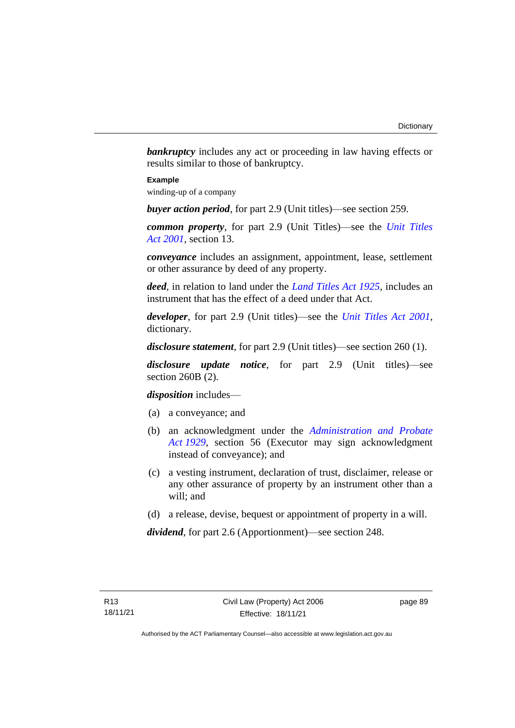**bankruptcy** includes any act or proceeding in law having effects or results similar to those of bankruptcy.

#### **Example**

winding-up of a company

*buyer action period*, for part 2.9 (Unit titles)—see section 259.

*common property*, for part 2.9 (Unit Titles)—see the *[Unit Titles](http://www.legislation.act.gov.au/a/2001-16)  Act [2001](http://www.legislation.act.gov.au/a/2001-16)*, section 13.

*conveyance* includes an assignment, appointment, lease, settlement or other assurance by deed of any property.

*deed*, in relation to land under the *[Land Titles Act 1925](http://www.legislation.act.gov.au/a/1925-1)*, includes an instrument that has the effect of a deed under that Act.

*developer*, for part 2.9 (Unit titles)—see the *[Unit Titles Act 2001](http://www.legislation.act.gov.au/a/2001-16)*, dictionary.

*disclosure statement*, for part 2.9 (Unit titles)—see section 260 (1).

*disclosure update notice*, for part 2.9 (Unit titles)—see section 260B (2).

*disposition* includes—

- (a) a conveyance; and
- (b) an acknowledgment under the *[Administration and Probate](http://www.legislation.act.gov.au/a/1929-18)  Act [1929](http://www.legislation.act.gov.au/a/1929-18)*, section 56 (Executor may sign acknowledgment instead of conveyance); and
- (c) a vesting instrument, declaration of trust, disclaimer, release or any other assurance of property by an instrument other than a will; and
- (d) a release, devise, bequest or appointment of property in a will.

*dividend*, for part 2.6 (Apportionment)—see section 248.

Authorised by the ACT Parliamentary Counsel—also accessible at www.legislation.act.gov.au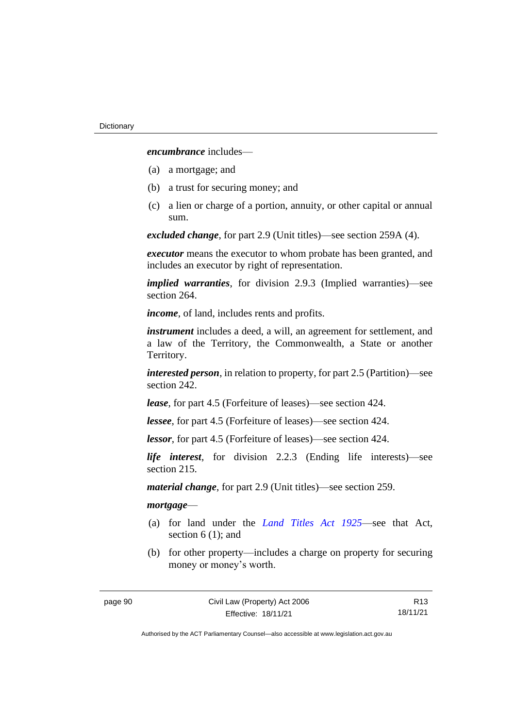*encumbrance* includes—

- (a) a mortgage; and
- (b) a trust for securing money; and
- (c) a lien or charge of a portion, annuity, or other capital or annual sum.

*excluded change*, for part 2.9 (Unit titles)—see section 259A (4).

*executor* means the executor to whom probate has been granted, and includes an executor by right of representation.

*implied warranties*, for division 2.9.3 (Implied warranties)—see section 264.

*income*, of land, includes rents and profits.

*instrument* includes a deed, a will, an agreement for settlement, and a law of the Territory, the Commonwealth, a State or another Territory.

*interested person*, in relation to property, for part 2.5 (Partition)—see section 242.

*lease*, for part 4.5 (Forfeiture of leases)—see section 424.

*lessee*, for part 4.5 (Forfeiture of leases)—see section 424.

*lessor*, for part 4.5 (Forfeiture of leases)—see section 424.

*life interest*, for division 2.2.3 (Ending life interests)—see section 215.

*material change*, for part 2.9 (Unit titles)—see section 259.

#### *mortgage*—

- (a) for land under the *[Land Titles Act 1925](http://www.legislation.act.gov.au/a/1925-1)*—see that Act, section 6 (1); and
- (b) for other property—includes a charge on property for securing money or money's worth.

R13 18/11/21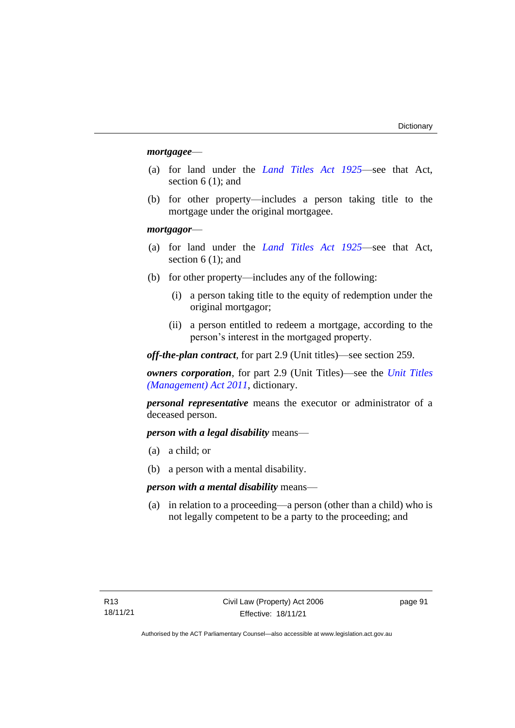#### *mortgagee*—

- (a) for land under the *[Land Titles Act 1925](http://www.legislation.act.gov.au/a/1925-1)*—see that Act, section 6 (1); and
- (b) for other property—includes a person taking title to the mortgage under the original mortgagee.

#### *mortgagor*—

- (a) for land under the *[Land Titles Act 1925](http://www.legislation.act.gov.au/a/1925-1)*—see that Act, section 6 (1); and
- (b) for other property—includes any of the following:
	- (i) a person taking title to the equity of redemption under the original mortgagor;
	- (ii) a person entitled to redeem a mortgage, according to the person's interest in the mortgaged property.

*off-the-plan contract*, for part 2.9 (Unit titles)—see section 259.

*owners corporation*, for part 2.9 (Unit Titles)—see the *[Unit Titles](http://www.legislation.act.gov.au/a/2011-41)  [\(Management\) Act](http://www.legislation.act.gov.au/a/2011-41) 2011*, dictionary.

*personal representative* means the executor or administrator of a deceased person.

*person with a legal disability* means—

- (a) a child; or
- (b) a person with a mental disability.

*person with a mental disability* means—

(a) in relation to a proceeding—a person (other than a child) who is not legally competent to be a party to the proceeding; and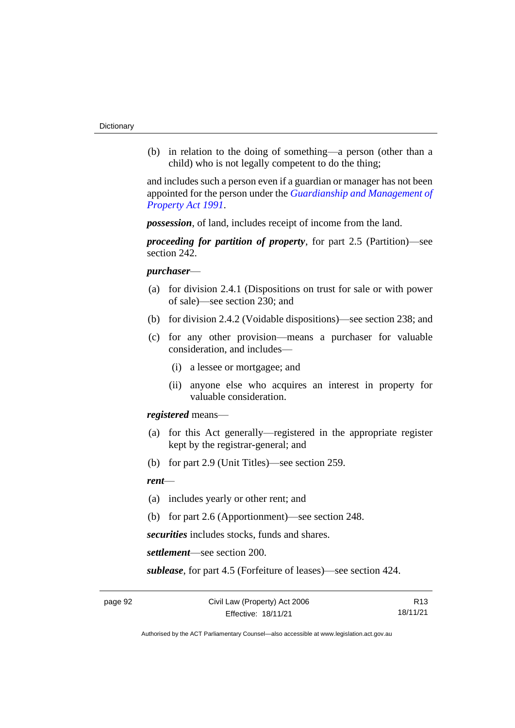(b) in relation to the doing of something—a person (other than a child) who is not legally competent to do the thing;

and includes such a person even if a guardian or manager has not been appointed for the person under the *[Guardianship and Management of](http://www.legislation.act.gov.au/a/1991-62)  [Property Act 1991](http://www.legislation.act.gov.au/a/1991-62)*.

*possession*, of land, includes receipt of income from the land.

*proceeding for partition of property*, for part 2.5 (Partition)—see section 242.

#### *purchaser*—

- (a) for division 2.4.1 (Dispositions on trust for sale or with power of sale)—see section 230; and
- (b) for division 2.4.2 (Voidable dispositions)—see section 238; and
- (c) for any other provision—means a purchaser for valuable consideration, and includes—
	- (i) a lessee or mortgagee; and
	- (ii) anyone else who acquires an interest in property for valuable consideration.

*registered* means—

- (a) for this Act generally—registered in the appropriate register kept by the registrar-general; and
- (b) for part 2.9 (Unit Titles)—see section 259.

#### *rent*—

- (a) includes yearly or other rent; and
- (b) for part 2.6 (Apportionment)—see section 248.

*securities* includes stocks, funds and shares.

*settlement*—see section 200.

*sublease*, for part 4.5 (Forfeiture of leases)—see section 424.

R13 18/11/21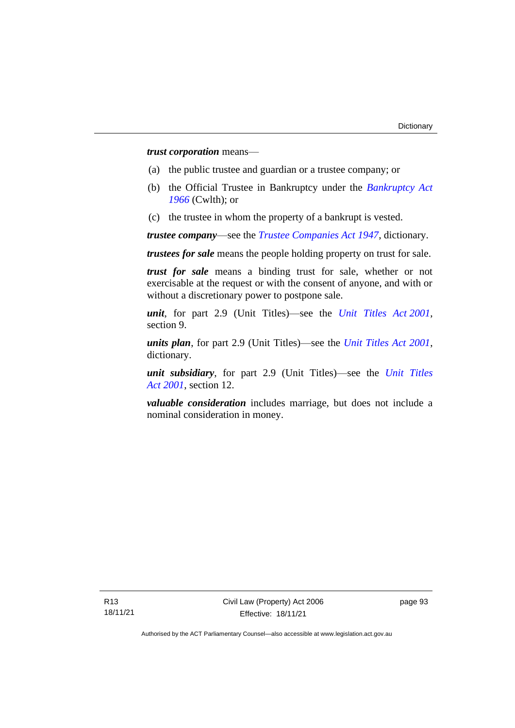*trust corporation* means—

- (a) the public trustee and guardian or a trustee company; or
- (b) the Official Trustee in Bankruptcy under the *[Bankruptcy Act](http://www.comlaw.gov.au/Series/C2004A07422)  [1966](http://www.comlaw.gov.au/Series/C2004A07422)* (Cwlth); or
- (c) the trustee in whom the property of a bankrupt is vested.

*trustee company*—see the *[Trustee Companies Act 1947](http://www.legislation.act.gov.au/a/1947-15)*, dictionary.

*trustees for sale* means the people holding property on trust for sale.

*trust for sale* means a binding trust for sale, whether or not exercisable at the request or with the consent of anyone, and with or without a discretionary power to postpone sale.

*unit*, for part 2.9 (Unit Titles)—see the *[Unit Titles Act](http://www.legislation.act.gov.au/a/2001-16) 2001*, section 9.

*units plan*, for part 2.9 (Unit Titles)—see the *[Unit Titles Act 2001](http://www.legislation.act.gov.au/a/2001-16)*, dictionary.

*unit subsidiary*, for part 2.9 (Unit Titles)—see the *[Unit Titles](http://www.legislation.act.gov.au/a/2001-16)  Act [2001](http://www.legislation.act.gov.au/a/2001-16)*, section 12.

*valuable consideration* includes marriage, but does not include a nominal consideration in money.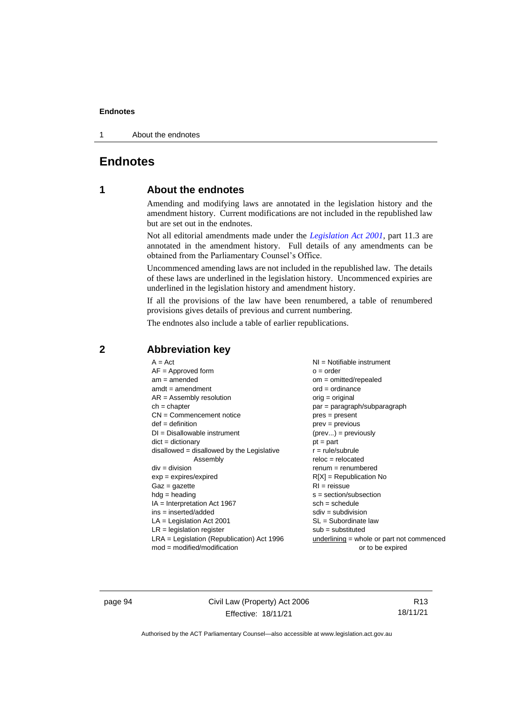1 About the endnotes

## **Endnotes**

### **1 About the endnotes**

Amending and modifying laws are annotated in the legislation history and the amendment history. Current modifications are not included in the republished law but are set out in the endnotes.

Not all editorial amendments made under the *[Legislation Act 2001](http://www.legislation.act.gov.au/a/2001-14)*, part 11.3 are annotated in the amendment history. Full details of any amendments can be obtained from the Parliamentary Counsel's Office.

Uncommenced amending laws are not included in the republished law. The details of these laws are underlined in the legislation history. Uncommenced expiries are underlined in the legislation history and amendment history.

If all the provisions of the law have been renumbered, a table of renumbered provisions gives details of previous and current numbering.

The endnotes also include a table of earlier republications.

| $A = Act$                                    | $NI =$ Notifiable instrument                |
|----------------------------------------------|---------------------------------------------|
| $AF =$ Approved form                         | $o = order$                                 |
| $am = amended$                               | $om = omitted/repealed$                     |
| $amdt = amendment$                           | $ord = ordinance$                           |
| $AR = Assembly resolution$                   | $orig = original$                           |
| $ch = chapter$                               | par = paragraph/subparagraph                |
| $CN =$ Commencement notice                   | pres = present                              |
| $def = definition$                           | $prev = previous$                           |
| $DI = Disallowable instrument$               | $(\text{prev}) = \text{previously}$         |
| $dict = dictionary$                          | $pt = part$                                 |
| $disallowed = disallowed by the Legislative$ | $r = rule/subrule$                          |
| Assembly                                     | $reloc = relocated$                         |
| $div = division$                             | $remum = renumbered$                        |
| $exp = expires/expired$                      | $R[X]$ = Republication No                   |
| $Gaz = gazette$                              | $RI =$ reissue                              |
| $h dq =$ heading                             | $s = section/subsection$                    |
|                                              |                                             |
|                                              |                                             |
| $IA = Interpretation Act 1967$               | $sch = schedule$                            |
| $ins = inserted/added$                       | $sdiv = subdivision$                        |
| $LA =$ Legislation Act 2001                  | $SL = Subordinate$ law                      |
| $LR =$ legislation register                  | $sub =$ substituted                         |
| $LRA =$ Legislation (Republication) Act 1996 | $underlining = whole or part not commenced$ |
| $mod = modified/modification$                | or to be expired                            |

#### **2 Abbreviation key**

page 94 Civil Law (Property) Act 2006 Effective: 18/11/21

R13 18/11/21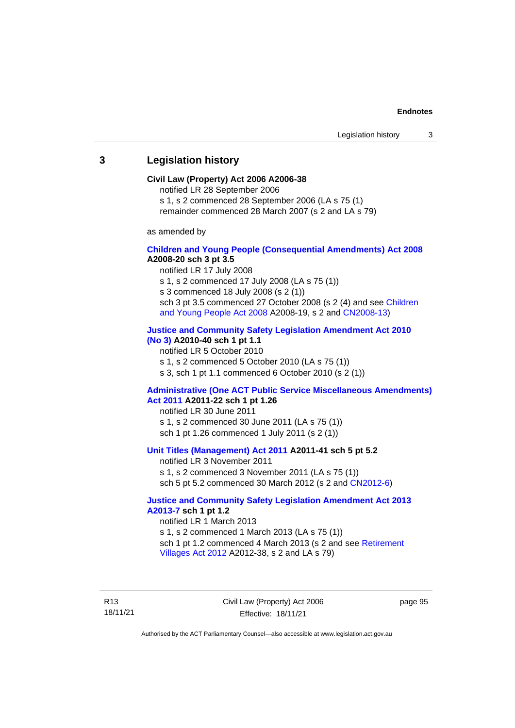#### **3 Legislation history**

#### **Civil Law (Property) Act 2006 A2006-38**

notified LR 28 September 2006

s 1, s 2 commenced 28 September 2006 (LA s 75 (1)

remainder commenced 28 March 2007 (s 2 and LA s 79)

as amended by

#### **[Children and Young People \(Consequential Amendments\) Act 2008](http://www.legislation.act.gov.au/a/2008-20) A2008-20 sch 3 pt 3.5**

notified LR 17 July 2008

s 1, s 2 commenced 17 July 2008 (LA s 75 (1))

s 3 commenced 18 July 2008 (s 2 (1))

sch 3 pt 3.5 commenced 27 October 2008 (s 2 (4) and see [Children](http://www.legislation.act.gov.au/a/2008-19)  [and Young People Act 2008](http://www.legislation.act.gov.au/a/2008-19) A2008-19, s 2 and [CN2008-13\)](http://www.legislation.act.gov.au/cn/2008-13/default.asp)

#### **[Justice and Community Safety Legislation Amendment Act 2010](http://www.legislation.act.gov.au/a/2010-40)**

**[\(No](http://www.legislation.act.gov.au/a/2010-40) 3) A2010-40 sch 1 pt 1.1**

notified LR 5 October 2010

s 1, s 2 commenced 5 October 2010 (LA s 75 (1))

s 3, sch 1 pt 1.1 commenced 6 October 2010 (s 2 (1))

#### **[Administrative \(One ACT Public Service Miscellaneous Amendments\)](http://www.legislation.act.gov.au/a/2011-22)  Act [2011](http://www.legislation.act.gov.au/a/2011-22) A2011-22 sch 1 pt 1.26**

notified LR 30 June 2011 s 1, s 2 commenced 30 June 2011 (LA s 75 (1)) sch 1 pt 1.26 commenced 1 July 2011 (s 2 (1))

#### **[Unit Titles \(Management\) Act 2011](http://www.legislation.act.gov.au/a/2011-41) A2011-41 sch 5 pt 5.2**

notified LR 3 November 2011 s 1, s 2 commenced 3 November 2011 (LA s 75 (1)) sch 5 pt 5.2 commenced 30 March 2012 (s 2 and [CN2012-6\)](http://www.legislation.act.gov.au/cn/2012-6/default.asp)

#### **[Justice and Community Safety Legislation Amendment Act 2013](http://www.legislation.act.gov.au/a/2013-7/default.asp)  [A2013-7](http://www.legislation.act.gov.au/a/2013-7/default.asp) sch 1 pt 1.2**

notified LR 1 March 2013 s 1, s 2 commenced 1 March 2013 (LA s 75 (1)) sch 1 pt 1.2 commenced 4 March 2013 (s 2 and see Retirement [Villages Act 2012](http://www.legislation.act.gov.au/a/2012-38) A2012-38, s 2 and LA s 79)

R13 18/11/21 Civil Law (Property) Act 2006 Effective: 18/11/21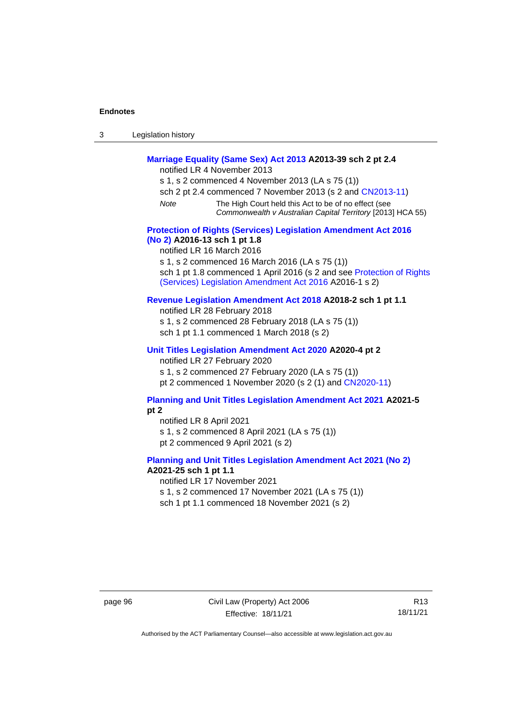| Legislation history<br>3 |  |
|--------------------------|--|
|--------------------------|--|

## **[Marriage Equality \(Same Sex\) Act 2013](http://www.legislation.act.gov.au/a/2013-39) A2013-39 sch 2 pt 2.4**

notified LR 4 November 2013

- s 1, s 2 commenced 4 November 2013 (LA s 75 (1))
- sch 2 pt 2.4 commenced 7 November 2013 (s 2 and [CN2013-11\)](http://www.legislation.act.gov.au/cn/2013-11)
- *Note* The High Court held this Act to be of no effect (see *Commonwealth v Australian Capital Territory* [2013] HCA 55)

#### **[Protection of Rights \(Services\) Legislation Amendment Act 2016](http://www.legislation.act.gov.au/a/2016-13)  [\(No](http://www.legislation.act.gov.au/a/2016-13) 2) A2016-13 sch 1 pt 1.8**

notified LR 16 March 2016

s 1, s 2 commenced 16 March 2016 (LA s 75 (1))

sch 1 pt 1.8 commenced 1 April 2016 (s 2 and see Protection of Rights [\(Services\) Legislation Amendment Act 2016](http://www.legislation.act.gov.au/a/2016-1/default.asp) A2016-1 s 2)

#### **[Revenue Legislation Amendment Act 2018](http://www.legislation.act.gov.au/a/2018-2/default.asp) A2018-2 sch 1 pt 1.1**

notified LR 28 February 2018 s 1, s 2 commenced 28 February 2018 (LA s 75 (1)) sch 1 pt 1.1 commenced 1 March 2018 (s 2)

#### **[Unit Titles Legislation Amendment Act 2020](http://www.legislation.act.gov.au/a/2020-4/default.asp) A2020-4 pt 2**

notified LR 27 February 2020

s 1, s 2 commenced 27 February 2020 (LA s 75 (1))

pt 2 commenced 1 November 2020 (s 2 (1) and [CN2020-11\)](http://www.legislation.act.gov.au/cn/2020-11/default.asp)

#### **[Planning and Unit Titles Legislation Amendment Act 2021](http://www.legislation.act.gov.au/a/2021-5/default.asp) A2021-5 pt 2**

notified LR 8 April 2021 s 1, s 2 commenced 8 April 2021 (LA s 75 (1)) pt 2 commenced 9 April 2021 (s 2)

#### **[Planning and Unit Titles Legislation Amendment Act 2021 \(No 2\)](http://www.legislation.act.gov.au/a/2021-25/)**

#### **A2021-25 sch 1 pt 1.1**

notified LR 17 November 2021

s 1, s 2 commenced 17 November 2021 (LA s 75 (1))

sch 1 pt 1.1 commenced 18 November 2021 (s 2)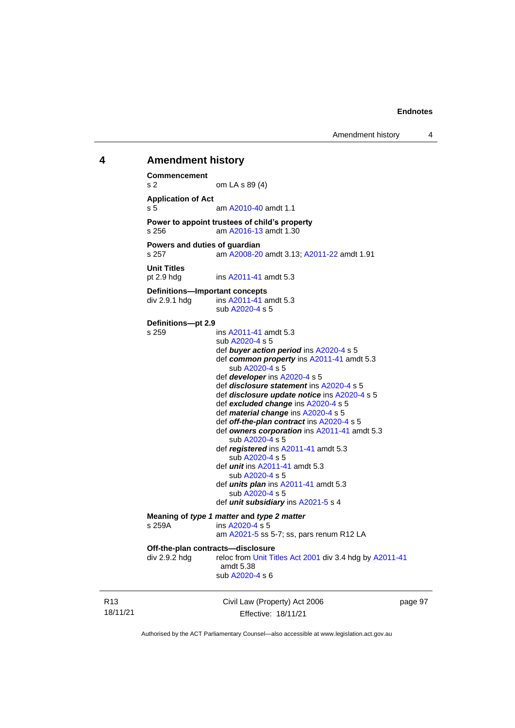#### **4 Amendment history Commencement**

Civil Law (Property) Act 2006 s 2 om LA s 89 (4) **Application of Act** s 5 am [A2010-40](http://www.legislation.act.gov.au/a/2010-40) amdt 1.1 **Power to appoint trustees of child's property**<br>s 256 am A2016-13 amdt 1.30 am [A2016-13](http://www.legislation.act.gov.au/a/2016-13) amdt 1.30 **Powers and duties of guardian** s 257 am [A2008-20](http://www.legislation.act.gov.au/a/2008-20) amdt 3.13[; A2011-22](http://www.legislation.act.gov.au/a/2011-22) amdt 1.91 **Unit Titles** pt 2.9 hdg ins [A2011-41](http://www.legislation.act.gov.au/a/2011-41) amdt 5.3 **Definitions—Important concepts** div 2.9.1 hdg ins [A2011-41](http://www.legislation.act.gov.au/a/2011-41) amdt 5.3 sub [A2020-4](http://www.legislation.act.gov.au/a/2020-4/) s 5 **Definitions—pt 2.9** s 259 ins [A2011-41](http://www.legislation.act.gov.au/a/2011-41) amdt 5.3 sub [A2020-4](http://www.legislation.act.gov.au/a/2020-4/) s 5 def *buyer action period* ins [A2020-4](http://www.legislation.act.gov.au/a/2020-4/) s 5 def *common property* ins [A2011-41](http://www.legislation.act.gov.au/a/2011-41) amdt 5.3 sub [A2020-4](http://www.legislation.act.gov.au/a/2020-4/) s 5 def *developer* ins [A2020-4](http://www.legislation.act.gov.au/a/2020-4/) s 5 def *disclosure statement* in[s A2020-4](http://www.legislation.act.gov.au/a/2020-4/) s 5 def *disclosure update notice* in[s A2020-4](http://www.legislation.act.gov.au/a/2020-4/) s 5 def *excluded change* in[s A2020-4](http://www.legislation.act.gov.au/a/2020-4/) s 5 def *material change* ins [A2020-4](http://www.legislation.act.gov.au/a/2020-4/) s 5 def *off-the-plan contract* ins [A2020-4](http://www.legislation.act.gov.au/a/2020-4/) s 5 def *owners corporation* in[s A2011-41](http://www.legislation.act.gov.au/a/2011-41) amdt 5.3 sub [A2020-4](http://www.legislation.act.gov.au/a/2020-4/) s 5 def *registered* ins [A2011-41](http://www.legislation.act.gov.au/a/2011-41) amdt 5.3 sub [A2020-4](http://www.legislation.act.gov.au/a/2020-4/) s 5 def *unit* ins [A2011-41](http://www.legislation.act.gov.au/a/2011-41) amdt 5.3 sub [A2020-4](http://www.legislation.act.gov.au/a/2020-4/) s 5 def *units plan* ins [A2011-41](http://www.legislation.act.gov.au/a/2011-41) amdt 5.3 sub [A2020-4](http://www.legislation.act.gov.au/a/2020-4/) s 5 def *unit subsidiary* in[s A2021-5](http://www.legislation.act.gov.au/a/2021-5/) s 4 **Meaning of** *type 1 matter* **and** *type 2 matter* **s 259A <b>and** *i*ns A2020-4 s 5 ins [A2020-4](http://www.legislation.act.gov.au/a/2020-4/) s 5 am [A2021-5](http://www.legislation.act.gov.au/a/2021-5/) ss 5-7; ss, pars renum R12 LA **Off-the-plan contracts—disclosure** div 2.9.2 hdg reloc fro[m Unit Titles Act 2001](http://www.legislation.act.gov.au/a/2001-16) div 3.4 hdg b[y A2011-41](http://www.legislation.act.gov.au/a/2011-41) amdt 5.38 sub [A2020-4](http://www.legislation.act.gov.au/a/2020-4/) s 6

18/11/21

R13

Effective: 18/11/21

page 97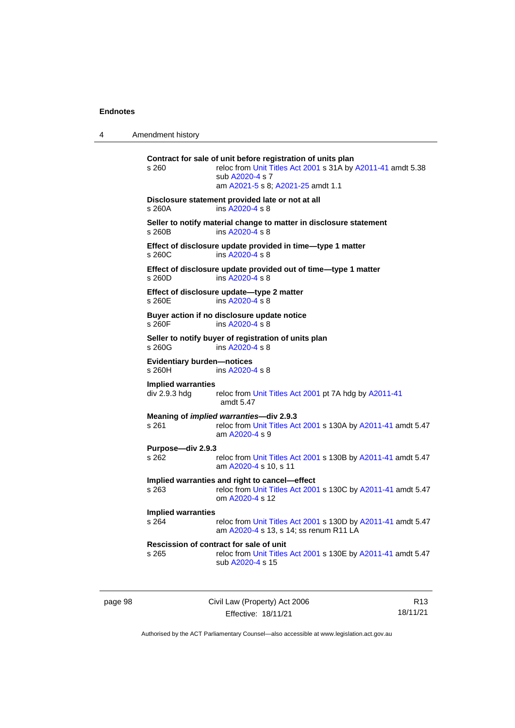| 4 | Amendment history |  |
|---|-------------------|--|
|   |                   |  |

| s 260                                       | Contract for sale of unit before registration of units plan<br>reloc from Unit Titles Act 2001 s 31A by A2011-41 amdt 5.38<br>sub A2020-4 s 7<br>am A2021-5 s 8; A2021-25 amdt 1.1 |
|---------------------------------------------|------------------------------------------------------------------------------------------------------------------------------------------------------------------------------------|
| s 260A                                      | Disclosure statement provided late or not at all<br>ins A2020-4 s 8                                                                                                                |
| s 260B                                      | Seller to notify material change to matter in disclosure statement<br>ins A2020-4 s 8                                                                                              |
| s 260C                                      | Effect of disclosure update provided in time-type 1 matter<br>ins A2020-4 s 8                                                                                                      |
| s 260D                                      | Effect of disclosure update provided out of time-type 1 matter<br>ins A2020-4 s 8                                                                                                  |
| s 260E                                      | Effect of disclosure update-type 2 matter<br>ins A2020-4 s 8                                                                                                                       |
| s 260F                                      | Buyer action if no disclosure update notice<br>ins A2020-4 s 8                                                                                                                     |
| s 260G                                      | Seller to notify buyer of registration of units plan<br>ins A2020-4 s 8                                                                                                            |
| <b>Evidentiary burden-notices</b><br>s 260H | ins $A2020 - 4$ s $8$                                                                                                                                                              |
| <b>Implied warranties</b><br>div 2.9.3 hdg  | reloc from Unit Titles Act 2001 pt 7A hdg by A2011-41<br>amdt 5.47                                                                                                                 |
| s 261                                       | Meaning of <i>implied warranties</i> —div 2.9.3<br>reloc from Unit Titles Act 2001 s 130A by A2011-41 amdt 5.47<br>am A2020-4 s 9                                                  |
| Purpose-div 2.9.3<br>s 262                  | reloc from Unit Titles Act 2001 s 130B by A2011-41 amdt 5.47<br>am A2020-4 s 10, s 11                                                                                              |
| $s$ 263                                     | Implied warranties and right to cancel-effect<br>reloc from Unit Titles Act 2001 s 130C by A2011-41 amdt 5.47<br>om A2020-4 s 12                                                   |
| <b>Implied warranties</b><br>s 264          | reloc from Unit Titles Act 2001 s 130D by A2011-41 amdt 5.47<br>am A2020-4 s 13, s 14; ss renum R11 LA                                                                             |
| s 265                                       | Rescission of contract for sale of unit<br>reloc from Unit Titles Act 2001 s 130E by A2011-41 amdt 5.47<br>sub A2020-4 s 15                                                        |

page 98 Civil Law (Property) Act 2006 Effective: 18/11/21

R13 18/11/21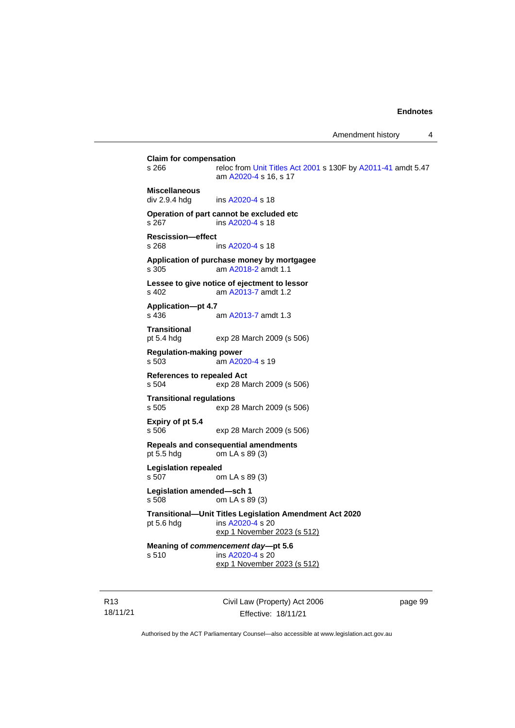**Claim for compensation**<br>s 266 reloc f reloc from [Unit Titles Act 2001](http://www.legislation.act.gov.au/a/2001-16) s 130F by [A2011-41](http://www.legislation.act.gov.au/a/2011-41) amdt 5.47 am [A2020-4](http://www.legislation.act.gov.au/a/2020-4/) s 16, s 17 **Miscellaneous** div 2.9.4 hdg ins [A2020-4](http://www.legislation.act.gov.au/a/2020-4/) s 18 **Operation of part cannot be excluded etc** s 267 ins [A2020-4](http://www.legislation.act.gov.au/a/2020-4/) s 18 **Rescission—effect** s 268 ins [A2020-4](http://www.legislation.act.gov.au/a/2020-4/) s 18 **Application of purchase money by mortgagee** s 305 am [A2018-2](http://www.legislation.act.gov.au/a/2018-2/default.asp) amdt 1.1 **Lessee to give notice of ejectment to lessor** s 402 am [A2013-7](http://www.legislation.act.gov.au/a/2013-7/default.asp) amdt 1.2 **Application—pt 4.7** s 436 am [A2013-7](http://www.legislation.act.gov.au/a/2013-7/default.asp) amdt 1.3 **Transitional** pt 5.4 hdg exp 28 March 2009 (s 506) **Regulation-making power** s 503 am [A2020-4](http://www.legislation.act.gov.au/a/2020-4/) s 19 **References to repealed Act**<br>s 504 exp 28 M exp 28 March 2009 (s 506) **Transitional regulations** s 505 exp 28 March 2009 (s 506) **Expiry of pt 5.4** s 506 exp 28 March 2009 (s 506) **Repeals and consequential amendments** pt 5.5 hdg om LA s 89 (3) **Legislation repealed** s 507 om LA s 89 (3) **Legislation amended—sch 1** s 508 om LA s 89 (3) **Transitional—Unit Titles Legislation Amendment Act 2020** pt 5.6 hdg ins [A2020-4](http://www.legislation.act.gov.au/a/2020-4/) s 20 exp 1 November 2023 (s 512) **Meaning of** *commencement day***—pt 5.6** s 510 **ins [A2020-4](http://www.legislation.act.gov.au/a/2020-4/) s** 20 exp 1 November 2023 (s 512)

R13 18/11/21 Civil Law (Property) Act 2006 Effective: 18/11/21

page 99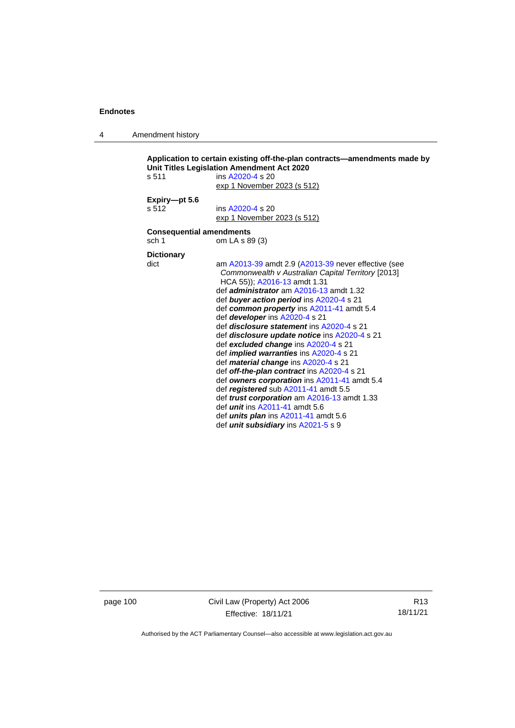4 Amendment history

```
Application to certain existing off-the-plan contracts—amendments made by 
Unit Titles Legislation Amendment Act 2020
s 511 ins A2020-4 s 20
                  exp 1 November 2023 (s 512)
Expiry—pt 5.6
s 512 ins A2020-4 s 20
                  exp 1 November 2023 (s 512)
Consequential amendments
sch 1 om LA s 89 (3)
Dictionary
dict am A2013-39 amdt 2.9 (A2013-39 never effective (see 
                   Commonwealth v Australian Capital Territory [2013] 
                   HCA 55)); A2016-13 amdt 1.31
                  def administrator am A2016-13 amdt 1.32
                  def buyer action period ins A2020-4 s 21
                  def common property ins A2011-41 amdt 5.4
                  def developer ins A2020-4 s 21
                  def disclosure statement ins A2020-4 s 21
                  def disclosure update notice ins A2020-4 s 21
                  def excluded change ins A2020-4 s 21
                  def implied warranties ins A2020-4 s 21
                  def material change ins A2020-4 s 21
                  def off-the-plan contract ins A2020-4 s 21
                  def owners corporation ins A2011-41 amdt 5.4
                  def registered sub A2011-41 amdt 5.5
                  def trust corporation am A2016-13 amdt 1.33
                  def unit ins A2011-41 amdt 5.6
                  def units plan ins A2011-41 amdt 5.6
                  def unit subsidiary ins A2021-5 s 9
```
page 100 Civil Law (Property) Act 2006 Effective: 18/11/21

R13 18/11/21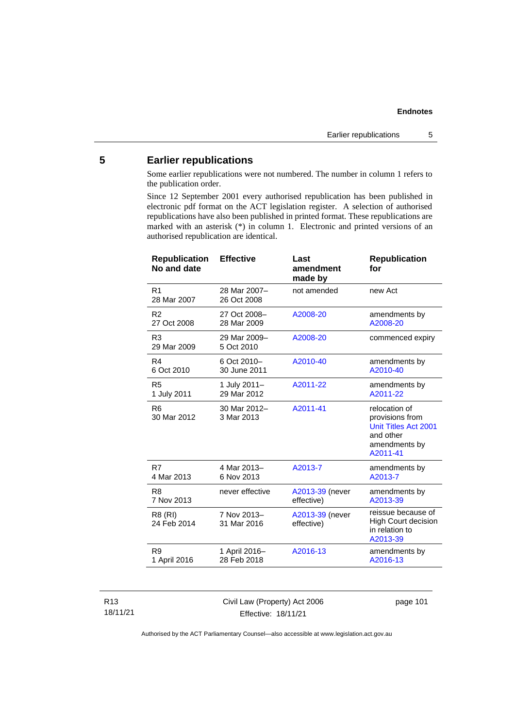# **5 Earlier republications**

Some earlier republications were not numbered. The number in column 1 refers to the publication order.

Since 12 September 2001 every authorised republication has been published in electronic pdf format on the ACT legislation register. A selection of authorised republications have also been published in printed format. These republications are marked with an asterisk (\*) in column 1. Electronic and printed versions of an authorised republication are identical.

| <b>Republication</b><br>No and date | <b>Effective</b>            | Last<br>amendment<br>made by  | <b>Republication</b><br>for                                                                        |
|-------------------------------------|-----------------------------|-------------------------------|----------------------------------------------------------------------------------------------------|
| R <sub>1</sub><br>28 Mar 2007       | 28 Mar 2007-<br>26 Oct 2008 | not amended                   | new Act                                                                                            |
| R <sub>2</sub>                      | 27 Oct 2008-                | A2008-20                      | amendments by                                                                                      |
| 27 Oct 2008                         | 28 Mar 2009                 |                               | A2008-20                                                                                           |
| R <sub>3</sub><br>29 Mar 2009       | 29 Mar 2009-<br>5 Oct 2010  | A2008-20                      | commenced expiry                                                                                   |
| R <sub>4</sub>                      | 6 Oct 2010-                 | A2010-40                      | amendments by                                                                                      |
| 6 Oct 2010                          | 30 June 2011                |                               | A2010-40                                                                                           |
| R <sub>5</sub>                      | 1 July 2011-                | A2011-22                      | amendments by                                                                                      |
| 1 July 2011                         | 29 Mar 2012                 |                               | A2011-22                                                                                           |
| R <sub>6</sub><br>30 Mar 2012       | 30 Mar 2012-<br>3 Mar 2013  | A2011-41                      | relocation of<br>provisions from<br>Unit Titles Act 2001<br>and other<br>amendments by<br>A2011-41 |
| R7                                  | 4 Mar 2013-                 | A2013-7                       | amendments by                                                                                      |
| 4 Mar 2013                          | 6 Nov 2013                  |                               | A2013-7                                                                                            |
| R8                                  | never effective             | A2013-39 (never               | amendments by                                                                                      |
| 7 Nov 2013                          |                             | effective)                    | A2013-39                                                                                           |
| R8 (RI)<br>24 Feb 2014              | 7 Nov 2013-<br>31 Mar 2016  | A2013-39 (never<br>effective) | reissue because of<br><b>High Court decision</b><br>in relation to<br>A2013-39                     |
| R <sub>9</sub>                      | 1 April 2016-               | A2016-13                      | amendments by                                                                                      |
| 1 April 2016                        | 28 Feb 2018                 |                               | A2016-13                                                                                           |

### R13 18/11/21

Civil Law (Property) Act 2006 Effective: 18/11/21

page 101